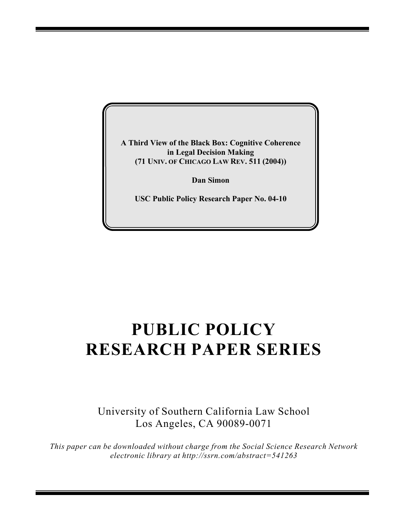**A Third View of the Black Box: Cognitive Coherence in Legal Decision Making (71 UNIV. OF CHICAGO LAW REV. 511 (2004))**

**Dan Simon**

**USC Public Policy Research Paper No. 04-10**

# **PUBLIC POLICY RESEARCH PAPER SERIES**

University of Southern California Law School Los Angeles, CA 90089-0071

*This paper can be downloaded without charge from the Social Science Research Network electronic library at http://ssrn.com/abstract=541263*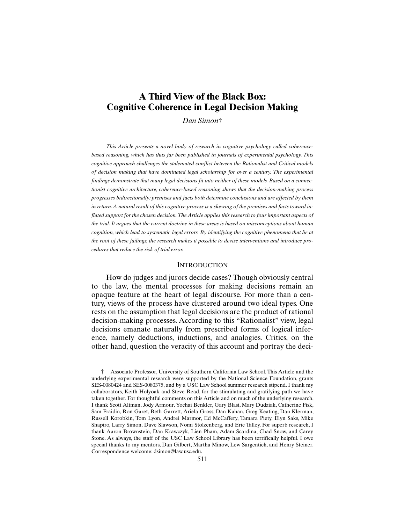## **A Third View of the Black Box: Cognitive Coherence in Legal Decision Making**

*Dan Simon*†

*This Article presents a novel body of research in cognitive psychology called coherencebased reasoning, which has thus far been published in journals of experimental psychology. This cognitive approach challenges the stalemated conflict between the Rationalist and Critical models of decision making that have dominated legal scholarship for over a century. The experimental findings demonstrate that many legal decisions fit into neither of these models. Based on a connectionist cognitive architecture, coherence-based reasoning shows that the decision-making process progresses bidirectionally: premises and facts both determine conclusions and are affected by them in return. A natural result of this cognitive process is a skewing of the premises and facts toward inflated support for the chosen decision. The Article applies this research to four important aspects of the trial. It argues that the current doctrine in these areas is based on misconceptions about human cognition, which lead to systematic legal errors. By identifying the cognitive phenomena that lie at the root of these failings, the research makes it possible to devise interventions and introduce procedures that reduce the risk of trial error.*

#### **INTRODUCTION**

How do judges and jurors decide cases? Though obviously central to the law, the mental processes for making decisions remain an opaque feature at the heart of legal discourse. For more than a century, views of the process have clustered around two ideal types. One rests on the assumption that legal decisions are the product of rational decision-making processes. According to this "Rationalist" view, legal decisions emanate naturally from prescribed forms of logical inference, namely deductions, inductions, and analogies. Critics, on the other hand, question the veracity of this account and portray the deci-

<sup>†</sup> Associate Professor, University of Southern California Law School. This Article and the underlying experimental research were supported by the National Science Foundation, grants SES-0080424 and SES-0080375, and by a USC Law School summer research stipend. I thank my collaborators, Keith Holyoak and Steve Read, for the stimulating and gratifying path we have taken together. For thoughtful comments on this Article and on much of the underlying research, I thank Scott Altman, Jody Armour, Yochai Benkler, Gary Blasi, Mary Dudziak, Catherine Fisk, Sam Fraidin, Ron Garet, Beth Garrett, Ariela Gross, Dan Kahan, Greg Keating, Dan Klerman, Russell Korobkin, Tom Lyon, Andrei Marmor, Ed McCaffery, Tamara Piety, Elyn Saks, Mike Shapiro, Larry Simon, Dave Slawson, Nomi Stolzenberg, and Eric Talley. For superb research, I thank Aaron Brownstein, Dan Krawczyk, Lien Pham, Adam Scardina, Chad Snow, and Carey Stone. As always, the staff of the USC Law School Library has been terrifically helpful. I owe special thanks to my mentors, Dan Gilbert, Martha Minow, Lew Sargentich, and Henry Steiner. Correspondence welcome: dsimon@law.usc.edu.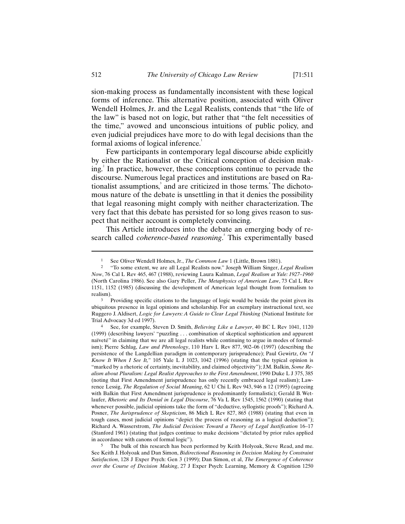sion-making process as fundamentally inconsistent with these logical forms of inference. This alternative position, associated with Oliver Wendell Holmes, Jr. and the Legal Realists, contends that "the life of the law" is based not on logic, but rather that "the felt necessities of the time," avowed and unconscious intuitions of public policy, and even judicial prejudices have more to do with legal decisions than the formal axioms of logical inference.<sup>1</sup>

Few participants in contemporary legal discourse abide explicitly by either the Rationalist or the Critical conception of decision making.<sup>2</sup> In practice, however, these conceptions continue to pervade the discourse. Numerous legal practices and institutions are based on Rationalist assumptions,<sup>3</sup> and are criticized in those terms.<sup>4</sup> The dichotomous nature of the debate is unsettling in that it denies the possibility that legal reasoning might comply with neither characterization. The very fact that this debate has persisted for so long gives reason to suspect that neither account is completely convincing.

This Article introduces into the debate an emerging body of research called *coherence-based reasoning*. This experimentally based

<sup>5</sup> The bulk of this research has been performed by Keith Holyoak, Steve Read, and me. See Keith J. Holyoak and Dan Simon, *Bidirectional Reasoning in Decision Making by Constraint Satisfaction*, 128 J Exper Psych: Gen 3 (1999); Dan Simon, et al, *The Emergence of Coherence over the Course of Decision Making*, 27 J Exper Psych: Learning, Memory & Cognition 1250

<sup>1</sup> See Oliver Wendell Holmes, Jr., *The Common Law* 1 (Little, Brown 1881).<br><sup>2</sup> "To some extent we are all Legal Realists now" Joseph William Singer *I* 

<sup>2</sup> "To some extent, we are all Legal Realists now." Joseph William Singer, *Legal Realism Now*, 76 Cal L Rev 465, 467 (1988), reviewing Laura Kalman, *Legal Realism at Yale: 1927–1960* (North Carolina 1986). See also Gary Peller, *The Metaphysics of American Law*, 73 Cal L Rev 1151, 1152 (1985) (discussing the development of American legal thought from formalism to realism).

<sup>&</sup>lt;sup>3</sup> Providing specific citations to the language of logic would be beside the point given its ubiquitous presence in legal opinions and scholarship. For an exemplary instructional text, see Ruggero J. Aldisert, *Logic for Lawyers: A Guide to Clear Legal Thinking* (National Institute for Trial Advocacy 3d ed 1997).

<sup>4</sup> See, for example, Steven D. Smith, *Believing Like a Lawyer*, 40 BC L Rev 1041, 1120 (1999) (describing lawyers' "puzzling . . . combination of skeptical sophistication and apparent naïveté" in claiming that we are all legal realists while continuing to argue in modes of formalism); Pierre Schlag, *Law and Phrenology*, 110 Harv L Rev 877, 902–06 (1997) (describing the persistence of the Langdellian paradigm in contemporary jurisprudence); Paul Gewirtz, *On "I Know It When I See It,"* 105 Yale L J 1023, 1042 (1996) (stating that the typical opinion is "marked by a rhetoric of certainty, inevitability, and claimed objectivity"); J.M. Balkin, *Some Realism about Pluralism: Legal Realist Approaches to the First Amendment*, 1990 Duke L J 375, 385 (noting that First Amendment jurisprudence has only recently embraced legal realism); Lawrence Lessig, *The Regulation of Social Meaning*, 62 U Chi L Rev 943, 946 n 12 (1995) (agreeing with Balkin that First Amendment jurisprudence is predominantly formalistic); Gerald B. Wetlaufer, *Rhetoric and Its Denial in Legal Discourse*, 76 Va L Rev 1545, 1562 (1990) (stating that whenever possible, judicial opinions take the form of "deductive, syllogistic proofs"); Richard A. Posner, *The Jurisprudence of Skepticism*, 86 Mich L Rev 827, 865 (1988) (stating that even in tough cases, most judicial opinions "depict the process of reasoning as a logical deduction"); Richard A. Wasserstrom, *The Judicial Decision: Toward a Theory of Legal Justification* 16–17 (Stanford 1961) (stating that judges continue to make decisions "dictated by prior rules applied in accordance with canons of formal logic").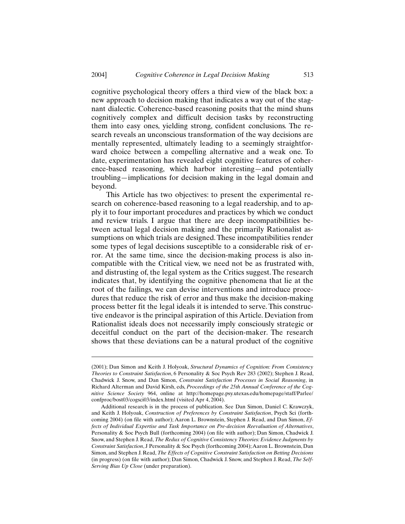cognitive psychological theory offers a third view of the black box: a new approach to decision making that indicates a way out of the stagnant dialectic. Coherence-based reasoning posits that the mind shuns cognitively complex and difficult decision tasks by reconstructing them into easy ones, yielding strong, confident conclusions. The research reveals an unconscious transformation of the way decisions are mentally represented, ultimately leading to a seemingly straightforward choice between a compelling alternative and a weak one. To date, experimentation has revealed eight cognitive features of coherence-based reasoning, which harbor interesting—and potentially troubling—implications for decision making in the legal domain and beyond.

This Article has two objectives: to present the experimental research on coherence-based reasoning to a legal readership, and to apply it to four important procedures and practices by which we conduct and review trials. I argue that there are deep incompatibilities between actual legal decision making and the primarily Rationalist assumptions on which trials are designed. These incompatibilities render some types of legal decisions susceptible to a considerable risk of error. At the same time, since the decision-making process is also incompatible with the Critical view, we need not be as frustrated with, and distrusting of, the legal system as the Critics suggest. The research indicates that, by identifying the cognitive phenomena that lie at the root of the failings, we can devise interventions and introduce procedures that reduce the risk of error and thus make the decision-making process better fit the legal ideals it is intended to serve. This constructive endeavor is the principal aspiration of this Article. Deviation from Rationalist ideals does not necessarily imply consciously strategic or deceitful conduct on the part of the decision-maker. The research shows that these deviations can be a natural product of the cognitive

<sup>(2001);</sup> Dan Simon and Keith J. Holyoak, *Structural Dynamics of Cognition: From Consistency Theories to Constraint Satisfaction*, 6 Personality & Soc Psych Rev 283 (2002); Stephen J. Read, Chadwick J. Snow, and Dan Simon, *Constraint Satisfaction Processes in Social Reasoning*, in Richard Alterman and David Kirsh, eds, *Proceedings of the 25th Annual Conference of the Cognitive Science Society* 964, online at http://homepage.psy.utexas.edu/homepage/staff/Parlee/ confproc/bost03/cogsci03/index.html (visited Apr 4, 2004).

Additional research is in the process of publication. See Dan Simon, Daniel C. Krawczyk, and Keith J. Holyoak, *Construction of Preferences by Constraint Satisfaction*, Psych Sci (forthcoming 2004) (on file with author); Aaron L. Brownstein, Stephen J. Read, and Dan Simon, *Effects of Individual Expertise and Task Importance on Pre-decision Reevaluation of Alternatives*, Personality & Soc Psych Bull (forthcoming 2004) (on file with author); Dan Simon, Chadwick J. Snow, and Stephen J. Read, *The Redux of Cognitive Consistency Theories: Evidence Judgments by Constraint Satisfaction*, J Personality & Soc Psych (forthcoming 2004); Aaron L. Brownstein, Dan Simon, and Stephen J. Read, *The Effects of Cognitive Constraint Satisfaction on Betting Decisions* (in progress) (on file with author); Dan Simon, Chadwick J. Snow, and Stephen J. Read, *The Self-Serving Bias Up Close* (under preparation).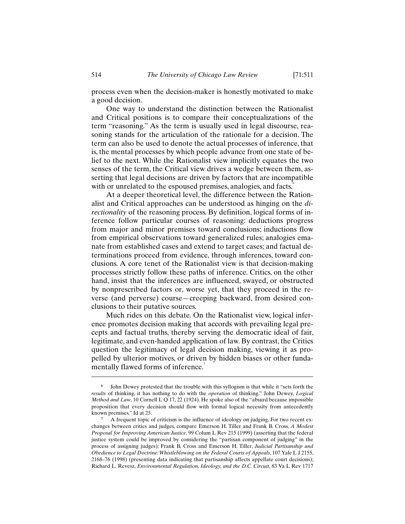process even when the decision-maker is honestly motivated to make a good decision.

One way to understand the distinction between the Rationalist and Critical positions is to compare their conceptualizations of the term "reasoning." As the term is usually used in legal discourse, reasoning stands for the articulation of the rationale for a decision. The term can also be used to denote the actual processes of inference, that is, the mental processes by which people advance from one state of belief to the next. While the Rationalist view implicitly equates the two senses of the term, the Critical view drives a wedge between them, asserting that legal decisions are driven by factors that are incompatible with or unrelated to the espoused premises, analogies, and facts.<sup>6</sup>

At a deeper theoretical level, the difference between the Rationalist and Critical approaches can be understood as hinging on the *directionality* of the reasoning process. By definition, logical forms of inference follow particular courses of reasoning: deductions progress from major and minor premises toward conclusions; inductions flow from empirical observations toward generalized rules; analogies emanate from established cases and extend to target cases; and factual determinations proceed from evidence, through inferences, toward conclusions. A core tenet of the Rationalist view is that decision-making processes strictly follow these paths of inference. Critics, on the other hand, insist that the inferences are influenced, swayed, or obstructed by nonprescribed factors or, worse yet, that they proceed in the reverse (and perverse) course—creeping backward, from desired conclusions to their putative sources.

Much rides on this debate. On the Rationalist view, logical inference promotes decision making that accords with prevailing legal precepts and factual truths, thereby serving the democratic ideal of fair, legitimate, and even-handed application of law. By contrast, the Critics question the legitimacy of legal decision making, viewing it as propelled by ulterior motives, or driven by hidden biases or other fundamentally flawed forms of inference.

<sup>6</sup> John Dewey protested that the trouble with this syllogism is that while it "sets forth the *results* of thinking, it has nothing to do with the *operation* of thinking." John Dewey, *Logical Method and Law*, 10 Cornell L Q 17, 22 (1924). He spoke also of the "absurd because impossible proposition that every decision should flow with formal logical necessity from antecedently known premises." Id at 25.

A frequent topic of criticism is the influence of ideology on judging. For two recent exchanges between critics and judges, compare Emerson H. Tiller and Frank B. Cross, *A Modest Proposal for Improving American Justice*, 99 Colum L Rev 215 (1999) (asserting that the federal justice system could be improved by considering the "partisan component of judging" in the process of assigning judges); Frank B. Cross and Emerson H. Tiller, *Judicial Partisanship and Obedience to Legal Doctrine: Whistleblowing on the Federal Courts of Appeals*, 107 Yale L J 2155, 2168–76 (1998) (presenting data indicating that partisanship affects appellate court decisions); Richard L. Revesz, *Environmental Regulation, Ideology, and the D.C. Circuit*, 83 Va L Rev 1717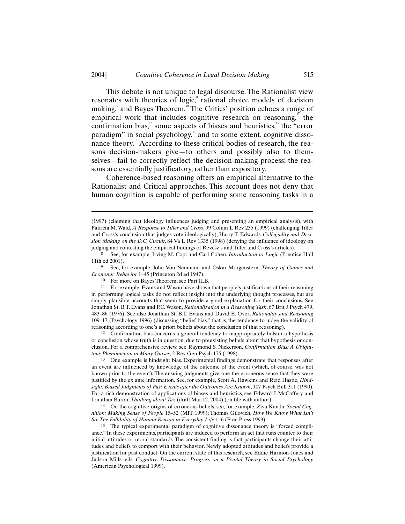This debate is not unique to legal discourse. The Rationalist view resonates with theories of logic, rational choice models of decision making, and Bayes Theorem.<sup>10</sup> The Critics' position echoes a range of empirical work that includes cognitive research on reasoning, $\frac{1}{n}$  the confirmation bias, $\frac{1}{2}$  some aspects of biases and heuristics, $\frac{1}{2}$  the "error paradigm" in social psychology,<sup>14</sup> and to some extent, cognitive dissonance theory.<sup>15</sup> According to these critical bodies of research, the reasons decision-makers give—to others and possibly also to themselves—fail to correctly reflect the decision-making process; the reasons are essentially justificatory, rather than expository.

Coherence-based reasoning offers an empirical alternative to the Rationalist and Critical approaches. This account does not deny that human cognition is capable of performing some reasoning tasks in a

<sup>10</sup> For more on Bayes Theorem, see Part II.B.<br><sup>11</sup> For example Evans and Wason have shown

1

<sup>12</sup> Confirmation bias concerns a general tendency to inappropriately bolster a hypothesis or conclusion whose truth is in question, due to preexisting beliefs about that hypothesis or conclusion. For a comprehensive review, see Raymond S. Nickerson, *Confirmation Bias: A Ubiquitous Phenomenon in Many Guises*, 2 Rev Gen Psych 175 (1998).

<sup>13</sup> One example is hindsight bias. Experimental findings demonstrate that responses after an event are influenced by knowledge of the outcome of the event (which, of course, was not known prior to the event). The ensuing judgments give one the erroneous sense that they were justified by the ex ante information. See, for example, Scott A. Hawkins and Reid Hastie, *Hindsight: Biased Judgments of Past Events after the Outcomes Are Known*, 107 Psych Bull 311 (1990). For a rich demonstration of applications of biases and heuristics, see Edward J. McCaffery and Jonathan Baron, *Thinking about Tax* (draft Mar 12, 2004) (on file with author).

14 On the cognitive origins of erroneous beliefs, see, for example, Ziva Kunda, *Social Cognition: Making Sense of People* 15–52 (MIT 1999); Thomas Gilovich, *How We Know What Isn't So: The Fallibility of Human Reason in Everyday Life* 1–6 (Free Press 1993).

<sup>15</sup> The typical experimental paradigm of cognitive dissonance theory is "forced compliance." In these experiments, participants are induced to perform an act that runs counter to their initial attitudes or moral standards. The consistent finding is that participants change their attitudes and beliefs to comport with their behavior. Newly adopted attitudes and beliefs provide a justification for past conduct. On the current state of this research, see Eddie Harmon-Jones and Judson Mills, eds, *Cognitive Dissonance: Progress on a Pivotal Theory in Social Psychology* (American Psychological 1999).

<sup>(1997) (</sup>claiming that ideology influences judging and presenting an empirical analysis), with Patricia M. Wald, *A Response to Tiller and Cross*, 99 Colum L Rev 235 (1999) (challenging Tiller and Cross's conclusion that judges vote ideologically); Harry T. Edwards, *Collegiality and Decision Making on the D.C. Circuit*, 84 Va L Rev 1335 (1998) (denying the influence of ideology on judging and contesting the empirical findings of Revesz's and Tiller and Cross's articles).

<sup>8</sup> See, for example, Irving M. Copi and Carl Cohen, *Introduction to Logic* (Prentice Hall 11th ed 2001).

<sup>9</sup> See, for example, John Von Neumann and Oskar Morgenstern, *Theory of Games and Economic Behavior* 1–45 (Princeton 2d ed 1947).

<sup>11</sup> For example, Evans and Wason have shown that people's justifications of their reasoning in performing logical tasks do not reflect insight into the underlying thought processes, but are simply plausible accounts that seem to provide a good explanation for their conclusions. See Jonathan St. B.T. Evans and P.C. Wason, *Rationalization in a Reasoning Task*, 67 Brit J Psych 479, 483–86 (1976). See also Jonathan St. B.T. Evans and David E. Over, *Rationality and Reasoning* 109–17 (Psychology 1996) (discussing "belief bias," that is, the tendency to judge the validity of reasoning according to one's a priori beliefs about the conclusion of that reasoning).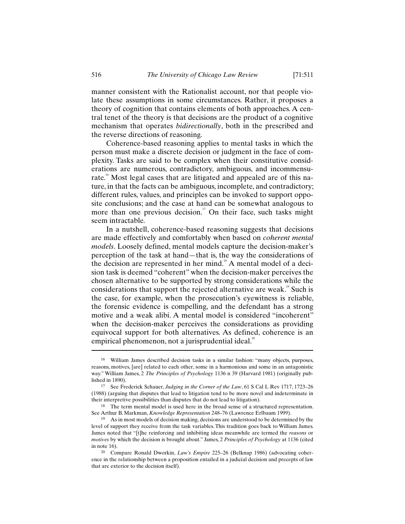manner consistent with the Rationalist account, nor that people violate these assumptions in some circumstances. Rather, it proposes a theory of cognition that contains elements of both approaches. A central tenet of the theory is that decisions are the product of a cognitive mechanism that operates *bidirectionally*, both in the prescribed and the reverse directions of reasoning.

Coherence-based reasoning applies to mental tasks in which the person must make a discrete decision or judgment in the face of complexity. Tasks are said to be complex when their constitutive considerations are numerous, contradictory, ambiguous, and incommensurate.<sup>"</sup> Most legal cases that are litigated and appealed are of this nature, in that the facts can be ambiguous, incomplete, and contradictory; different rules, values, and principles can be invoked to support opposite conclusions; and the case at hand can be somewhat analogous to more than one previous decision.<sup>17</sup> On their face, such tasks might seem intractable.

In a nutshell, coherence-based reasoning suggests that decisions are made effectively and comfortably when based on *coherent mental models*. Loosely defined, mental models capture the decision-maker's perception of the task at hand—that is, the way the considerations of the decision are represented in her mind.<sup>18</sup> A mental model of a decision task is deemed "coherent" when the decision-maker perceives the chosen alternative to be supported by strong considerations while the considerations that support the rejected alternative are weak.<sup>19</sup> Such is the case, for example, when the prosecution's eyewitness is reliable, the forensic evidence is compelling, and the defendant has a strong motive and a weak alibi. A mental model is considered "incoherent" when the decision-maker perceives the considerations as providing equivocal support for both alternatives. As defined, coherence is an empirical phenomenon, not a jurisprudential ideal.<sup>20</sup>

<sup>16</sup> William James described decision tasks in a similar fashion: "many objects, purposes, reasons, motives, [are] related to each other, some in a harmonious and some in an antagonistic way." William James, 2 *The Principles of Psychology* 1136 n 39 (Harvard 1981) (originally published in 1890).

<sup>17</sup> See Frederick Schauer, *Judging in the Corner of the Law*, 61 S Cal L Rev 1717, 1723–26 (1988) (arguing that disputes that lead to litigation tend to be more novel and indeterminate in their interpretive possibilities than disputes that do not lead to litigation).

<sup>&</sup>lt;sup>18</sup> The term mental model is used here in the broad sense of a structured representation. See Arthur B. Markman, *Knowledge Representation* 248–76 (Lawrence Erlbaum 1999).

<sup>19</sup> As in most models of decision making, decisions are understood to be determined by the level of support they receive from the task variables. This tradition goes back to William James. James noted that "[t]he reinforcing and inhibiting ideas meanwhile are termed the *reasons* or *motives* by which the decision is brought about." James, 2 *Principles of Psychology* at 1136 (cited in note 16).

<sup>20</sup> Compare Ronald Dworkin, *Law's Empire* 225–26 (Belknap 1986) (advocating coherence in the relationship between a proposition entailed in a judicial decision and precepts of law that are exterior to the decision itself).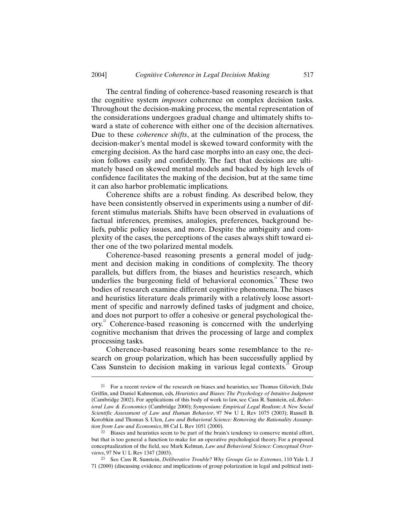The central finding of coherence-based reasoning research is that the cognitive system *imposes* coherence on complex decision tasks. Throughout the decision-making process, the mental representation of the considerations undergoes gradual change and ultimately shifts toward a state of coherence with either one of the decision alternatives. Due to these *coherence shifts*, at the culmination of the process, the decision-maker's mental model is skewed toward conformity with the emerging decision. As the hard case morphs into an easy one, the decision follows easily and confidently. The fact that decisions are ultimately based on skewed mental models and backed by high levels of confidence facilitates the making of the decision, but at the same time it can also harbor problematic implications.

Coherence shifts are a robust finding. As described below, they have been consistently observed in experiments using a number of different stimulus materials. Shifts have been observed in evaluations of factual inferences, premises, analogies, preferences, background beliefs, public policy issues, and more. Despite the ambiguity and complexity of the cases, the perceptions of the cases always shift toward either one of the two polarized mental models.

Coherence-based reasoning presents a general model of judgment and decision making in conditions of complexity. The theory parallels, but differs from, the biases and heuristics research, which underlies the burgeoning field of behavioral economics.<sup>21</sup> These two bodies of research examine different cognitive phenomena. The biases and heuristics literature deals primarily with a relatively loose assortment of specific and narrowly defined tasks of judgment and choice, and does not purport to offer a cohesive or general psychological theory.<sup>22</sup> Coherence-based reasoning is concerned with the underlying cognitive mechanism that drives the processing of large and complex processing tasks.

Coherence-based reasoning bears some resemblance to the research on group polarization, which has been successfully applied by Cass Sunstein to decision making in various legal contexts.<sup>23</sup> Group

<sup>21</sup> For a recent review of the research on biases and heuristics, see Thomas Gilovich, Dale Griffin, and Daniel Kahneman, eds, *Heuristics and Biases: The Psychology of Intuitive Judgment* (Cambridge 2002). For applications of this body of work to law, see Cass R. Sunstein, ed, *Behavioral Law & Economics* (Cambridge 2000); *Symposium: Empirical Legal Realism: A New Social Scientific Assessment of Law and Human Behavior*, 97 Nw U L Rev 1075 (2003); Russell B. Korobkin and Thomas S. Ulen, *Law and Behavioral Science: Removing the Rationality Assumption from Law and Economics*, 88 Cal L Rev 1051 (2000).

<sup>&</sup>lt;sup>22</sup> Biases and heuristics seem to be part of the brain's tendency to conserve mental effort, but that is too general a function to make for an operative psychological theory. For a proposed conceptualization of the field, see Mark Kelman, *Law and Behavioral Science: Conceptual Overviews*, 97 Nw U L Rev 1347 (2003).

<sup>23</sup> See Cass R. Sunstein, *Deliberative Trouble? Why Groups Go to Extremes*, 110 Yale L J 71 (2000) (discussing evidence and implications of group polarization in legal and political insti-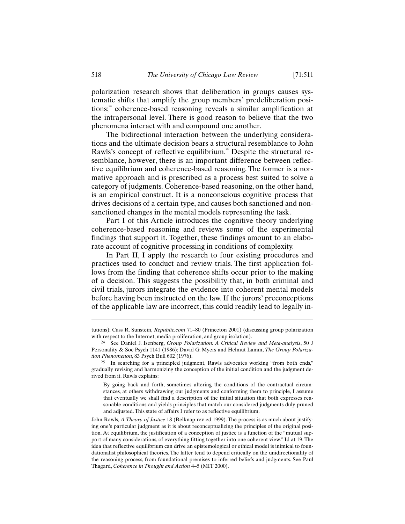polarization research shows that deliberation in groups causes systematic shifts that amplify the group members' predeliberation positions; $\frac{24}{1}$  coherence-based reasoning reveals a similar amplification at the intrapersonal level. There is good reason to believe that the two phenomena interact with and compound one another.

The bidirectional interaction between the underlying considerations and the ultimate decision bears a structural resemblance to John Rawls's concept of reflective equilibrium.<sup>25</sup> Despite the structural resemblance, however, there is an important difference between reflective equilibrium and coherence-based reasoning. The former is a normative approach and is prescribed as a process best suited to solve a category of judgments. Coherence-based reasoning, on the other hand, is an empirical construct. It is a nonconscious cognitive process that drives decisions of a certain type, and causes both sanctioned and nonsanctioned changes in the mental models representing the task.

Part I of this Article introduces the cognitive theory underlying coherence-based reasoning and reviews some of the experimental findings that support it. Together, these findings amount to an elaborate account of cognitive processing in conditions of complexity.

In Part II, I apply the research to four existing procedures and practices used to conduct and review trials. The first application follows from the finding that coherence shifts occur prior to the making of a decision. This suggests the possibility that, in both criminal and civil trials, jurors integrate the evidence into coherent mental models before having been instructed on the law. If the jurors' preconceptions of the applicable law are incorrect, this could readily lead to legally in-

tutions); Cass R. Sunstein, *Republic.com* 71–80 (Princeton 2001) (discussing group polarization with respect to the Internet, media proliferation, and group isolation).

<sup>24</sup> See Daniel J. Isenberg, *Group Polarization: A Critical Review and Meta-analysis*, 50 J Personality & Soc Psych 1141 (1986); David G. Myers and Helmut Lamm, *The Group Polarization Phenomenon*, 83 Psych Bull 602 (1976).

<sup>25</sup> In searching for a principled judgment, Rawls advocates working "from both ends," gradually revising and harmonizing the conception of the initial condition and the judgment derived from it. Rawls explains:

By going back and forth, sometimes altering the conditions of the contractual circumstances, at others withdrawing our judgments and conforming them to principle, I assume that eventually we shall find a description of the initial situation that both expresses reasonable conditions and yields principles that match our considered judgments duly pruned and adjusted. This state of affairs I refer to as reflective equilibrium.

John Rawls, *A Theory of Justice* 18 (Belknap rev ed 1999). The process is as much about justifying one's particular judgment as it is about reconceptualizing the principles of the original position. At equilibrium, the justification of a conception of justice is a function of the "mutual support of many considerations, of everything fitting together into one coherent view." Id at 19. The idea that reflective equilibrium can drive an epistemological or ethical model is inimical to foundationalist philosophical theories. The latter tend to depend critically on the unidirectionality of the reasoning process, from foundational premises to inferred beliefs and judgments. See Paul Thagard, *Coherence in Thought and Action* 4–5 (MIT 2000).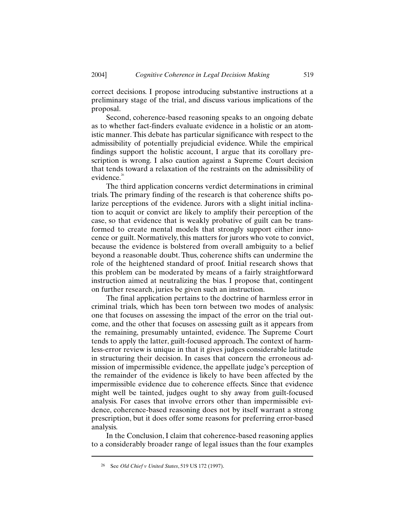correct decisions. I propose introducing substantive instructions at a preliminary stage of the trial, and discuss various implications of the proposal.

Second, coherence-based reasoning speaks to an ongoing debate as to whether fact-finders evaluate evidence in a holistic or an atomistic manner. This debate has particular significance with respect to the admissibility of potentially prejudicial evidence. While the empirical findings support the holistic account, I argue that its corollary prescription is wrong. I also caution against a Supreme Court decision that tends toward a relaxation of the restraints on the admissibility of evidence. $26$ 

The third application concerns verdict determinations in criminal trials. The primary finding of the research is that coherence shifts polarize perceptions of the evidence. Jurors with a slight initial inclination to acquit or convict are likely to amplify their perception of the case, so that evidence that is weakly probative of guilt can be transformed to create mental models that strongly support either innocence or guilt. Normatively, this matters for jurors who vote to convict, because the evidence is bolstered from overall ambiguity to a belief beyond a reasonable doubt. Thus, coherence shifts can undermine the role of the heightened standard of proof. Initial research shows that this problem can be moderated by means of a fairly straightforward instruction aimed at neutralizing the bias. I propose that, contingent on further research, juries be given such an instruction.

The final application pertains to the doctrine of harmless error in criminal trials, which has been torn between two modes of analysis: one that focuses on assessing the impact of the error on the trial outcome, and the other that focuses on assessing guilt as it appears from the remaining, presumably untainted, evidence. The Supreme Court tends to apply the latter, guilt-focused approach. The context of harmless-error review is unique in that it gives judges considerable latitude in structuring their decision. In cases that concern the erroneous admission of impermissible evidence, the appellate judge's perception of the remainder of the evidence is likely to have been affected by the impermissible evidence due to coherence effects. Since that evidence might well be tainted, judges ought to shy away from guilt-focused analysis. For cases that involve errors other than impermissible evidence, coherence-based reasoning does not by itself warrant a strong prescription, but it does offer some reasons for preferring error-based analysis.

In the Conclusion, I claim that coherence-based reasoning applies to a considerably broader range of legal issues than the four examples

<sup>26</sup> See *Old Chief v United States*, 519 US 172 (1997).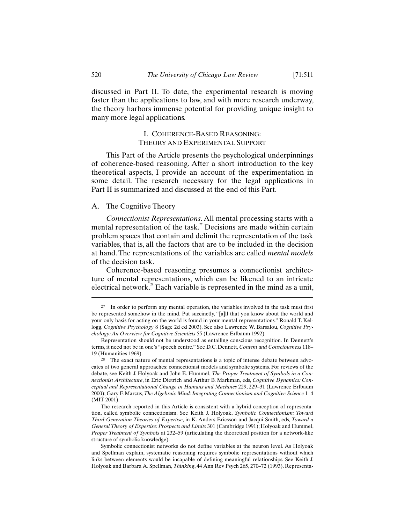discussed in Part II. To date, the experimental research is moving faster than the applications to law, and with more research underway, the theory harbors immense potential for providing unique insight to many more legal applications.

## I. COHERENCE-BASED REASONING: THEORY AND EXPERIMENTAL SUPPORT

This Part of the Article presents the psychological underpinnings of coherence-based reasoning. After a short introduction to the key theoretical aspects, I provide an account of the experimentation in some detail. The research necessary for the legal applications in Part II is summarized and discussed at the end of this Part.

## A. The Cognitive Theory

*Connectionist Representations*. All mental processing starts with a mental representation of the task.<sup>27</sup> Decisions are made within certain problem spaces that contain and delimit the representation of the task variables, that is, all the factors that are to be included in the decision at hand. The representations of the variables are called *mental models*  of the decision task.

Coherence-based reasoning presumes a connectionist architecture of mental representations, which can be likened to an intricate electrical network. $^*$  Each variable is represented in the mind as a unit,

<sup>27</sup> In order to perform any mental operation, the variables involved in the task must first be represented somehow in the mind. Put succinctly, "[a]ll that you know about the world and your only basis for acting on the world is found in your mental representations." Ronald T. Kellogg, *Cognitive Psychology* 8 (Sage 2d ed 2003). See also Lawrence W. Barsalou, *Cognitive Psychology: An Overview for Cognitive Scientists* 55 (Lawrence Erlbaum 1992).

Representation should not be understood as entailing conscious recognition. In Dennett's terms, it need not be in one's "speech centre." See D.C. Dennett, *Content and Consciousness* 118– 19 (Humanities 1969).

The exact nature of mental representations is a topic of intense debate between advocates of two general approaches: connectionist models and symbolic systems. For reviews of the debate, see Keith J. Holyoak and John E. Hummel, *The Proper Treatment of Symbols in a Connectionist Architecture*, in Eric Dietrich and Arthur B. Markman, eds, *Cognitive Dynamics: Conceptual and Representational Change in Humans and Machines* 229, 229–31 (Lawrence Erlbaum 2000); Gary F. Marcus, *The Algebraic Mind: Integrating Connectionism and Cognitive Science* 1–4 (MIT 2001).

The research reported in this Article is consistent with a hybrid conception of representation, called symbolic connectionism. See Keith J. Holyoak, *Symbolic Connectionism: Toward Third-Generation Theories of Expertise*, in K. Anders Ericsson and Jacqui Smith, eds, *Toward a General Theory of Expertise: Prospects and Limits* 301 (Cambridge 1991); Holyoak and Hummel, *Proper Treatment of Symbols* at 232–59 (articulating the theoretical position for a network-like structure of symbolic knowledge).

Symbolic connectionist networks do not define variables at the neuron level. As Holyoak and Spellman explain, systematic reasoning requires symbolic representations without which links between elements would be incapable of defining meaningful relationships. See Keith J. Holyoak and Barbara A. Spellman, *Thinking*, 44 Ann Rev Psych 265, 270–72 (1993). Representa-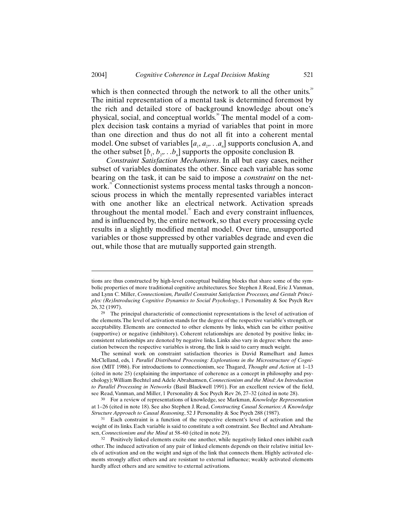which is then connected through the network to all the other units. $2^{\circ}$ The initial representation of a mental task is determined foremost by the rich and detailed store of background knowledge about one's physical, social, and conceptual worlds.<sup>30</sup> The mental model of a complex decision task contains a myriad of variables that point in more than one direction and thus do not all fit into a coherent mental model. One subset of variables  $[a_1, a_2, \ldots, a_n]$  supports conclusion A, and the other subset  $[b_1, b_2, \ldots, b_n]$  supports the opposite conclusion B.

*Constraint Satisfaction Mechanisms*. In all but easy cases, neither subset of variables dominates the other. Since each variable has some bearing on the task, it can be said to impose a *constraint* on the network.<sup>31</sup> Connectionist systems process mental tasks through a nonconscious process in which the mentally represented variables interact with one another like an electrical network. Activation spreads throughout the mental model. $3<sup>2</sup>$  Each and every constraint influences, and is influenced by, the entire network, so that every processing cycle results in a slightly modified mental model. Over time, unsupported variables or those suppressed by other variables degrade and even die out, while those that are mutually supported gain strength.

tions are thus constructed by high-level conceptual building blocks that share some of the symbolic properties of more traditional cognitive architectures. See Stephen J. Read, Eric J. Vanman, and Lynn C. Miller, *Connectionism, Parallel Constraint Satisfaction Processes, and Gestalt Principles: (Re)Introducing Cognitive Dynamics to Social Psychology*, 1 Personality & Soc Psych Rev 26, 32 (1997).

<sup>&</sup>lt;sup>29</sup> The principal characteristic of connectionist representations is the level of activation of the elements. The level of activation stands for the degree of the respective variable's strength, or acceptability. Elements are connected to other elements by links, which can be either positive (supportive) or negative (inhibitory). Coherent relationships are denoted by positive links; inconsistent relationships are denoted by negative links. Links also vary in degree: where the association between the respective variables is strong, the link is said to carry much weight.

The seminal work on constraint satisfaction theories is David Rumelhart and James McClelland, eds, 1 *Parallel Distributed Processing: Explorations in the Microstructure of Cognition* (MIT 1986). For introductions to connectionism, see Thagard, *Thought and Action* at 1–13 (cited in note 25) (explaining the importance of coherence as a concept in philosophy and psychology); William Bechtel and Adele Abrahamsen, *Connectionism and the Mind: An Introduction to Parallel Processing in Networks* (Basil Blackwell 1991). For an excellent review of the field, see Read, Vanman, and Miller, 1 Personality & Soc Psych Rev 26, 27–32 (cited in note 28).

<sup>30</sup> For a review of representations of knowledge, see Markman, *Knowledge Representation* at 1–26 (cited in note 18). See also Stephen J. Read, *Constructing Causal Scenarios: A Knowledge Structure Approach to Causal Reasoning*, 52 J Personality & Soc Psych 288 (1987).

<sup>31</sup> Each constraint is a function of the respective element's level of activation and the weight of its links. Each variable is said to constitute a soft constraint. See Bechtel and Abrahamsen, *Connectionism and the Mind* at 58–60 (cited in note 29).

<sup>32</sup> Positively linked elements excite one another, while negatively linked ones inhibit each other. The induced activation of any pair of linked elements depends on their relative initial levels of activation and on the weight and sign of the link that connects them. Highly activated elements strongly affect others and are resistant to external influence; weakly activated elements hardly affect others and are sensitive to external activations.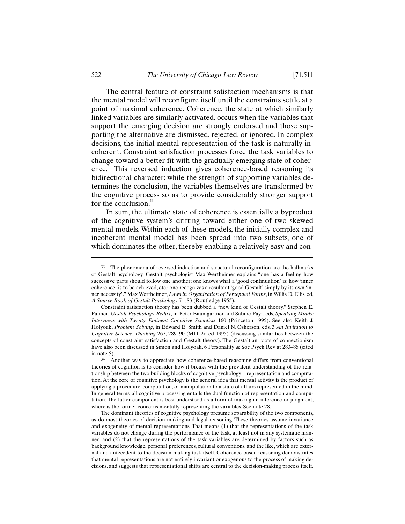The central feature of constraint satisfaction mechanisms is that the mental model will reconfigure itself until the constraints settle at a point of maximal coherence. Coherence, the state at which similarly linked variables are similarly activated, occurs when the variables that support the emerging decision are strongly endorsed and those supporting the alternative are dismissed, rejected, or ignored. In complex decisions, the initial mental representation of the task is naturally incoherent. Constraint satisfaction processes force the task variables to change toward a better fit with the gradually emerging state of coherence.<sup>33</sup> This reversed induction gives coherence-based reasoning its bidirectional character: while the strength of supporting variables determines the conclusion, the variables themselves are transformed by the cognitive process so as to provide considerably stronger support for the conclusion.<sup>34</sup>

In sum, the ultimate state of coherence is essentially a byproduct of the cognitive system's drifting toward either one of two skewed mental models. Within each of these models, the initially complex and incoherent mental model has been spread into two subsets, one of which dominates the other, thereby enabling a relatively easy and con-

The dominant theories of cognitive psychology presume separability of the two components, as do most theories of decision making and legal reasoning. These theories assume invariance and exogeneity of mental representations. That means (1) that the representations of the task variables do not change during the performance of the task, at least not in any systematic manner; and (2) that the representations of the task variables are determined by factors such as background knowledge, personal preferences, cultural conventions, and the like, which are external and antecedent to the decision-making task itself. Coherence-based reasoning demonstrates that mental representations are not entirely invariant or exogenous to the process of making decisions, and suggests that representational shifts are central to the decision-making process itself.

<sup>33</sup> The phenomena of reversed induction and structural reconfiguration are the hallmarks of Gestalt psychology. Gestalt psychologist Max Wertheimer explains "one has a feeling how successive parts should follow one another; one knows what a 'good continuation' is; how 'inner coherence' is to be achieved, etc.; one recognizes a resultant 'good Gestalt' simply by its own 'inner necessity'." Max Wertheimer, *Laws in Organization of Perceptual Forms*, in Willis D. Ellis, ed, *A Source Book of Gestalt Psychology* 71, 83 (Routledge 1955).

Constraint satisfaction theory has been dubbed a "new kind of Gestalt theory." Stephen E. Palmer, *Gestalt Psychology Redux*, in Peter Baumgartner and Sabine Payr, eds, *Speaking Minds: Interviews with Twenty Eminent Cognitive Scientists* 160 (Princeton 1995). See also Keith J. Holyoak, *Problem Solving*, in Edward E. Smith and Daniel N. Osherson, eds, 3 *An Invitation to Cognitive Science: Thinking* 267, 289–90 (MIT 2d ed 1995) (discussing similarities between the concepts of constraint satisfaction and Gestalt theory). The Gestaltian roots of connectionism have also been discussed in Simon and Holyoak, 6 Personality & Soc Psych Rev at 283–85 (cited in note 5).

<sup>34</sup> Another way to appreciate how coherence-based reasoning differs from conventional theories of cognition is to consider how it breaks with the prevalent understanding of the relationship between the two building blocks of cognitive psychology—representation and computation. At the core of cognitive psychology is the general idea that mental activity is the product of applying a procedure, computation, or manipulation to a state of affairs represented in the mind. In general terms, all cognitive processing entails the dual function of representation and computation. The latter component is best understood as a form of making an inference or judgment, whereas the former concerns mentally representing the variables. See note 28.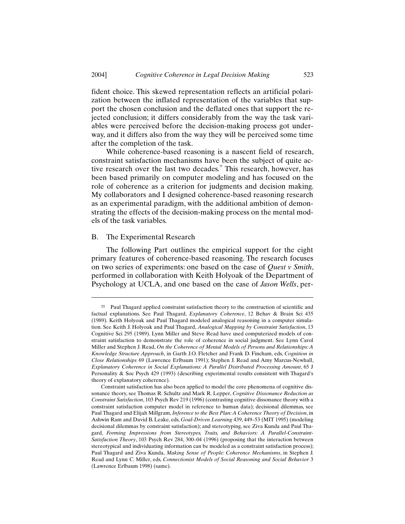fident choice. This skewed representation reflects an artificial polarization between the inflated representation of the variables that support the chosen conclusion and the deflated ones that support the rejected conclusion; it differs considerably from the way the task variables were perceived before the decision-making process got underway, and it differs also from the way they will be perceived some time after the completion of the task.

While coherence-based reasoning is a nascent field of research, constraint satisfaction mechanisms have been the subject of quite active research over the last two decades.<sup>35</sup> This research, however, has been based primarily on computer modeling and has focused on the role of coherence as a criterion for judgments and decision making. My collaborators and I designed coherence-based reasoning research as an experimental paradigm, with the additional ambition of demonstrating the effects of the decision-making process on the mental models of the task variables.

#### B. The Experimental Research

 $\overline{a}$ 

The following Part outlines the empirical support for the eight primary features of coherence-based reasoning. The research focuses on two series of experiments: one based on the case of *Quest v Smith*, performed in collaboration with Keith Holyoak of the Department of Psychology at UCLA, and one based on the case of *Jason Wells*, per-

<sup>35</sup> Paul Thagard applied constraint satisfaction theory to the construction of scientific and factual explanations. See Paul Thagard, *Explanatory Coherence*, 12 Behav & Brain Sci 435 (1989). Keith Holyoak and Paul Thagard modeled analogical reasoning in a computer simulation. See Keith J. Holyoak and Paul Thagard, *Analogical Mapping by Constraint Satisfaction*, 13 Cognitive Sci 295 (1989). Lynn Miller and Steve Read have used computerized models of constraint satisfaction to demonstrate the role of coherence in social judgment. See Lynn Carol Miller and Stephen J. Read, *On the Coherence of Mental Models of Persons and Relationships: A Knowledge Structure Approach*, in Garth J.O. Fletcher and Frank D. Fincham, eds, *Cognition in Close Relationships* 69 (Lawrence Erlbaum 1991); Stephen J. Read and Amy Marcus-Newhall, *Explanatory Coherence in Social Explanations: A Parallel Distributed Processing Amount*, 65 J Personality & Soc Psych 429 (1993) (describing experimental results consistent with Thagard's theory of explanatory coherence).

Constraint satisfaction has also been applied to model the core phenomena of cognitive dissonance theory, see Thomas R. Schultz and Mark R. Lepper, *Cognitive Dissonance Reduction as Constraint Satisfaction*, 103 Psych Rev 219 (1996) (contrasting cognitive dissonance theory with a constraint satisfaction computer model in reference to human data); decisional dilemmas, see Paul Thagard and Elijah Millgram, *Inference to the Best Plan: A Coherence Theory of Decision*, in Ashwin Ram and David B. Leake, eds, *Goal-Driven Learning* 439, 449–53 (MIT 1995) (modeling decisional dilemmas by constraint satisfaction); and stereotyping, see Ziva Kunda and Paul Thagard, *Forming Impressions from Stereotypes, Traits, and Behaviors: A Parallel-Constraint-Satisfaction Theory*, 103 Psych Rev 284, 300–04 (1996) (proposing that the interaction between stereotypical and individuating information can be modeled as a constraint satisfaction process); Paul Thagard and Ziva Kunda, *Making Sense of People: Coherence Mechanisms*, in Stephen J. Read and Lynn C. Miller, eds, *Connectionist Models of Social Reasoning and Social Behavior* 3 (Lawrence Erlbaum 1998) (same).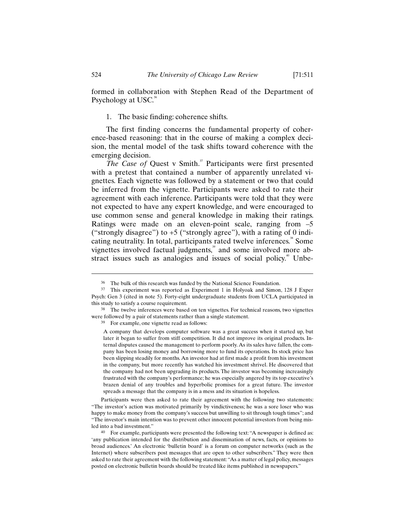formed in collaboration with Stephen Read of the Department of Psychology at USC.<sup>36</sup>

## 1. The basic finding: coherence shifts.

The first finding concerns the fundamental property of coherence-based reasoning: that in the course of making a complex decision, the mental model of the task shifts toward coherence with the emerging decision.

*The Case of Quest v Smith.*<sup>37</sup> Participants were first presented with a pretest that contained a number of apparently unrelated vignettes. Each vignette was followed by a statement or two that could be inferred from the vignette. Participants were asked to rate their agreement with each inference. Participants were told that they were not expected to have any expert knowledge, and were encouraged to use common sense and general knowledge in making their ratings. Ratings were made on an eleven-point scale, ranging from –5 ("strongly disagree") to  $+5$  ("strongly agree"), with a rating of 0 indicating neutrality. In total, participants rated twelve inferences.<sup>38</sup> Some vignettes involved factual judgments,<sup>39</sup> and some involved more abstract issues such as analogies and issues of social policy.<sup>40</sup> Unbe-

Participants were then asked to rate their agreement with the following two statements: "The investor's action was motivated primarily by vindictiveness; he was a sore loser who was happy to make money from the company's success but unwilling to sit through tough times"; and "The investor's main intention was to prevent other innocent potential investors from being misled into a bad investment."

The bulk of this research was funded by the National Science Foundation.

<sup>37</sup> This experiment was reported as Experiment 1 in Holyoak and Simon, 128 J Exper Psych: Gen 3 (cited in note 5). Forty-eight undergraduate students from UCLA participated in this study to satisfy a course requirement.

<sup>&</sup>lt;sup>38</sup> The twelve inferences were based on ten vignettes. For technical reasons, two vignettes were followed by a pair of statements rather than a single statement.

<sup>39</sup> For example, one vignette read as follows:

A company that develops computer software was a great success when it started up, but later it began to suffer from stiff competition. It did not improve its original products. Internal disputes caused the management to perform poorly. As its sales have fallen, the company has been losing money and borrowing more to fund its operations. Its stock price has been slipping steadily for months. An investor had at first made a profit from his investment in the company, but more recently has watched his investment shrivel. He discovered that the company had not been upgrading its products. The investor was becoming increasingly frustrated with the company's performance; he was especially angered by its top executive's brazen denial of any troubles and hyperbolic promises for a great future. The investor spreads a message that the company is in a mess and its situation is hopeless.

<sup>40</sup> For example, participants were presented the following text: "A newspaper is defined as: 'any publication intended for the distribution and dissemination of news, facts, or opinions to broad audiences.' An electronic 'bulletin board' is a forum on computer networks (such as the Internet) where subscribers post messages that are open to other subscribers." They were then asked to rate their agreement with the following statement: "As a matter of legal policy, messages posted on electronic bulletin boards should be treated like items published in newspapers."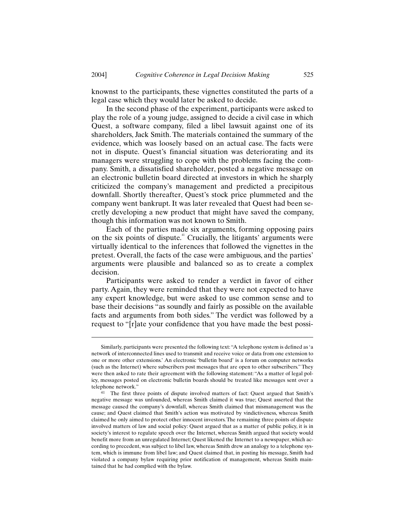knownst to the participants, these vignettes constituted the parts of a legal case which they would later be asked to decide.

In the second phase of the experiment, participants were asked to play the role of a young judge, assigned to decide a civil case in which Quest, a software company, filed a libel lawsuit against one of its shareholders, Jack Smith. The materials contained the summary of the evidence, which was loosely based on an actual case. The facts were not in dispute. Quest's financial situation was deteriorating and its managers were struggling to cope with the problems facing the company. Smith, a dissatisfied shareholder, posted a negative message on an electronic bulletin board directed at investors in which he sharply criticized the company's management and predicted a precipitous downfall. Shortly thereafter, Quest's stock price plummeted and the company went bankrupt. It was later revealed that Quest had been secretly developing a new product that might have saved the company, though this information was not known to Smith.

Each of the parties made six arguments, forming opposing pairs on the six points of dispute. $4$  Crucially, the litigants' arguments were virtually identical to the inferences that followed the vignettes in the pretest. Overall, the facts of the case were ambiguous, and the parties' arguments were plausible and balanced so as to create a complex decision.

Participants were asked to render a verdict in favor of either party. Again, they were reminded that they were not expected to have any expert knowledge, but were asked to use common sense and to base their decisions "as soundly and fairly as possible on the available facts and arguments from both sides." The verdict was followed by a request to "[r]ate your confidence that you have made the best possi-

Similarly, participants were presented the following text: "A telephone system is defined as 'a network of interconnected lines used to transmit and receive voice or data from one extension to one or more other extensions.' An electronic 'bulletin board' is a forum on computer networks (such as the Internet) where subscribers post messages that are open to other subscribers." They were then asked to rate their agreement with the following statement: "As a matter of legal policy, messages posted on electronic bulletin boards should be treated like messages sent over a telephone network."

<sup>&</sup>lt;sup>41</sup> The first three points of dispute involved matters of fact: Quest argued that Smith's negative message was unfounded, whereas Smith claimed it was true; Quest asserted that the message caused the company's downfall, whereas Smith claimed that mismanagement was the cause; and Quest claimed that Smith's action was motivated by vindictiveness, whereas Smith claimed he only aimed to protect other innocent investors. The remaining three points of dispute involved matters of law and social policy: Quest argued that as a matter of public policy, it is in society's interest to regulate speech over the Internet, whereas Smith argued that society would benefit more from an unregulated Internet; Quest likened the Internet to a newspaper, which according to precedent, was subject to libel law, whereas Smith drew an analogy to a telephone system, which is immune from libel law; and Quest claimed that, in posting his message, Smith had violated a company bylaw requiring prior notification of management, whereas Smith maintained that he had complied with the bylaw.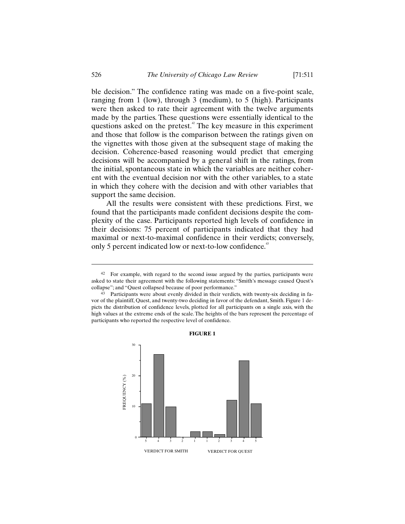ble decision." The confidence rating was made on a five-point scale, ranging from 1 (low), through 3 (medium), to 5 (high). Participants were then asked to rate their agreement with the twelve arguments made by the parties. These questions were essentially identical to the questions asked on the pretest.<sup>42</sup> The key measure in this experiment and those that follow is the comparison between the ratings given on the vignettes with those given at the subsequent stage of making the decision. Coherence-based reasoning would predict that emerging decisions will be accompanied by a general shift in the ratings, from the initial, spontaneous state in which the variables are neither coherent with the eventual decision nor with the other variables, to a state in which they cohere with the decision and with other variables that support the same decision.

All the results were consistent with these predictions. First, we found that the participants made confident decisions despite the complexity of the case. Participants reported high levels of confidence in their decisions: 75 percent of participants indicated that they had maximal or next-to-maximal confidence in their verdicts; conversely, only 5 percent indicated low or next-to-low confidence.<sup>43</sup>

<sup>43</sup> Participants were about evenly divided in their verdicts, with twenty-six deciding in favor of the plaintiff, Quest, and twenty-two deciding in favor of the defendant, Smith. Figure 1 depicts the distribution of confidence levels, plotted for all participants on a single axis, with the high values at the extreme ends of the scale. The heights of the bars represent the percentage of participants who reported the respective level of confidence.





<sup>42</sup> For example, with regard to the second issue argued by the parties, participants were asked to state their agreement with the following statements: "Smith's message caused Quest's collapse"; and "Quest collapsed because of poor performance."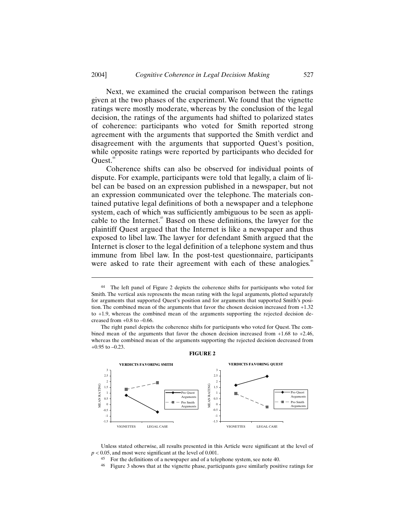Next, we examined the crucial comparison between the ratings given at the two phases of the experiment. We found that the vignette ratings were mostly moderate, whereas by the conclusion of the legal decision, the ratings of the arguments had shifted to polarized states of coherence: participants who voted for Smith reported strong agreement with the arguments that supported the Smith verdict and disagreement with the arguments that supported Quest's position, while opposite ratings were reported by participants who decided for Ouest.<sup>4</sup>

Coherence shifts can also be observed for individual points of dispute. For example, participants were told that legally, a claim of libel can be based on an expression published in a newspaper, but not an expression communicated over the telephone. The materials contained putative legal definitions of both a newspaper and a telephone system, each of which was sufficiently ambiguous to be seen as applicable to the Internet.<sup>45</sup> Based on these definitions, the lawyer for the plaintiff Quest argued that the Internet is like a newspaper and thus exposed to libel law. The lawyer for defendant Smith argued that the Internet is closer to the legal definition of a telephone system and thus immune from libel law. In the post-test questionnaire, participants were asked to rate their agreement with each of these analogies.<sup> $*$ </sup>

 $\overline{a}$ 

The right panel depicts the coherence shifts for participants who voted for Quest. The combined mean of the arguments that favor the chosen decision increased from  $+1.68$  to  $+2.46$ , whereas the combined mean of the arguments supporting the rejected decision decreased from  $+0.95$  to  $-0.23$ .



Unless stated otherwise, all results presented in this Article were significant at the level of  $p < 0.05$ , and most were significant at the level of 0.001.

- <sup>45</sup> For the definitions of a newspaper and of a telephone system, see note 40.
- 46 Figure 3 shows that at the vignette phase, participants gave similarly positive ratings for

<sup>44</sup> The left panel of Figure 2 depicts the coherence shifts for participants who voted for Smith. The vertical axis represents the mean rating with the legal arguments, plotted separately for arguments that supported Quest's position and for arguments that supported Smith's position. The combined mean of the arguments that favor the chosen decision increased from +1.32 to +1.9, whereas the combined mean of the arguments supporting the rejected decision decreased from +0.8 to –0.66.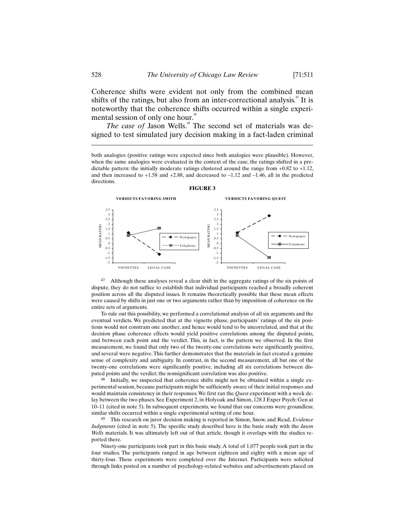Coherence shifts were evident not only from the combined mean shifts of the ratings, but also from an inter-correctional analysis.<sup>47</sup> It is noteworthy that the coherence shifts occurred within a single experimental session of only one hour.<sup>48</sup>

*The case of Jason Wells.*<sup>49</sup> The second set of materials was designed to test simulated jury decision making in a fact-laden criminal

both analogies (positive ratings were expected since both analogies were plausible). However, when the same analogies were evaluated in the context of the case, the ratings shifted in a predictable pattern: the initially moderate ratings clustered around the range from +0.82 to +1.12, and then increased to  $+1.58$  and  $+2.88$ , and decreased to  $-1.12$  and  $-1.46$ , all in the predicted directions.



<sup>47</sup> Although these analyses reveal a clear shift in the aggregate ratings of the six points of dispute, they do not suffice to establish that individual participants reached a broadly coherent position across all the disputed issues. It remains theoretically possible that these mean effects were caused by shifts in just one or two arguments rather than by imposition of coherence on the entire sets of arguments.

To rule out this possibility, we performed a correlational analysis of all six arguments and the eventual verdicts. We predicted that at the vignette phase, participants' ratings of the six positions would not constrain one another, and hence would tend to be uncorrelated, and that at the decision phase coherence effects would yield positive correlations among the disputed points, and between each point and the verdict. This, in fact, is the pattern we observed. In the first measurement, we found that only two of the twenty-one correlations were significantly positive, and several were negative. This further demonstrates that the materials in fact created a genuine sense of complexity and ambiguity. In contrast, in the second measurement, all but one of the twenty-one correlations were significantly positive, including all six correlations between disputed points and the verdict; the nonsignificant correlation was also positive.

48 Initially, we suspected that coherence shifts might not be obtained within a single experimental session, because participants might be sufficiently aware of their initial responses and would maintain consistency in their responses. We first ran the *Quest* experiment with a week delay between the two phases. See Experiment 2, in Holyoak and Simon, 128 J Exper Psych: Gen at 10–11 (cited in note 5). In subsequent experiments, we found that our concerns were groundless: similar shifts occurred within a single experimental setting of one hour.

<sup>49</sup> This research on juror decision making is reported in Simon, Snow, and Read, *Evidence Judgments* (cited in note 5). The specific study described here is the basic study with the *Jason Wells* materials. It was ultimately left out of that article, though it overlaps with the studies reported there.

Ninety-one participants took part in this basic study. A total of 1,077 people took part in the four studies. The participants ranged in age between eighteen and eighty with a mean age of thirty-four. These experiments were completed over the Internet. Participants were solicited through links posted on a number of psychology-related websites and advertisements placed on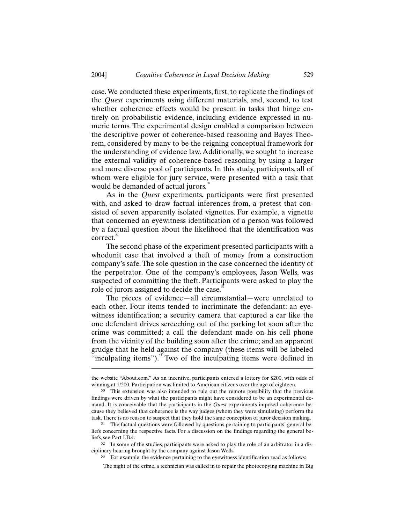case. We conducted these experiments, first, to replicate the findings of the *Quest* experiments using different materials, and, second, to test whether coherence effects would be present in tasks that hinge entirely on probabilistic evidence, including evidence expressed in numeric terms. The experimental design enabled a comparison between the descriptive power of coherence-based reasoning and Bayes Theorem, considered by many to be the reigning conceptual framework for the understanding of evidence law. Additionally, we sought to increase the external validity of coherence-based reasoning by using a larger and more diverse pool of participants. In this study, participants, all of whom were eligible for jury service, were presented with a task that would be demanded of actual jurors.<sup>50</sup>

As in the *Quest* experiments, participants were first presented with, and asked to draw factual inferences from, a pretest that consisted of seven apparently isolated vignettes. For example, a vignette that concerned an eyewitness identification of a person was followed by a factual question about the likelihood that the identification was  $correct.<sup>51</sup>$ 

The second phase of the experiment presented participants with a whodunit case that involved a theft of money from a construction company's safe. The sole question in the case concerned the identity of the perpetrator. One of the company's employees, Jason Wells, was suspected of committing the theft. Participants were asked to play the role of jurors assigned to decide the case.<sup>5</sup>

The pieces of evidence—all circumstantial—were unrelated to each other. Four items tended to incriminate the defendant: an eyewitness identification; a security camera that captured a car like the one defendant drives screeching out of the parking lot soon after the crime was committed; a call the defendant made on his cell phone from the vicinity of the building soon after the crime; and an apparent grudge that he held against the company (these items will be labeled "inculpating items"). $\frac{3}{5}$  Two of the inculpating items were defined in

1

<sup>53</sup> For example, the evidence pertaining to the eyewitness identification read as follows:

The night of the crime, a technician was called in to repair the photocopying machine in Big

the website "About.com." As an incentive, participants entered a lottery for \$200, with odds of winning at 1/200. Participation was limited to American citizens over the age of eighteen.

<sup>&</sup>lt;sup>50</sup> This extension was also intended to rule out the remote possibility that the previous findings were driven by what the participants might have considered to be an experimental demand. It is conceivable that the participants in the *Quest* experiments imposed coherence because they believed that coherence is the way judges (whom they were simulating) perform the task. There is no reason to suspect that they hold the same conception of juror decision making.

<sup>51</sup> The factual questions were followed by questions pertaining to participants' general beliefs concerning the respective facts. For a discussion on the findings regarding the general beliefs, see Part I.B.4.

<sup>52</sup> In some of the studies, participants were asked to play the role of an arbitrator in a disciplinary hearing brought by the company against Jason Wells.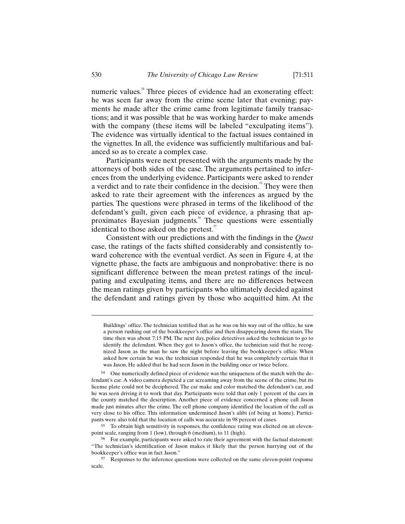numeric values.<sup>54</sup> Three pieces of evidence had an exonerating effect: he was seen far away from the crime scene later that evening; payments he made after the crime came from legitimate family transactions; and it was possible that he was working harder to make amends with the company (these items will be labeled "exculpating items"). The evidence was virtually identical to the factual issues contained in the vignettes. In all, the evidence was sufficiently multifarious and balanced so as to create a complex case.

Participants were next presented with the arguments made by the attorneys of both sides of the case. The arguments pertained to inferences from the underlying evidence. Participants were asked to render a verdict and to rate their confidence in the decision.<sup>5</sup> They were then asked to rate their agreement with the inferences as argued by the parties. The questions were phrased in terms of the likelihood of the defendant's guilt, given each piece of evidence, a phrasing that approximates Bayesian judgments.<sup>56</sup> These questions were essentially identical to those asked on the pretest. $\frac{5}{10}$ 

Consistent with our predictions and with the findings in the *Quest* case, the ratings of the facts shifted considerably and consistently toward coherence with the eventual verdict. As seen in Figure 4, at the vignette phase, the facts are ambiguous and nonprobative: there is no significant difference between the mean pretest ratings of the inculpating and exculpating items, and there are no differences between the mean ratings given by participants who ultimately decided against the defendant and ratings given by those who acquitted him. At the

55 To obtain high sensitivity in responses, the confidence rating was elicited on an elevenpoint scale, ranging from 1 (low), through 6 (medium), to 11 (high).

Buildings' office. The technician testified that as he was on his way out of the office, he saw a person rushing out of the bookkeeper's office and then disappearing down the stairs. The time then was about 7:15 PM. The next day, police detectives asked the technician to go to identify the defendant. When they got to Jason's office, the technician said that he recognized Jason as the man he saw the night before leaving the bookkeeper's office. When asked how certain he was, the technician responded that he was completely certain that it was Jason. He added that he had seen Jason in the building once or twice before.

<sup>54</sup> One numerically defined piece of evidence was the uniqueness of the match with the defendant's car. A video camera depicted a car screaming away from the scene of the crime, but its license plate could not be deciphered. The car make and color matched the defendant's car, and he was seen driving it to work that day. Participants were told that only 1 percent of the cars in the county matched the description. Another piece of evidence concerned a phone call Jason made just minutes after the crime. The cell phone company identified the location of the call as very close to his office. This information undermined Jason's alibi (of being at home). Participants were also told that the location of calls was accurate in 98 percent of cases.

<sup>56</sup> For example, participants were asked to rate their agreement with the factual statement: "The technician's identification of Jason makes it likely that the person hurrying out of the bookkeeper's office was in fact Jason."

<sup>57</sup> Responses to the inference questions were collected on the same eleven-point response scale.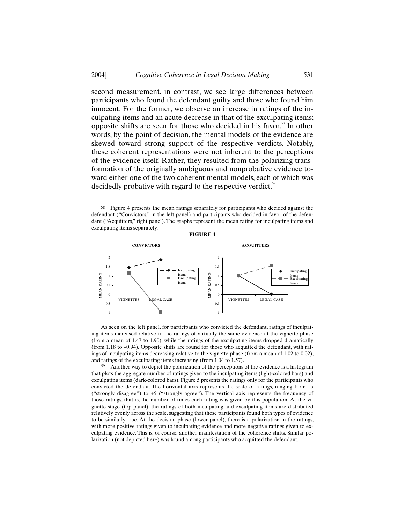$\overline{a}$ 

second measurement, in contrast, we see large differences between participants who found the defendant guilty and those who found him innocent. For the former, we observe an increase in ratings of the inculpating items and an acute decrease in that of the exculpating items; opposite shifts are seen for those who decided in his favor.<sup>88</sup> In other words, by the point of decision, the mental models of the evidence are skewed toward strong support of the respective verdicts. Notably, these coherent representations were not inherent to the perceptions of the evidence itself. Rather, they resulted from the polarizing transformation of the originally ambiguous and nonprobative evidence toward either one of the two coherent mental models, each of which was decidedly probative with regard to the respective verdict.<sup>59</sup>

<sup>58</sup> Figure 4 presents the mean ratings separately for participants who decided against the defendant ("Convictors," in the left panel) and participants who decided in favor of the defendant ("Acquitters," right panel). The graphs represent the mean rating for inculpating items and exculpating items separately.



As seen on the left panel, for participants who convicted the defendant, ratings of inculpating items increased relative to the ratings of virtually the same evidence at the vignette phase (from a mean of 1.47 to 1.90), while the ratings of the exculpating items dropped dramatically (from 1.18 to –0.94). Opposite shifts are found for those who acquitted the defendant, with ratings of inculpating items decreasing relative to the vignette phase (from a mean of 1.02 to 0.02), and ratings of the exculpating items increasing (from 1.04 to 1.57).

<sup>59</sup> Another way to depict the polarization of the perceptions of the evidence is a histogram that plots the aggregate number of ratings given to the inculpating items (light-colored bars) and exculpating items (dark-colored bars). Figure 5 presents the ratings only for the participants who convicted the defendant. The horizontal axis represents the scale of ratings, ranging from –5 ("strongly disagree") to +5 ("strongly agree"). The vertical axis represents the frequency of those ratings, that is, the number of times each rating was given by this population. At the vignette stage (top panel), the ratings of both inculpating and exculpating items are distributed relatively evenly across the scale, suggesting that these participants found both types of evidence to be similarly true. At the decision phase (lower panel), there is a polarization in the ratings, with more positive ratings given to inculpating evidence and more negative ratings given to exculpating evidence. This is, of course, another manifestation of the coherence shifts. Similar polarization (not depicted here) was found among participants who acquitted the defendant.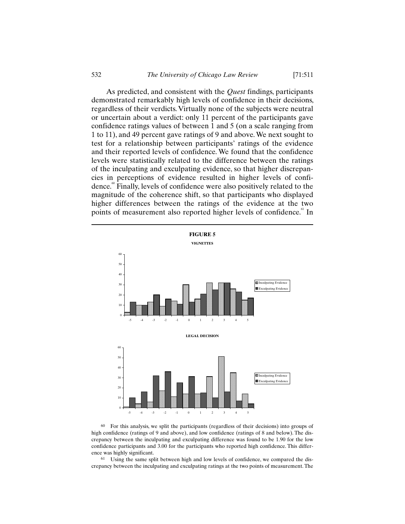As predicted, and consistent with the *Quest* findings, participants demonstrated remarkably high levels of confidence in their decisions, regardless of their verdicts. Virtually none of the subjects were neutral or uncertain about a verdict: only 11 percent of the participants gave confidence ratings values of between 1 and 5 (on a scale ranging from 1 to 11), and 49 percent gave ratings of 9 and above. We next sought to test for a relationship between participants' ratings of the evidence and their reported levels of confidence. We found that the confidence levels were statistically related to the difference between the ratings of the inculpating and exculpating evidence, so that higher discrepancies in perceptions of evidence resulted in higher levels of confidence.<sup>®</sup> Finally, levels of confidence were also positively related to the magnitude of the coherence shift, so that participants who displayed higher differences between the ratings of the evidence at the two points of measurement also reported higher levels of confidence.<sup>61</sup> In



<sup>60</sup> For this analysis, we split the participants (regardless of their decisions) into groups of high confidence (ratings of 9 and above), and low confidence (ratings of 8 and below). The discrepancy between the inculpating and exculpating difference was found to be 1.90 for the low confidence participants and 3.00 for the participants who reported high confidence. This difference was highly significant.

61 Using the same split between high and low levels of confidence, we compared the discrepancy between the inculpating and exculpating ratings at the two points of measurement. The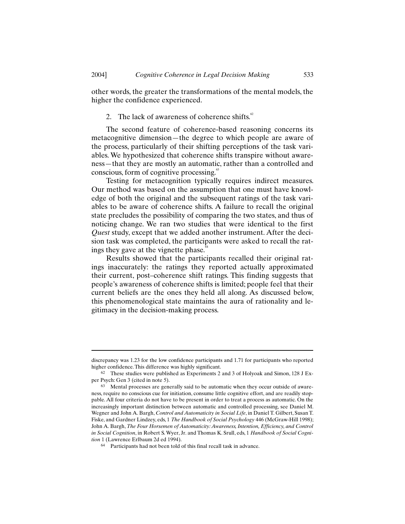other words, the greater the transformations of the mental models, the higher the confidence experienced.

## 2. The lack of awareness of coherence shifts. $62$

The second feature of coherence-based reasoning concerns its metacognitive dimension—the degree to which people are aware of the process, particularly of their shifting perceptions of the task variables. We hypothesized that coherence shifts transpire without awareness—that they are mostly an automatic, rather than a controlled and conscious, form of cognitive processing. $\frac{63}{5}$ 

Testing for metacognition typically requires indirect measures. Our method was based on the assumption that one must have knowledge of both the original and the subsequent ratings of the task variables to be aware of coherence shifts. A failure to recall the original state precludes the possibility of comparing the two states, and thus of noticing change. We ran two studies that were identical to the first *Quest* study, except that we added another instrument. After the decision task was completed, the participants were asked to recall the ratings they gave at the vignette phase.<sup>\*</sup>

Results showed that the participants recalled their original ratings inaccurately: the ratings they reported actually approximated their current, post–coherence shift ratings. This finding suggests that people's awareness of coherence shifts is limited; people feel that their current beliefs are the ones they held all along. As discussed below, this phenomenological state maintains the aura of rationality and legitimacy in the decision-making process.

discrepancy was 1.23 for the low confidence participants and 1.71 for participants who reported higher confidence. This difference was highly significant.

<sup>62</sup> These studies were published as Experiments 2 and 3 of Holyoak and Simon, 128 J Exper Psych: Gen 3 (cited in note 5).

<sup>63</sup> Mental processes are generally said to be automatic when they occur outside of awareness, require no conscious cue for initiation, consume little cognitive effort, and are readily stoppable. All four criteria do not have to be present in order to treat a process as automatic. On the increasingly important distinction between automatic and controlled processing, see Daniel M. Wegner and John A. Bargh, *Control and Automaticity in Social Life*, in Daniel T. Gilbert, Susan T. Fiske, and Gardner Lindzey, eds, 1 *The Handbook of Social Psychology* 446 (McGraw-Hill 1998); John A. Bargh, *The Four Horsemen of Automaticity: Awareness, Intention, Efficiency, and Control in Social Cognition*, in Robert S. Wyer, Jr. and Thomas K. Srull, eds, 1 *Handbook of Social Cognition* 1 (Lawrence Erlbaum 2d ed 1994).

<sup>64</sup> Participants had not been told of this final recall task in advance.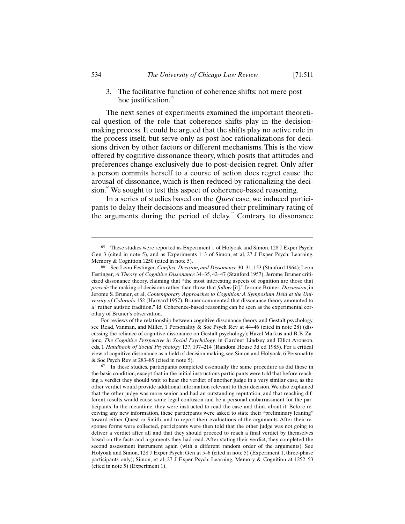3. The facilitative function of coherence shifts: not mere post hoc justification.<sup>6</sup>

The next series of experiments examined the important theoretical question of the role that coherence shifts play in the decisionmaking process. It could be argued that the shifts play no active role in the process itself, but serve only as post hoc rationalizations for decisions driven by other factors or different mechanisms. This is the view offered by cognitive dissonance theory, which posits that attitudes and preferences change exclusively due to post-decision regret. Only after a person commits herself to a course of action does regret cause the arousal of dissonance, which is then reduced by rationalizing the decision.<sup>66</sup> We sought to test this aspect of coherence-based reasoning.

In a series of studies based on the *Quest* case, we induced participants to delay their decisions and measured their preliminary rating of the arguments during the period of delay. $\degree$  Contrary to dissonance

<sup>65</sup> These studies were reported as Experiment 1 of Holyoak and Simon, 128 J Exper Psych: Gen 3 (cited in note 5), and as Experiments 1–3 of Simon, et al, 27 J Exper Psych: Learning, Memory & Cognition 1250 (cited in note 5).

<sup>66</sup> See Leon Festinger, *Conflict, Decision, and Dissonance* 30–31, 153 (Stanford 1964); Leon Festinger, *A Theory of Cognitive Dissonance* 34–35, 42–47 (Stanford 1957). Jerome Bruner criticized dissonance theory, claiming that "the most interesting aspects of cognition are those that *precede* the making of decisions rather than those that *follow* [it]." Jerome Bruner, *Discussion*, in Jerome S. Bruner, et al, *Contemporary Approaches to Cognition: A Symposium Held at the University of Colorado* 152 (Harvard 1957). Bruner commented that dissonance theory amounted to a "rather autistic tradition." Id. Coherence-based reasoning can be seen as the experimental corollary of Bruner's observation.

For reviews of the relationship between cognitive dissonance theory and Gestalt psychology, see Read, Vanman, and Miller, 1 Personality & Soc Psych Rev at 44–46 (cited in note 28) (discussing the reliance of cognitive dissonance on Gestalt psychology); Hazel Markus and R.B. Zajonc, *The Cognitive Perspective in Social Psychology*, in Gardner Lindzey and Elliot Aronson, eds, 1 *Handbook of Social Psychology* 137, 197–214 (Random House 3d ed 1985). For a critical view of cognitive dissonance as a field of decision making, see Simon and Holyoak, 6 Personality & Soc Psych Rev at 283–85 (cited in note 5).

<sup>67</sup> In these studies, participants completed essentially the same procedure as did those in the basic condition, except that in the initial instructions participants were told that before reaching a verdict they should wait to hear the verdict of another judge in a very similar case, as the other verdict would provide additional information relevant to their decision. We also explained that the other judge was more senior and had an outstanding reputation, and that reaching different results would cause some legal confusion and be a personal embarrassment for the participants. In the meantime, they were instructed to read the case and think about it. Before receiving any new information, these participants were asked to state their "preliminary leaning" toward either Quest or Smith, and to report their evaluations of the arguments. After their response forms were collected, participants were then told that the other judge was not going to deliver a verdict after all and that they should proceed to reach a final verdict by themselves based on the facts and arguments they had read. After stating their verdict, they completed the second assessment instrument again (with a different random order of the arguments). See Holyoak and Simon, 128 J Exper Psych: Gen at 5–6 (cited in note 5) (Experiment 1, three-phase participants only); Simon, et al, 27 J Exper Psych: Learning, Memory & Cognition at 1252–53 (cited in note 5) (Experiment 1).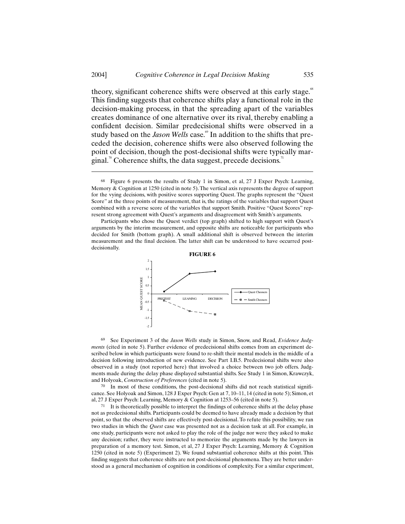1

theory, significant coherence shifts were observed at this early stage.<sup>88</sup> This finding suggests that coherence shifts play a functional role in the decision-making process, in that the spreading apart of the variables creates dominance of one alternative over its rival, thereby enabling a confident decision. Similar predecisional shifts were observed in a study based on the *Jason Wells* case.<sup>69</sup> In addition to the shifts that preceded the decision, coherence shifts were also observed following the point of decision, though the post-decisional shifts were typically marginal.<sup>70</sup> Coherence shifts, the data suggest, precede decisions.<sup>71</sup>

Participants who chose the Quest verdict (top graph) shifted to high support with Quest's arguments by the interim measurement, and opposite shifts are noticeable for participants who decided for Smith (bottom graph). A small additional shift is observed between the interim measurement and the final decision. The latter shift can be understood to have occurred postdecisionally.



69 See Experiment 3 of the *Jason Wells* study in Simon, Snow, and Read, *Evidence Judgments* (cited in note 5). Further evidence of predecisional shifts comes from an experiment described below in which participants were found to re-shift their mental models in the middle of a decision following introduction of new evidence. See Part I.B.5. Predecisional shifts were also observed in a study (not reported here) that involved a choice between two job offers. Judgments made during the delay phase displayed substantial shifts. See Study 1 in Simon, Krawczyk, and Holyoak, *Construction of Preferences* (cited in note 5).

 $70$  In most of these conditions, the post-decisional shifts did not reach statistical significance. See Holyoak and Simon, 128 J Exper Psych: Gen at 7, 10–11, 14 (cited in note 5); Simon, et al, 27 J Exper Psych: Learning, Memory & Cognition at 1253–56 (cited in note 5).

<sup>71</sup> It is theoretically possible to interpret the findings of coherence shifts at the delay phase not as predecisional shifts. Participants could be deemed to have already made a decision by that point, so that the observed shifts are effectively post-decisional. To refute this possibility, we ran two studies in which the *Quest* case was presented not as a decision task at all. For example, in one study, participants were not asked to play the role of the judge nor were they asked to make any decision; rather, they were instructed to memorize the arguments made by the lawyers in preparation of a memory test. Simon, et al, 27 J Exper Psych: Learning, Memory & Cognition 1250 (cited in note 5) (Experiment 2). We found substantial coherence shifts at this point. This finding suggests that coherence shifts are not post-decisional phenomena. They are better understood as a general mechanism of cognition in conditions of complexity. For a similar experiment,

Figure 6 presents the results of Study 1 in Simon, et al, 27 J Exper Psych: Learning, Memory & Cognition at 1250 (cited in note 5). The vertical axis represents the degree of support for the vying decisions, with positive scores supporting Quest. The graphs represent the "Quest Score" at the three points of measurement, that is, the ratings of the variables that support Quest combined with a reverse score of the variables that support Smith. Positive "Quest Scores" represent strong agreement with Quest's arguments and disagreement with Smith's arguments.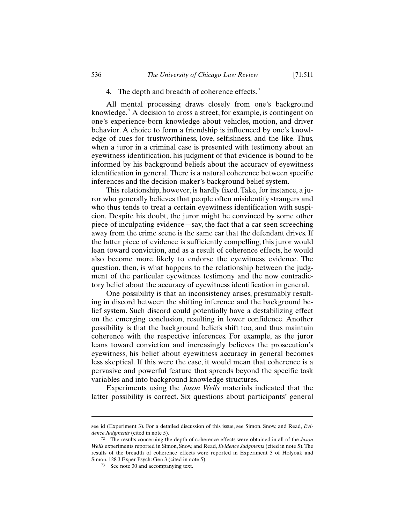## 4. The depth and breadth of coherence effects. $\alpha$ <sup>2</sup>

All mental processing draws closely from one's background knowledge.<sup> $3$ </sup> A decision to cross a street, for example, is contingent on one's experience-born knowledge about vehicles, motion, and driver behavior. A choice to form a friendship is influenced by one's knowledge of cues for trustworthiness, love, selfishness, and the like. Thus, when a juror in a criminal case is presented with testimony about an eyewitness identification, his judgment of that evidence is bound to be informed by his background beliefs about the accuracy of eyewitness identification in general. There is a natural coherence between specific inferences and the decision-maker's background belief system.

This relationship, however, is hardly fixed. Take, for instance, a juror who generally believes that people often misidentify strangers and who thus tends to treat a certain eyewitness identification with suspicion. Despite his doubt, the juror might be convinced by some other piece of inculpating evidence—say, the fact that a car seen screeching away from the crime scene is the same car that the defendant drives. If the latter piece of evidence is sufficiently compelling, this juror would lean toward conviction, and as a result of coherence effects, he would also become more likely to endorse the eyewitness evidence. The question, then, is what happens to the relationship between the judgment of the particular eyewitness testimony and the now contradictory belief about the accuracy of eyewitness identification in general.

One possibility is that an inconsistency arises, presumably resulting in discord between the shifting inference and the background belief system. Such discord could potentially have a destabilizing effect on the emerging conclusion, resulting in lower confidence. Another possibility is that the background beliefs shift too, and thus maintain coherence with the respective inferences. For example, as the juror leans toward conviction and increasingly believes the prosecution's eyewitness, his belief about eyewitness accuracy in general becomes less skeptical. If this were the case, it would mean that coherence is a pervasive and powerful feature that spreads beyond the specific task variables and into background knowledge structures.

Experiments using the *Jason Wells* materials indicated that the latter possibility is correct. Six questions about participants' general

see id (Experiment 3). For a detailed discussion of this issue, see Simon, Snow, and Read, *Evidence Judgments* (cited in note 5).

<sup>72</sup> The results concerning the depth of coherence effects were obtained in all of the *Jason Wells* experiments reported in Simon, Snow, and Read, *Evidence Judgments* (cited in note 5). The results of the breadth of coherence effects were reported in Experiment 3 of Holyoak and Simon, 128 J Exper Psych: Gen 3 (cited in note 5).

<sup>73</sup> See note 30 and accompanying text.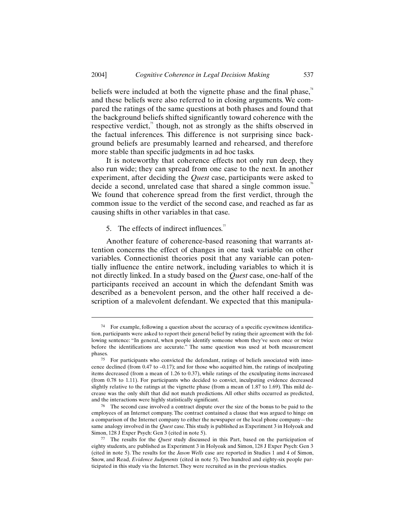beliefs were included at both the vignette phase and the final phase, $4\pi$ and these beliefs were also referred to in closing arguments. We compared the ratings of the same questions at both phases and found that the background beliefs shifted significantly toward coherence with the respective verdict, $\frac{1}{2}$  though, not as strongly as the shifts observed in the factual inferences. This difference is not surprising since background beliefs are presumably learned and rehearsed, and therefore more stable than specific judgments in ad hoc tasks.

It is noteworthy that coherence effects not only run deep, they also run wide; they can spread from one case to the next. In another experiment, after deciding the *Quest* case, participants were asked to decide a second, unrelated case that shared a single common issue.<sup>76</sup> We found that coherence spread from the first verdict, through the common issue to the verdict of the second case, and reached as far as causing shifts in other variables in that case.

## 5. The effects of indirect influences. $\overline{r}$

 $\overline{a}$ 

Another feature of coherence-based reasoning that warrants attention concerns the effect of changes in one task variable on other variables. Connectionist theories posit that any variable can potentially influence the entire network, including variables to which it is not directly linked. In a study based on the *Quest* case, one-half of the participants received an account in which the defendant Smith was described as a benevolent person, and the other half received a description of a malevolent defendant. We expected that this manipula-

<sup>74</sup> For example, following a question about the accuracy of a specific eyewitness identification, participants were asked to report their general belief by rating their agreement with the following sentence: "In general, when people identify someone whom they've seen once or twice before the identifications are accurate." The same question was used at both measurement phases.

For participants who convicted the defendant, ratings of beliefs associated with innocence declined (from 0.47 to  $-0.17$ ); and for those who acquitted him, the ratings of inculpating items decreased (from a mean of 1.26 to 0.37), while ratings of the exculpating items increased (from 0.78 to 1.11). For participants who decided to convict, inculpating evidence decreased slightly relative to the ratings at the vignette phase (from a mean of 1.87 to 1.69). This mild decrease was the only shift that did not match predictions. All other shifts occurred as predicted, and the interactions were highly statistically significant.

<sup>76</sup> The second case involved a contract dispute over the size of the bonus to be paid to the employees of an Internet company. The contract contained a clause that was argued to hinge on a comparison of the Internet company to either the newspaper or the local phone company—the same analogy involved in the *Quest* case. This study is published as Experiment 3 in Holyoak and Simon, 128 J Exper Psych: Gen 3 (cited in note 5).

<sup>77</sup> The results for the *Quest* study discussed in this Part, based on the participation of eighty students, are published as Experiment 3 in Holyoak and Simon, 128 J Exper Psych: Gen 3 (cited in note 5). The results for the *Jason Wells* case are reported in Studies 1 and 4 of Simon, Snow, and Read, *Evidence Judgments* (cited in note 5). Two hundred and eighty-six people participated in this study via the Internet. They were recruited as in the previous studies.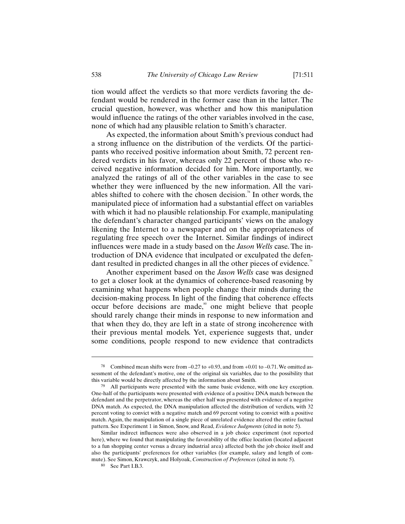tion would affect the verdicts so that more verdicts favoring the defendant would be rendered in the former case than in the latter. The crucial question, however, was whether and how this manipulation would influence the ratings of the other variables involved in the case, none of which had any plausible relation to Smith's character.

As expected, the information about Smith's previous conduct had a strong influence on the distribution of the verdicts. Of the participants who received positive information about Smith, 72 percent rendered verdicts in his favor, whereas only 22 percent of those who received negative information decided for him. More importantly, we analyzed the ratings of all of the other variables in the case to see whether they were influenced by the new information. All the variables shifted to cohere with the chosen decision.<sup>8</sup> In other words, the manipulated piece of information had a substantial effect on variables with which it had no plausible relationship. For example, manipulating the defendant's character changed participants' views on the analogy likening the Internet to a newspaper and on the appropriateness of regulating free speech over the Internet. Similar findings of indirect influences were made in a study based on the *Jason Wells* case. The introduction of DNA evidence that inculpated or exculpated the defendant resulted in predicted changes in all the other pieces of evidence.<sup>79</sup>

Another experiment based on the *Jason Wells* case was designed to get a closer look at the dynamics of coherence-based reasoning by examining what happens when people change their minds during the decision-making process. In light of the finding that coherence effects occur before decisions are made, $\degree$  one might believe that people should rarely change their minds in response to new information and that when they do, they are left in a state of strong incoherence with their previous mental models. Yet, experience suggests that, under some conditions, people respond to new evidence that contradicts

80 See Part I.B.3.

<sup>78</sup> Combined mean shifts were from –0.27 to +0.93, and from +0.01 to –0.71. We omitted assessment of the defendant's motive, one of the original six variables, due to the possibility that this variable would be directly affected by the information about Smith.

<sup>&</sup>lt;sup>79</sup> All participants were presented with the same basic evidence, with one key exception. One-half of the participants were presented with evidence of a positive DNA match between the defendant and the perpetrator, whereas the other half was presented with evidence of a negative DNA match. As expected, the DNA manipulation affected the distribution of verdicts, with 32 percent voting to convict with a negative match and 69 percent voting to convict with a positive match. Again, the manipulation of a single piece of unrelated evidence altered the entire factual pattern. See Experiment 1 in Simon, Snow, and Read, *Evidence Judgments* (cited in note 5).

Similar indirect influences were also observed in a job choice experiment (not reported here), where we found that manipulating the favorability of the office location (located adjacent to a fun shopping center versus a dreary industrial area) affected both the job choice itself and also the participants' preferences for other variables (for example, salary and length of commute). See Simon, Krawczyk, and Holyoak, *Construction of Preferences* (cited in note 5).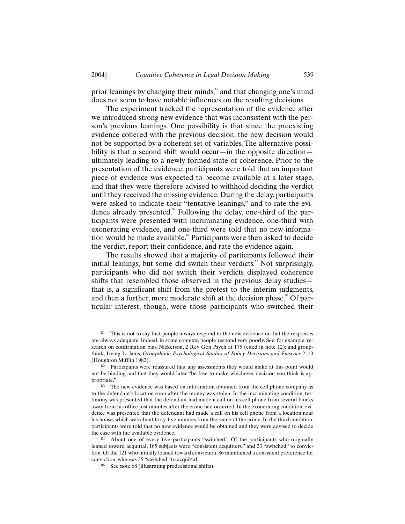prior leanings by changing their minds, $\frac{8}{3}$  and that changing one's mind does not seem to have notable influences on the resulting decisions.

The experiment tracked the representation of the evidence after we introduced strong new evidence that was inconsistent with the person's previous leanings. One possibility is that since the preexisting evidence cohered with the previous decision, the new decision would not be supported by a coherent set of variables. The alternative possibility is that a second shift would occur—in the opposite direction ultimately leading to a newly formed state of coherence. Prior to the presentation of the evidence, participants were told that an important piece of evidence was expected to become available at a later stage, and that they were therefore advised to withhold deciding the verdict until they received the missing evidence. During the delay, participants were asked to indicate their "tentative leanings," and to rate the evidence already presented. $8^{\circ}$  Following the delay, one-third of the participants were presented with incriminating evidence, one-third with exonerating evidence, and one-third were told that no new information would be made available.<sup>83</sup> Participants were then asked to decide the verdict, report their confidence, and rate the evidence again.

The results showed that a majority of participants followed their initial leanings, but some did switch their verdicts.<sup>84</sup> Not surprisingly, participants who did not switch their verdicts displayed coherence shifts that resembled those observed in the previous delay studies that is, a significant shift from the pretest to the interim judgments, and then a further, more moderate shift at the decision phase. $\degree$  Of particular interest, though, were those participants who switched their

<sup>&</sup>lt;sup>81</sup> This is not to say that people always respond to the new evidence or that the responses are always adequate. Indeed, in some contexts, people respond very poorly. See, for example, research on confirmation bias, Nickerson, 2 Rev Gen Psych at 175 (cited in note 12); and groupthink, Irving L. Janis, *Groupthink: Psychological Studies of Policy Decisions and Fiascoes* 2–13 (Houghton Mifflin 1982).

<sup>82</sup> Participants were reassured that any assessments they would make at this point would not be binding and that they would later "be free to make whichever decision you think is appropriate."

<sup>83</sup> The new evidence was based on information obtained from the cell phone company as to the defendant's location soon after the money was stolen. In the incriminating condition, testimony was presented that the defendant had made a call on his cell phone from several blocks away from his office just minutes after the crime had occurred. In the exonerating condition, evidence was presented that the defendant had made a call on his cell phone from a location near his house, which was about forty-five minutes from the scene of the crime. In the third condition, participants were told that no new evidence would be obtained and they were advised to decide the case with the available evidence.

<sup>84</sup> About one of every five participants "switched." Of the participants who originally leaned toward acquittal, 165 subjects were "consistent acquitters," and 23 "switched" to conviction. Of the 121 who initially leaned toward conviction, 86 maintained a consistent preference for conviction, whereas 35 "switched" to acquittal.

<sup>85</sup> See note 68 (illustrating predecisional shifts).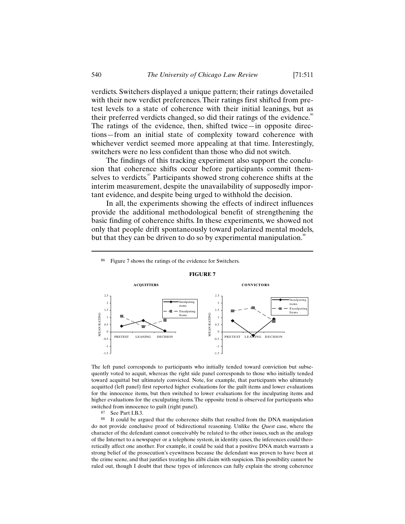verdicts. Switchers displayed a unique pattern; their ratings dovetailed with their new verdict preferences. Their ratings first shifted from pretest levels to a state of coherence with their initial leanings, but as their preferred verdicts changed, so did their ratings of the evidence.<sup>86</sup> The ratings of the evidence, then, shifted twice—in opposite directions—from an initial state of complexity toward coherence with whichever verdict seemed more appealing at that time. Interestingly, switchers were no less confident than those who did not switch.

The findings of this tracking experiment also support the conclusion that coherence shifts occur before participants commit themselves to verdicts.<sup>87</sup> Participants showed strong coherence shifts at the interim measurement, despite the unavailability of supposedly important evidence, and despite being urged to withhold the decision.

In all, the experiments showing the effects of indirect influences provide the additional methodological benefit of strengthening the basic finding of coherence shifts. In these experiments, we showed not only that people drift spontaneously toward polarized mental models, but that they can be driven to do so by experimental manipulation.<sup>88</sup>



The left panel corresponds to participants who initially tended toward conviction but subsequently voted to acquit, whereas the right side panel corresponds to those who initially tended toward acquittal but ultimately convicted. Note, for example, that participants who ultimately acquitted (left panel) first reported higher evaluations for the guilt items and lower evaluations for the innocence items, but then switched to lower evaluations for the inculpating items and higher evaluations for the exculpating items. The opposite trend is observed for participants who switched from innocence to guilt (right panel).

<sup>87</sup> See Part I.B.3.

<sup>88</sup> It could be argued that the coherence shifts that resulted from the DNA manipulation do not provide conclusive proof of bidirectional reasoning. Unlike the *Quest* case, where the character of the defendant cannot conceivably be related to the other issues, such as the analogy of the Internet to a newspaper or a telephone system, in identity cases, the inferences could theoretically affect one another. For example, it could be said that a positive DNA match warrants a strong belief of the prosecution's eyewitness because the defendant was proven to have been at the crime scene, and that justifies treating his alibi claim with suspicion. This possibility cannot be ruled out, though I doubt that these types of inferences can fully explain the strong coherence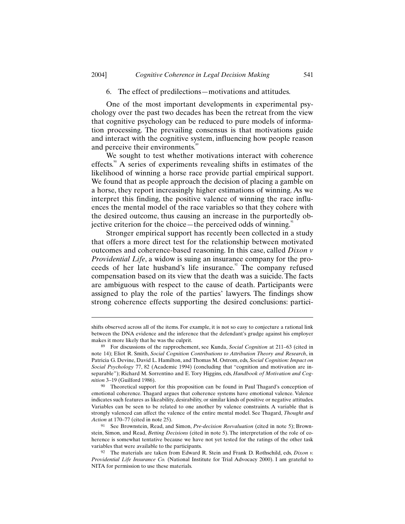## 6. The effect of predilections—motivations and attitudes.

One of the most important developments in experimental psychology over the past two decades has been the retreat from the view that cognitive psychology can be reduced to pure models of information processing. The prevailing consensus is that motivations guide and interact with the cognitive system, influencing how people reason and perceive their environments.<sup>89</sup>

We sought to test whether motivations interact with coherence effects. $\alpha$ <sup> $\alpha$ </sup> A series of experiments revealing shifts in estimates of the likelihood of winning a horse race provide partial empirical support. We found that as people approach the decision of placing a gamble on a horse, they report increasingly higher estimations of winning. As we interpret this finding, the positive valence of winning the race influences the mental model of the race variables so that they cohere with the desired outcome, thus causing an increase in the purportedly objective criterion for the choice—the perceived odds of winning. $\overline{a}$ 

Stronger empirical support has recently been collected in a study that offers a more direct test for the relationship between motivated outcomes and coherence-based reasoning. In this case, called *Dixon v Providential Life*, a widow is suing an insurance company for the proceeds of her late husband's life insurance. $\degree$  The company refused compensation based on its view that the death was a suicide. The facts are ambiguous with respect to the cause of death. Participants were assigned to play the role of the parties' lawyers. The findings show strong coherence effects supporting the desired conclusions: partici-

shifts observed across all of the items. For example, it is not so easy to conjecture a rational link between the DNA evidence and the inference that the defendant's grudge against his employer makes it more likely that he was the culprit.

<sup>89</sup> For discussions of the rapprochement, see Kunda, *Social Cognition* at 211–63 (cited in note 14); Eliot R. Smith, *Social Cognition Contributions to Attribution Theory and Research*, in Patricia G. Devine, David L. Hamilton, and Thomas M. Ostrom, eds, *Social Cognition: Impact on Social Psychology* 77, 82 (Academic 1994) (concluding that "cognition and motivation are inseparable"); Richard M. Sorrentino and E. Tory Higgins, eds, *Handbook of Motivation and Cognition* 3–19 (Guilford 1986).

<sup>&</sup>lt;sup>90</sup> Theoretical support for this proposition can be found in Paul Thagard's conception of emotional coherence. Thagard argues that coherence systems have emotional valence. Valence indicates such features as likeability, desirability, or similar kinds of positive or negative attitudes. Variables can be seen to be related to one another by valence constraints. A variable that is strongly valenced can affect the valence of the entire mental model. See Thagard, *Thought and Action* at 170–77 (cited in note 25).

<sup>91</sup> See Brownstein, Read, and Simon, *Pre-decision Reevaluation* (cited in note 5); Brownstein, Simon, and Read, *Betting Decisions* (cited in note 5). The interpretation of the role of coherence is somewhat tentative because we have not yet tested for the ratings of the other task variables that were available to the participants.

<sup>92</sup> The materials are taken from Edward R. Stein and Frank D. Rothschild, eds, *Dixon v. Providential Life Insurance Co.* (National Institute for Trial Advocacy 2000). I am grateful to NITA for permission to use these materials.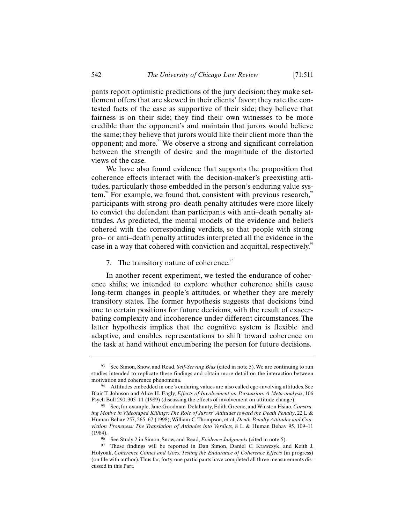pants report optimistic predictions of the jury decision; they make settlement offers that are skewed in their clients' favor; they rate the contested facts of the case as supportive of their side; they believe that fairness is on their side; they find their own witnesses to be more credible than the opponent's and maintain that jurors would believe the same; they believe that jurors would like their client more than the opponent; and more.<sup>93</sup> We observe a strong and significant correlation between the strength of desire and the magnitude of the distorted views of the case.

We have also found evidence that supports the proposition that coherence effects interact with the decision-maker's preexisting attitudes, particularly those embedded in the person's enduring value system. $94$  For example, we found that, consistent with previous research, $95$ participants with strong pro–death penalty attitudes were more likely to convict the defendant than participants with anti–death penalty attitudes. As predicted, the mental models of the evidence and beliefs cohered with the corresponding verdicts, so that people with strong pro– or anti–death penalty attitudes interpreted all the evidence in the case in a way that cohered with conviction and acquittal, respectively.<sup>86</sup>

7. The transitory nature of coherence. $\mathbb{S}^7$ 

In another recent experiment, we tested the endurance of coherence shifts; we intended to explore whether coherence shifts cause long-term changes in people's attitudes, or whether they are merely transitory states. The former hypothesis suggests that decisions bind one to certain positions for future decisions, with the result of exacerbating complexity and incoherence under different circumstances. The latter hypothesis implies that the cognitive system is flexible and adaptive, and enables representations to shift toward coherence on the task at hand without encumbering the person for future decisions.

<sup>93</sup> See Simon, Snow, and Read, *Self-Serving Bias* (cited in note 5). We are continuing to run studies intended to replicate these findings and obtain more detail on the interaction between motivation and coherence phenomena.

<sup>&</sup>lt;sup>94</sup> Attitudes embedded in one's enduring values are also called ego-involving attitudes. See Blair T. Johnson and Alice H. Eagly, *Effects of Involvement on Persuasion: A Meta-analysis*, 106 Psych Bull 290, 305–11 (1989) (discussing the effects of involvement on attitude change).

<sup>95</sup> See, for example, Jane Goodman-Delahunty, Edith Greene, and Winston Hsiao, *Construing Motive in Videotaped Killings: The Role of Jurors' Attitudes toward the Death Penalty*, 22 L & Human Behav 257, 265–67 (1998); William C. Thompson, et al, *Death Penalty Attitudes and Conviction Proneness: The Translation of Attitudes into Verdicts*, 8 L & Human Behav 95, 109–11 (1984).

<sup>96</sup> See Study 2 in Simon, Snow, and Read, *Evidence Judgments* (cited in note 5).

<sup>97</sup> These findings will be reported in Dan Simon, Daniel C. Krawczyk, and Keith J. Holyoak, *Coherence Comes and Goes: Testing the Endurance of Coherence Effects* (in progress) (on file with author). Thus far, forty-one participants have completed all three measurements discussed in this Part.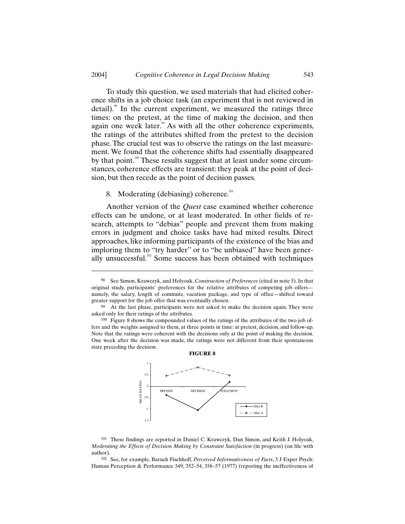To study this question, we used materials that had elicited coherence shifts in a job choice task (an experiment that is not reviewed in detail). $\degree$  In the current experiment, we measured the ratings three times: on the pretest, at the time of making the decision, and then again one week later." As with all the other coherence experiments, the ratings of the attributes shifted from the pretest to the decision phase. The crucial test was to observe the ratings on the last measurement. We found that the coherence shifts had essentially disappeared by that point.<sup>100</sup> These results suggest that at least under some circumstances, coherence effects are transient: they peak at the point of decision, but then recede as the point of decision passes.

## 8. Moderating (debiasing) coherence.<sup>101</sup>

1

Another version of the *Quest* case examined whether coherence effects can be undone, or at least moderated. In other fields of research, attempts to "debias" people and prevent them from making errors in judgment and choice tasks have had mixed results. Direct approaches, like informing participants of the existence of the bias and imploring them to "try harder" or to "be unbiased" have been generally unsuccessful. $102$  Some success has been obtained with techniques

100 Figure 8 shows the compounded values of the ratings of the attributes of the two job offers and the weights assigned to them, at three points in time: at pretest, decision, and follow-up. Note that the ratings were coherent with the decisions only at the point of making the decision. One week after the decision was made, the ratings were not different from their spontaneous state preceding the decision.



<sup>101</sup> These findings are reported in Daniel C. Krawczyk, Dan Simon, and Keith J. Holyoak, *Moderating the Effects of Decision Making by Constraint Satisfaction* (in progress) (on file with author).

<sup>102</sup> See, for example, Baruch Fischhoff, *Perceived Informativeness of Facts*, 3 J Exper Psych: Human Perception & Performance 349, 352–54, 356–57 (1977) (reporting the ineffectiveness of

<sup>98</sup> See Simon, Krawczyk, and Holyoak, *Construction of Preferences* (cited in note 5). In that original study, participants' preferences for the relative attributes of competing job offers namely, the salary, length of commute, vacation package, and type of office—shifted toward greater support for the job offer that was eventually chosen.

<sup>99</sup> At the last phase, participants were not asked to make the decision again. They were asked only for their ratings of the attributes.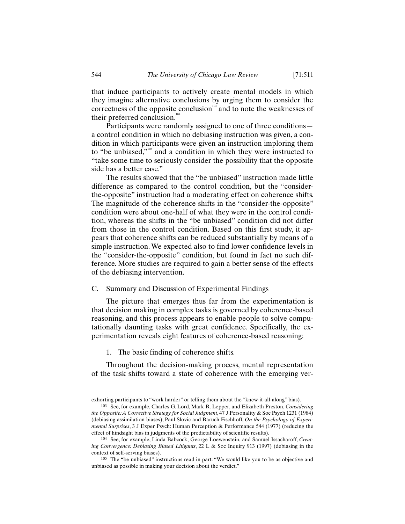that induce participants to actively create mental models in which they imagine alternative conclusions by urging them to consider the correctness of the opposite conclusion<sup>103</sup> and to note the weaknesses of their preferred conclusion. $\frac{10}{10}$ 

Participants were randomly assigned to one of three conditions a control condition in which no debiasing instruction was given, a condition in which participants were given an instruction imploring them to "be unbiased," $105$ " and a condition in which they were instructed to "take some time to seriously consider the possibility that the opposite side has a better case."

The results showed that the "be unbiased" instruction made little difference as compared to the control condition, but the "considerthe-opposite" instruction had a moderating effect on coherence shifts. The magnitude of the coherence shifts in the "consider-the-opposite" condition were about one-half of what they were in the control condition, whereas the shifts in the "be unbiased" condition did not differ from those in the control condition. Based on this first study, it appears that coherence shifts can be reduced substantially by means of a simple instruction. We expected also to find lower confidence levels in the "consider-the-opposite" condition, but found in fact no such difference. More studies are required to gain a better sense of the effects of the debiasing intervention.

## C. Summary and Discussion of Experimental Findings

The picture that emerges thus far from the experimentation is that decision making in complex tasks is governed by coherence-based reasoning, and this process appears to enable people to solve computationally daunting tasks with great confidence. Specifically, the experimentation reveals eight features of coherence-based reasoning:

1. The basic finding of coherence shifts.

Throughout the decision-making process, mental representation of the task shifts toward a state of coherence with the emerging ver-

exhorting participants to "work harder" or telling them about the "knew-it-all-along" bias).

<sup>103</sup> See, for example, Charles G. Lord, Mark R. Lepper, and Elizabeth Preston, *Considering the Opposite: A Corrective Strategy for Social Judgment*, 47 J Personality & Soc Psych 1231 (1984) (debiasing assimilation biases); Paul Slovic and Baruch Fischhoff, *On the Psychology of Experimental Surprises*, 3 J Exper Psych: Human Perception & Performance 544 (1977) (reducing the effect of hindsight bias in judgments of the predictability of scientific results).

<sup>104</sup> See, for example, Linda Babcock, George Loewenstein, and Samuel Issacharoff, *Creating Convergence: Debiasing Biased Litigants*, 22 L & Soc Inquiry 913 (1997) (debiasing in the context of self-serving biases).

<sup>105</sup> The "be unbiased" instructions read in part: "We would like you to be as objective and unbiased as possible in making your decision about the verdict."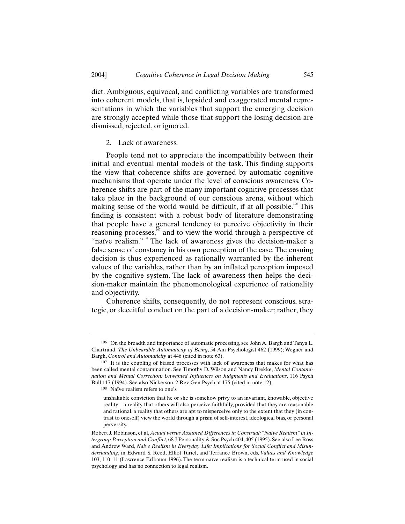dict. Ambiguous, equivocal, and conflicting variables are transformed into coherent models, that is, lopsided and exaggerated mental representations in which the variables that support the emerging decision are strongly accepted while those that support the losing decision are dismissed, rejected, or ignored.

#### 2. Lack of awareness.

People tend not to appreciate the incompatibility between their initial and eventual mental models of the task. This finding supports the view that coherence shifts are governed by automatic cognitive mechanisms that operate under the level of conscious awareness. Coherence shifts are part of the many important cognitive processes that take place in the background of our conscious arena, without which making sense of the world would be difficult, if at all possible.<sup>106</sup> This finding is consistent with a robust body of literature demonstrating that people have a general tendency to perceive objectivity in their reasoning processes, $\frac{107}{100}$  and to view the world through a perspective of "naïve realism."<sup>108</sup> The lack of awareness gives the decision-maker a false sense of constancy in his own perception of the case. The ensuing decision is thus experienced as rationally warranted by the inherent values of the variables, rather than by an inflated perception imposed by the cognitive system. The lack of awareness then helps the decision-maker maintain the phenomenological experience of rationality and objectivity.

Coherence shifts, consequently, do not represent conscious, strategic, or deceitful conduct on the part of a decision-maker; rather, they

<sup>106</sup> On the breadth and importance of automatic processing, see John A. Bargh and Tanya L. Chartrand, *The Unbearable Automaticity of Being*, 54 Am Psychologist 462 (1999); Wegner and Bargh, *Control and Automaticity* at 446 (cited in note 63).

<sup>107</sup> It is the coupling of biased processes with lack of awareness that makes for what has been called mental contamination. See Timothy D. Wilson and Nancy Brekke, *Mental Contamination and Mental Correction: Unwanted Influences on Judgments and Evaluations*, 116 Psych Bull 117 (1994). See also Nickerson, 2 Rev Gen Psych at 175 (cited in note 12).

<sup>108</sup> Naïve realism refers to one's

unshakable conviction that he or she is somehow privy to an invariant, knowable, objective reality—a reality that others will also perceive faithfully, provided that they are reasonable and rational, a reality that others are apt to misperceive only to the extent that they (in contrast to oneself) view the world through a prism of self-interest, ideological bias, or personal perversity.

Robert J. Robinson, et al, *Actual versus Assumed Differences in Construal: "Naive Realism" in Intergroup Perception and Conflict*, 68 J Personality & Soc Psych 404, 405 (1995). See also Lee Ross and Andrew Ward, *Naive Realism in Everyday Life: Implications for Social Conflict and Misunderstanding*, in Edward S. Reed, Elliot Turiel, and Terrance Brown, eds, *Values and Knowledge*  103, 110–11 (Lawrence Erlbaum 1996). The term naïve realism is a technical term used in social psychology and has no connection to legal realism.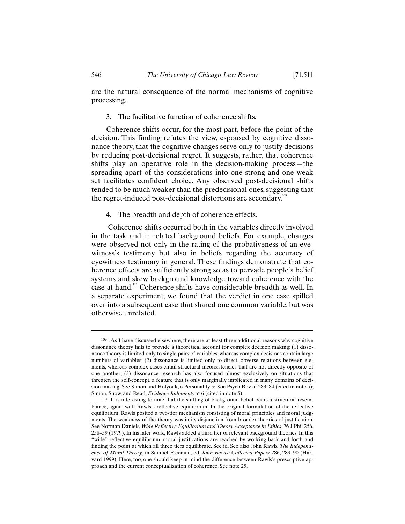are the natural consequence of the normal mechanisms of cognitive processing.

# 3. The facilitative function of coherence shifts.

Coherence shifts occur, for the most part, before the point of the decision. This finding refutes the view, espoused by cognitive dissonance theory, that the cognitive changes serve only to justify decisions by reducing post-decisional regret. It suggests, rather, that coherence shifts play an operative role in the decision-making process—the spreading apart of the considerations into one strong and one weak set facilitates confident choice. Any observed post-decisional shifts tended to be much weaker than the predecisional ones, suggesting that the regret-induced post-decisional distortions are secondary.<sup>109</sup>

### 4. The breadth and depth of coherence effects.

 Coherence shifts occurred both in the variables directly involved in the task and in related background beliefs. For example, changes were observed not only in the rating of the probativeness of an eyewitness's testimony but also in beliefs regarding the accuracy of eyewitness testimony in general. These findings demonstrate that coherence effects are sufficiently strong so as to pervade people's belief systems and skew background knowledge toward coherence with the case at hand.110 Coherence shifts have considerable breadth as well. In a separate experiment, we found that the verdict in one case spilled over into a subsequent case that shared one common variable, but was otherwise unrelated.

<sup>109</sup> As I have discussed elsewhere, there are at least three additional reasons why cognitive dissonance theory fails to provide a theoretical account for complex decision making: (1) dissonance theory is limited only to single pairs of variables, whereas complex decisions contain large numbers of variables; (2) dissonance is limited only to direct, obverse relations between elements, whereas complex cases entail structural inconsistencies that are not directly opposite of one another; (3) dissonance research has also focused almost exclusively on situations that threaten the self-concept, a feature that is only marginally implicated in many domains of decision making. See Simon and Holyoak, 6 Personality & Soc Psych Rev at 283–84 (cited in note 5); Simon, Snow, and Read, *Evidence Judgments* at 6 (cited in note 5).

<sup>110</sup> It is interesting to note that the shifting of background belief bears a structural resemblance, again, with Rawls's reflective equilibrium. In the original formulation of the reflective equilibrium, Rawls posited a two-tier mechanism consisting of moral principles and moral judgments. The weakness of the theory was in its disjunction from broader theories of justification. See Norman Daniels, *Wide Reflective Equilibrium and Theory Acceptance in Ethics*, 76 J Phil 256, 258–59 (1979). In his later work, Rawls added a third tier of relevant background theories. In this "wide" reflective equilibrium, moral justifications are reached by working back and forth and finding the point at which all three tiers equilibrate. See id. See also John Rawls, *The Independence of Moral Theory*, in Samuel Freeman, ed, *John Rawls: Collected Papers* 286, 289–90 (Harvard 1999). Here, too, one should keep in mind the difference between Rawls's prescriptive approach and the current conceptualization of coherence. See note 25.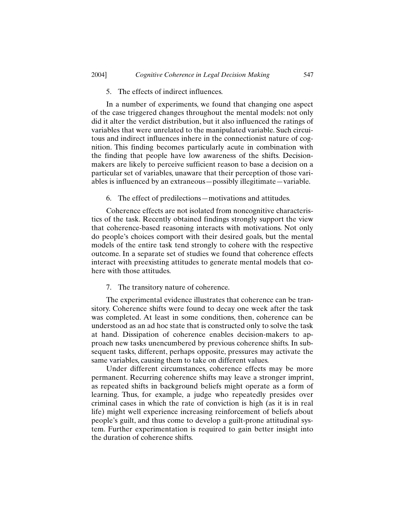# 5. The effects of indirect influences.

In a number of experiments, we found that changing one aspect of the case triggered changes throughout the mental models: not only did it alter the verdict distribution, but it also influenced the ratings of variables that were unrelated to the manipulated variable. Such circuitous and indirect influences inhere in the connectionist nature of cognition. This finding becomes particularly acute in combination with the finding that people have low awareness of the shifts. Decisionmakers are likely to perceive sufficient reason to base a decision on a particular set of variables, unaware that their perception of those variables is influenced by an extraneous—possibly illegitimate—variable.

6. The effect of predilections—motivations and attitudes.

Coherence effects are not isolated from noncognitive characteristics of the task. Recently obtained findings strongly support the view that coherence-based reasoning interacts with motivations. Not only do people's choices comport with their desired goals, but the mental models of the entire task tend strongly to cohere with the respective outcome. In a separate set of studies we found that coherence effects interact with preexisting attitudes to generate mental models that cohere with those attitudes.

### 7. The transitory nature of coherence.

The experimental evidence illustrates that coherence can be transitory. Coherence shifts were found to decay one week after the task was completed. At least in some conditions, then, coherence can be understood as an ad hoc state that is constructed only to solve the task at hand. Dissipation of coherence enables decision-makers to approach new tasks unencumbered by previous coherence shifts. In subsequent tasks, different, perhaps opposite, pressures may activate the same variables, causing them to take on different values.

Under different circumstances, coherence effects may be more permanent. Recurring coherence shifts may leave a stronger imprint, as repeated shifts in background beliefs might operate as a form of learning. Thus, for example, a judge who repeatedly presides over criminal cases in which the rate of conviction is high (as it is in real life) might well experience increasing reinforcement of beliefs about people's guilt, and thus come to develop a guilt-prone attitudinal system. Further experimentation is required to gain better insight into the duration of coherence shifts.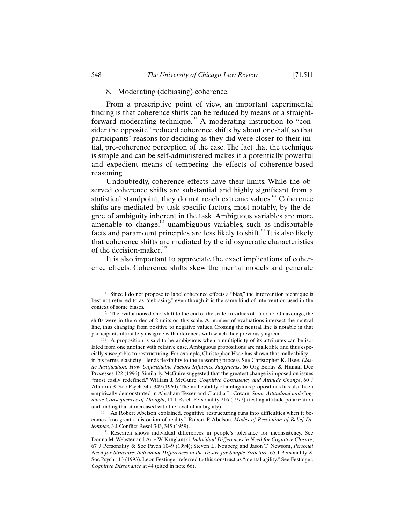From a prescriptive point of view, an important experimental finding is that coherence shifts can be reduced by means of a straightforward moderating technique.<sup>111</sup> A moderating instruction to "consider the opposite" reduced coherence shifts by about one-half, so that participants' reasons for deciding as they did were closer to their initial, pre-coherence perception of the case. The fact that the technique is simple and can be self-administered makes it a potentially powerful and expedient means of tempering the effects of coherence-based reasoning.

Undoubtedly, coherence effects have their limits. While the observed coherence shifts are substantial and highly significant from a statistical standpoint, they do not reach extreme values.<sup>112</sup> Coherence shifts are mediated by task-specific factors, most notably, by the degree of ambiguity inherent in the task. Ambiguous variables are more amenable to change; $113$  unambiguous variables, such as indisputable facts and paramount principles are less likely to shift.<sup>114</sup> It is also likely that coherence shifts are mediated by the idiosyncratic characteristics of the decision-maker. $115$ 

It is also important to appreciate the exact implications of coherence effects. Coherence shifts skew the mental models and generate

114 As Robert Abelson explained, cognitive restructuring runs into difficulties when it becomes "too great a distortion of reality." Robert P. Abelson, *Modes of Resolution of Belief Dilemmas*, 3 J Conflict Resol 343, 345 (1959).

<sup>&</sup>lt;sup>111</sup> Since I do not propose to label coherence effects a "bias," the intervention technique is best not referred to as "debiasing," even though it is the same kind of intervention used in the context of some biases.

<sup>112</sup> The evaluations do not shift to the end of the scale, to values of –5 or +5. On average, the shifts were in the order of 2 units on this scale. A number of evaluations intersect the neutral line, thus changing from positive to negative values. Crossing the neutral line is notable in that participants ultimately disagree with inferences with which they previously agreed.

<sup>113</sup> A proposition is said to be ambiguous when a multiplicity of its attributes can be isolated from one another with relative ease. Ambiguous propositions are malleable and thus especially susceptible to restructuring. For example, Christopher Hsee has shown that malleability in his terms, elasticity—lends flexibility to the reasoning process. See Christopher K. Hsee, *Elastic Justification: How Unjustifiable Factors Influence Judgments*, 66 Org Behav & Human Dec Processes 122 (1996). Similarly, McGuire suggested that the greatest change is imposed on issues "most easily redefined." William J. McGuire, *Cognitive Consistency and Attitude Change*, 60 J Abnorm & Soc Psych 345, 349 (1960). The malleability of ambiguous propositions has also been empirically demonstrated in Abraham Tesser and Claudia L. Cowan, *Some Attitudinal and Cognitive Consequences of Thought*, 11 J Rsrch Personality 216 (1977) (testing attitude polarization and finding that it increased with the level of ambiguity).

<sup>115</sup> Research shows individual differences in people's tolerance for inconsistency. See Donna M. Webster and Arie W. Kruglanski, *Individual Differences in Need for Cognitive Closure*, 67 J Personality & Soc Psych 1049 (1994); Steven L. Neuberg and Jason T. Newsom, *Personal Need for Structure: Individual Differences in the Desire for Simple Structure*, 65 J Personality & Soc Psych 113 (1993). Leon Festinger referred to this construct as "mental agility." See Festinger, *Cognitive Dissonance* at 44 (cited in note 66).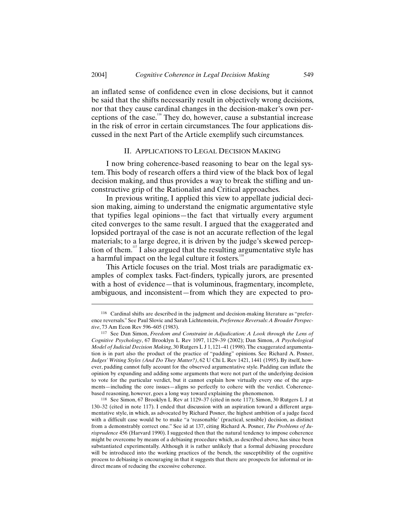an inflated sense of confidence even in close decisions, but it cannot be said that the shifts necessarily result in objectively wrong decisions, nor that they cause cardinal changes in the decision-maker's own perceptions of the case.116 They do, however, cause a substantial increase in the risk of error in certain circumstances. The four applications discussed in the next Part of the Article exemplify such circumstances.

#### II. APPLICATIONS TO LEGAL DECISION MAKING

I now bring coherence-based reasoning to bear on the legal system. This body of research offers a third view of the black box of legal decision making, and thus provides a way to break the stifling and unconstructive grip of the Rationalist and Critical approaches.

In previous writing, I applied this view to appellate judicial decision making, aiming to understand the enigmatic argumentative style that typifies legal opinions—the fact that virtually every argument cited converges to the same result. I argued that the exaggerated and lopsided portrayal of the case is not an accurate reflection of the legal materials; to a large degree, it is driven by the judge's skewed perception of them.<sup>117</sup> I also argued that the resulting argumentative style has a harmful impact on the legal culture it fosters.<sup>11</sup>

This Article focuses on the trial. Most trials are paradigmatic examples of complex tasks. Fact-finders, typically jurors, are presented with a host of evidence—that is voluminous, fragmentary, incomplete, ambiguous, and inconsistent—from which they are expected to pro-

<sup>116</sup> Cardinal shifts are described in the judgment and decision-making literature as "preference reversals." See Paul Slovic and Sarah Lichtenstein, *Preference Reversals: A Broader Perspective*, 73 Am Econ Rev 596–605 (1983).

<sup>117</sup> See Dan Simon, *Freedom and Constraint in Adjudication: A Look through the Lens of Cognitive Psychology*, 67 Brooklyn L Rev 1097, 1129–39 (2002); Dan Simon, *A Psychological Model of Judicial Decision Making*, 30 Rutgers L J 1, 121–41 (1998). The exaggerated argumentation is in part also the product of the practice of "padding" opinions. See Richard A. Posner, *Judges' Writing Styles (And Do They Matter?)*, 62 U Chi L Rev 1421, 1441 (1995). By itself, however, padding cannot fully account for the observed argumentative style. Padding can inflate the opinion by expanding and adding some arguments that were not part of the underlying decision to vote for the particular verdict, but it cannot explain how virtually every one of the arguments—including the core issues—aligns so perfectly to cohere with the verdict. Coherencebased reasoning, however, goes a long way toward explaining the phenomenon.

<sup>118</sup> See Simon, 67 Brooklyn L Rev at 1129–37 (cited in note 117); Simon, 30 Rutgers L J at 130–32 (cited in note 117). I ended that discussion with an aspiration toward a different argumentative style, in which, as advocated by Richard Posner, the highest ambition of a judge faced with a difficult case would be to make "a 'reasonable' (practical, sensible) decision, as distinct from a demonstrably correct one." See id at 137, citing Richard A. Posner, *The Problems of Jurisprudence* 456 (Harvard 1990). I suggested then that the natural tendency to impose coherence might be overcome by means of a debiasing procedure which, as described above, has since been substantiated experimentally. Although it is rather unlikely that a formal debiasing procedure will be introduced into the working practices of the bench, the susceptibility of the cognitive process to debiasing is encouraging in that it suggests that there are prospects for informal or indirect means of reducing the excessive coherence.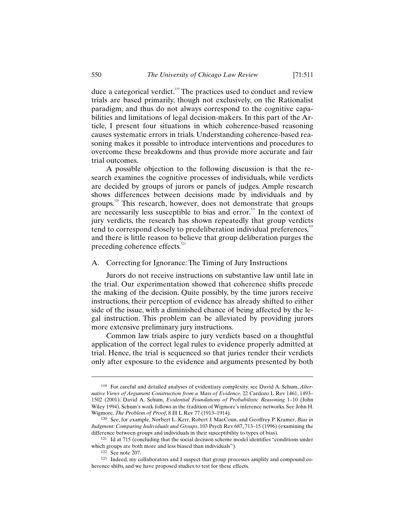duce a categorical verdict.<sup>119</sup> The practices used to conduct and review trials are based primarily, though not exclusively, on the Rationalist paradigm, and thus do not always correspond to the cognitive capabilities and limitations of legal decision-makers. In this part of the Article, I present four situations in which coherence-based reasoning causes systematic errors in trials. Understanding coherence-based reasoning makes it possible to introduce interventions and procedures to overcome these breakdowns and thus provide more accurate and fair trial outcomes.

A possible objection to the following discussion is that the research examines the cognitive processes of individuals, while verdicts are decided by groups of jurors or panels of judges. Ample research shows differences between decisions made by individuals and by groups.<sup>120</sup> This research, however, does not demonstrate that groups are necessarily less susceptible to bias and error.<sup>121</sup> In the context of jury verdicts, the research has shown repeatedly that group verdicts tend to correspond closely to predeliberation individual preferences, $\frac{12}{2}$ and there is little reason to believe that group deliberation purges the preceding coherence effects.<sup>123</sup>

# A. Correcting for Ignorance: The Timing of Jury Instructions

Jurors do not receive instructions on substantive law until late in the trial. Our experimentation showed that coherence shifts precede the making of the decision. Quite possibly, by the time jurors receive instructions, their perception of evidence has already shifted to either side of the issue, with a diminished chance of being affected by the legal instruction. This problem can be alleviated by providing jurors more extensive preliminary jury instructions.

Common law trials aspire to jury verdicts based on a thoughtful application of the correct legal rules to evidence properly admitted at trial. Hence, the trial is sequenced so that juries render their verdicts only after exposure to the evidence and arguments presented by both

<sup>119</sup> For careful and detailed analyses of evidentiary complexity, see David A. Schum, *Alternative Views of Argument Construction from a Mass of Evidence*, 22 Cardozo L Rev 1461, 1493– 1502 (2001); David A. Schum, *Evidential Foundations of Probabilistic Reasoning* 1–10 (John Wiley 1994). Schum's work follows in the tradition of Wigmore's inference networks. See John H. Wigmore, *The Problem of Proof*, 8 Ill L Rev 77 (1913–1914).

<sup>120</sup> See, for example, Norbert L. Kerr, Robert J. MacCoun, and Geoffrey P. Kramer, *Bias in Judgment: Comparing Individuals and Groups*, 103 Psych Rev 687, 713–15 (1996) (examining the difference between groups and individuals in their susceptibility to types of bias).

<sup>121</sup> Id at 715 (concluding that the social decision scheme model identifies "conditions under which groups are both more and less biased than individuals").

<sup>122</sup> See note 207.

<sup>123</sup> Indeed, my collaborators and I suspect that group processes amplify and compound coherence shifts, and we have proposed studies to test for these effects.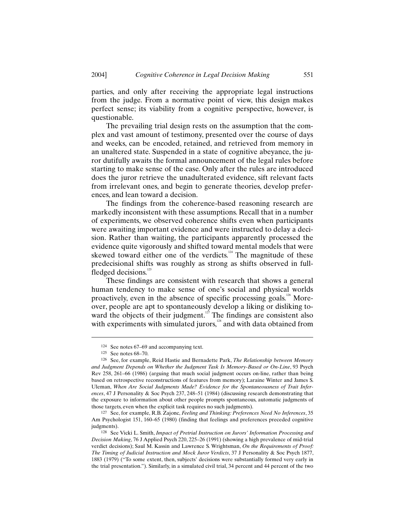parties, and only after receiving the appropriate legal instructions from the judge. From a normative point of view, this design makes perfect sense; its viability from a cognitive perspective, however, is questionable.

The prevailing trial design rests on the assumption that the complex and vast amount of testimony, presented over the course of days and weeks, can be encoded, retained, and retrieved from memory in an unaltered state. Suspended in a state of cognitive abeyance, the juror dutifully awaits the formal announcement of the legal rules before starting to make sense of the case. Only after the rules are introduced does the juror retrieve the unadulterated evidence, sift relevant facts from irrelevant ones, and begin to generate theories, develop preferences, and lean toward a decision.

The findings from the coherence-based reasoning research are markedly inconsistent with these assumptions. Recall that in a number of experiments, we observed coherence shifts even when participants were awaiting important evidence and were instructed to delay a decision. Rather than waiting, the participants apparently processed the evidence quite vigorously and shifted toward mental models that were skewed toward either one of the verdicts. $124$  The magnitude of these predecisional shifts was roughly as strong as shifts observed in fullfledged decisions. $^{125}$ 

These findings are consistent with research that shows a general human tendency to make sense of one's social and physical worlds proactively, even in the absence of specific processing goals.<sup>126</sup> Moreover, people are apt to spontaneously develop a liking or disliking toward the objects of their judgment. $\frac{127}{12}$  The findings are consistent also with experiments with simulated jurors, $128$  and with data obtained from

<sup>124</sup> See notes 67–69 and accompanying text.

<sup>125</sup> See notes 68–70.

<sup>126</sup> See, for example, Reid Hastie and Bernadette Park, *The Relationship between Memory and Judgment Depends on Whether the Judgment Task Is Memory-Based or On-Line*, 93 Psych Rev 258, 261–66 (1986) (arguing that much social judgment occurs on-line, rather than being based on retrospective reconstructions of features from memory); Laraine Winter and James S. Uleman, *When Are Social Judgments Made? Evidence for the Spontaneousness of Trait Inferences*, 47 J Personality & Soc Psych 237, 248–51 (1984) (discussing research demonstrating that the exposure to information about other people prompts spontaneous, automatic judgments of those targets, even when the explicit task requires no such judgments).

<sup>127</sup> See, for example, R.B. Zajonc, *Feeling and Thinking: Preferences Need No Inferences*, 35 Am Psychologist 151, 160–65 (1980) (finding that feelings and preferences preceded cognitive judgments).

<sup>128</sup> See Vicki L. Smith, *Impact of Pretrial Instruction on Jurors' Information Processing and Decision Making*, 76 J Applied Psych 220, 225–26 (1991) (showing a high prevalence of mid-trial verdict decisions); Saul M. Kassin and Lawrence S. Wrightsman, *On the Requirements of Proof: The Timing of Judicial Instruction and Mock Juror Verdicts*, 37 J Personality & Soc Psych 1877, 1883 (1979) ("To some extent, then, subjects' decisions were substantially formed very early in the trial presentation."). Similarly, in a simulated civil trial, 34 percent and 44 percent of the two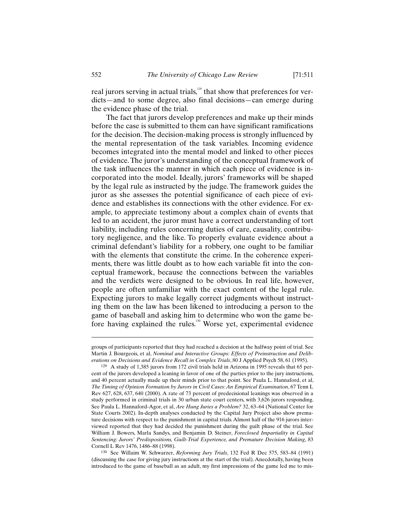real jurors serving in actual trials,<sup>129</sup> that show that preferences for verdicts—and to some degree, also final decisions—can emerge during the evidence phase of the trial.

The fact that jurors develop preferences and make up their minds before the case is submitted to them can have significant ramifications for the decision. The decision-making process is strongly influenced by the mental representation of the task variables. Incoming evidence becomes integrated into the mental model and linked to other pieces of evidence. The juror's understanding of the conceptual framework of the task influences the manner in which each piece of evidence is incorporated into the model. Ideally, jurors' frameworks will be shaped by the legal rule as instructed by the judge. The framework guides the juror as she assesses the potential significance of each piece of evidence and establishes its connections with the other evidence. For example, to appreciate testimony about a complex chain of events that led to an accident, the juror must have a correct understanding of tort liability, including rules concerning duties of care, causality, contributory negligence, and the like. To properly evaluate evidence about a criminal defendant's liability for a robbery, one ought to be familiar with the elements that constitute the crime. In the coherence experiments, there was little doubt as to how each variable fit into the conceptual framework, because the connections between the variables and the verdicts were designed to be obvious. In real life, however, people are often unfamiliar with the exact content of the legal rule. Expecting jurors to make legally correct judgments without instructing them on the law has been likened to introducing a person to the game of baseball and asking him to determine who won the game before having explained the rules. $130$  Worse yet, experimental evidence

groups of participants reported that they had reached a decision at the halfway point of trial. See Martin J. Bourgeois, et al, *Nominal and Interactive Groups: Effects of Preinstruction and Deliberations on Decisions and Evidence Recall in Complex Trials*, 80 J Applied Psych 58, 61 (1995).

<sup>129</sup> A study of 1,385 jurors from 172 civil trials held in Arizona in 1995 reveals that 65 percent of the jurors developed a leaning in favor of one of the parties prior to the jury instructions, and 40 percent actually made up their minds prior to that point. See Paula L. Hannaford, et al, *The Timing of Opinion Formation by Jurors in Civil Cases: An Empirical Examination*, 67 Tenn L Rev 627, 628, 637, 640 (2000). A rate of 73 percent of predecisional leanings was observed in a study performed in criminal trials in 30 urban state court centers, with 3,626 jurors responding. See Paula L. Hannaford-Agor, et al, *Are Hung Juries a Problem?* 32, 63–64 (National Center for State Courts 2002). In-depth analyses conducted by the Capital Jury Project also show premature decisions with respect to the punishment in capital trials. Almost half of the 916 jurors interviewed reported that they had decided the punishment during the guilt phase of the trial. See William J. Bowers, Marla Sandys, and Benjamin D. Steiner, *Foreclosed Impartiality in Capital Sentencing: Jurors' Predispositions, Guilt-Trial Experience, and Premature Decision Making*, 83 Cornell L Rev 1476, 1486–88 (1998).

<sup>130</sup> See Willaim W. Schwarzer, *Reforming Jury Trials*, 132 Fed R Dec 575, 583–84 (1991) (discussing the case for giving jury instructions at the start of the trial). Anecdotally, having been introduced to the game of baseball as an adult, my first impressions of the game led me to mis-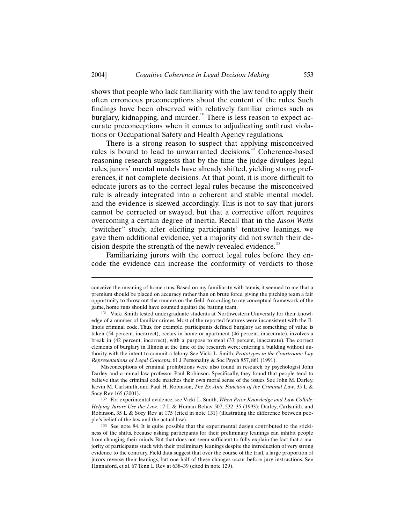shows that people who lack familiarity with the law tend to apply their often erroneous preconceptions about the content of the rules. Such findings have been observed with relatively familiar crimes such as burglary, kidnapping, and murder.<sup>131</sup> There is less reason to expect accurate preconceptions when it comes to adjudicating antitrust violations or Occupational Safety and Health Agency regulations.

There is a strong reason to suspect that applying misconceived rules is bound to lead to unwarranted decisions.<sup>132</sup> Coherence-based reasoning research suggests that by the time the judge divulges legal rules, jurors' mental models have already shifted, yielding strong preferences, if not complete decisions. At that point, it is more difficult to educate jurors as to the correct legal rules because the misconceived rule is already integrated into a coherent and stable mental model, and the evidence is skewed accordingly. This is not to say that jurors cannot be corrected or swayed, but that a corrective effort requires overcoming a certain degree of inertia. Recall that in the *Jason Wells* "switcher" study, after eliciting participants' tentative leanings, we gave them additional evidence, yet a majority did not switch their decision despite the strength of the newly revealed evidence.<sup>133</sup>

Familiarizing jurors with the correct legal rules before they encode the evidence can increase the conformity of verdicts to those

 $\overline{a}$ 

Misconceptions of criminal prohibitions were also found in research by psychologist John Darley and criminal law professor Paul Robinson. Specifically, they found that people tend to believe that the criminal code matches their own moral sense of the issues. See John M. Darley, Kevin M. Carlsmith, and Paul H. Robinson, *The Ex Ante Function of the Criminal Law*, 35 L & Socy Rev 165 (2001).

<sup>132</sup> For experimental evidence, see Vicki L. Smith, *When Prior Knowledge and Law Collide: Helping Jurors Use the Law*, 17 L & Human Behav 507, 532–35 (1993); Darley, Carlsmith, and Robinson, 35 L & Socy Rev at 175 (cited in note 131) (illustrating the difference between people's belief of the law and the actual law).

133 See note 84. It is quite possible that the experimental design contributed to the stickiness of the shifts, because asking participants for their preliminary leanings can inhibit people from changing their minds. But that does not seem sufficient to fully explain the fact that a majority of participants stuck with their preliminary leanings despite the introduction of very strong evidence to the contrary. Field data suggest that over the course of the trial, a large proportion of jurors reverse their leanings, but one-half of these changes occur before jury instructions. See Hannaford, et al, 67 Tenn L Rev at 638–39 (cited in note 129).

conceive the meaning of home runs. Based on my familiarity with tennis, it seemed to me that a premium should be placed on accuracy rather than on brute force, giving the pitching team a fair opportunity to throw out the runners on the field. According to my conceptual framework of the game, home runs should have counted against the batting team.

<sup>131</sup> Vicki Smith tested undergraduate students at Northwestern University for their knowledge of a number of familiar crimes. Most of the reported features were inconsistent with the Illinois criminal code. Thus, for example, participants defined burglary as: something of value is taken (54 percent, incorrect), occurs in home or apartment (46 percent, inaccurate), involves a break in (42 percent, incorrect), with a purpose to steal (33 percent, inaccurate). The correct elements of burglary in Illinois at the time of the research were: entering a building without authority with the intent to commit a felony. See Vicki L. Smith, *Prototypes in the Courtroom: Lay Representations of Legal Concepts*, 61 J Personality & Soc Psych 857, 861 (1991).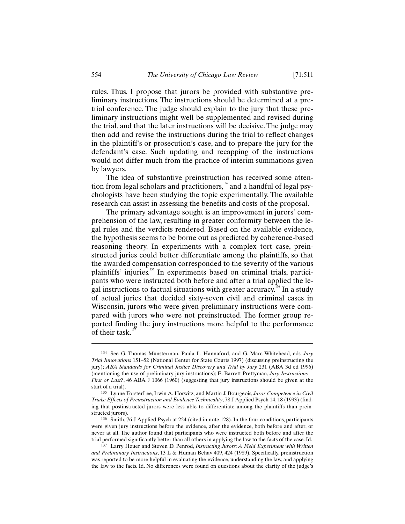rules. Thus, I propose that jurors be provided with substantive preliminary instructions. The instructions should be determined at a pretrial conference. The judge should explain to the jury that these preliminary instructions might well be supplemented and revised during the trial, and that the later instructions will be decisive. The judge may then add and revise the instructions during the trial to reflect changes in the plaintiff's or prosecution's case, and to prepare the jury for the defendant's case. Such updating and recapping of the instructions would not differ much from the practice of interim summations given by lawyers.

The idea of substantive preinstruction has received some attention from legal scholars and practitioners, $\frac{134}{4}$  and a handful of legal psychologists have been studying the topic experimentally. The available research can assist in assessing the benefits and costs of the proposal.

The primary advantage sought is an improvement in jurors' comprehension of the law, resulting in greater conformity between the legal rules and the verdicts rendered. Based on the available evidence, the hypothesis seems to be borne out as predicted by coherence-based reasoning theory. In experiments with a complex tort case, preinstructed juries could better differentiate among the plaintiffs, so that the awarded compensation corresponded to the severity of the various plaintiffs' injuries.<sup>135</sup> In experiments based on criminal trials, participants who were instructed both before and after a trial applied the legal instructions to factual situations with greater accuracy.<sup>136</sup> In a study of actual juries that decided sixty-seven civil and criminal cases in Wisconsin, jurors who were given preliminary instructions were compared with jurors who were not preinstructed. The former group reported finding the jury instructions more helpful to the performance of their task.<sup>1</sup>

<sup>134</sup> See G. Thomas Munsterman, Paula L. Hannaford, and G. Marc Whitehead, eds, *Jury Trial Innovations* 151–52 (National Center for State Courts 1997) (discussing preinstructing the jury); *ABA Standards for Criminal Justice Discovery and Trial by Jury* 231 (ABA 3d ed 1996) (mentioning the use of preliminary jury instructions); E. Barrett Prettyman, *Jury Instructions— First or Last?*, 46 ABA J 1066 (1960) (suggesting that jury instructions should be given at the start of a trial).

<sup>135</sup> Lynne ForsterLee, Irwin A. Horwitz, and Martin J. Bourgeois, *Juror Competence in Civil Trials: Effects of Preinstruction and Evidence Technicality*, 78 J Applied Psych 14, 18 (1993) (finding that postinstructed jurors were less able to differentiate among the plaintiffs than preinstructed jurors).

<sup>136</sup> Smith, 76 J Applied Psych at 224 (cited in note 128). In the four conditions, participants were given jury instructions before the evidence, after the evidence, both before and after, or never at all. The author found that participants who were instructed both before and after the trial performed significantly better than all others in applying the law to the facts of the case. Id.

<sup>137</sup> Larry Heuer and Steven D. Penrod, *Instructing Jurors: A Field Experiment with Written and Preliminary Instructions*, 13 L & Human Behav 409, 424 (1989). Specifically, preinstruction was reported to be more helpful in evaluating the evidence, understanding the law, and applying the law to the facts. Id. No differences were found on questions about the clarity of the judge's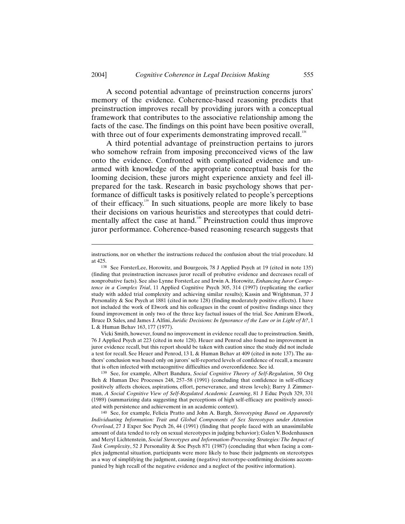A second potential advantage of preinstruction concerns jurors' memory of the evidence. Coherence-based reasoning predicts that preinstruction improves recall by providing jurors with a conceptual framework that contributes to the associative relationship among the facts of the case. The findings on this point have been positive overall, with three out of four experiments demonstrating improved recall. $138$ 

A third potential advantage of preinstruction pertains to jurors who somehow refrain from imposing preconceived views of the law onto the evidence. Confronted with complicated evidence and unarmed with knowledge of the appropriate conceptual basis for the looming decision, these jurors might experience anxiety and feel illprepared for the task. Research in basic psychology shows that performance of difficult tasks is positively related to people's perceptions of their efficacy.139 In such situations, people are more likely to base their decisions on various heuristics and stereotypes that could detrimentally affect the case at hand.<sup>140</sup> Preinstruction could thus improve juror performance. Coherence-based reasoning research suggests that

1

Vicki Smith, however, found no improvement in evidence recall due to preinstruction. Smith, 76 J Applied Psych at 223 (cited in note 128). Heuer and Penrod also found no improvement in juror evidence recall, but this report should be taken with caution since the study did not include a test for recall. See Heuer and Penrod, 13 L & Human Behav at 409 (cited in note 137). The authors' conclusion was based only on jurors' self-reported levels of confidence of recall, a measure that is often infected with metacognitive difficulties and overconfidence. See id.

<sup>139</sup> See, for example, Albert Bandura, *Social Cognitive Theory of Self-Regulation*, 50 Org Beh & Human Dec Processes 248, 257–58 (1991) (concluding that confidence in self-efficacy positively affects choices, aspirations, effort, perseverance, and stress levels); Barry J. Zimmerman, *A Social Cognitive View of Self-Regulated Academic Learning*, 81 J Educ Psych 329, 331 (1989) (summarizing data suggesting that perceptions of high self-efficacy are positively associated with persistence and achievement in an academic context).

<sup>140</sup> See, for example, Felicia Pratto and John A. Bargh, *Stereotyping Based on Apparently Individuating Information: Trait and Global Components of Sex Stereotypes under Attention Overload*, 27 J Exper Soc Psych 26, 44 (1991) (finding that people faced with an unassimilable amount of data tended to rely on sexual stereotypes in judging behavior); Galen V. Bodenhausen and Meryl Lichtenstein, *Social Stereotypes and Information-Processing Strategies: The Impact of Task Complexity*, 52 J Personality & Soc Psych 871 (1987) (concluding that when facing a complex judgmental situation, participants were more likely to base their judgments on stereotypes as a way of simplifying the judgment, causing (negative) stereotype-confirming decisions accompanied by high recall of the negative evidence and a neglect of the positive information).

instructions, nor on whether the instructions reduced the confusion about the trial procedure. Id at 425.

<sup>138</sup> See ForsterLee, Horowitz, and Bourgeois, 78 J Applied Psych at 19 (cited in note 135) (finding that preinstruction increases juror recall of probative evidence and decreases recall of nonprobative facts). See also Lynne ForsterLee and Irwin A. Horowitz, *Enhancing Juror Competence in a Complex Trial*, 11 Applied Cognitive Psych 305, 314 (1997) (replicating the earlier study with added trial complexity and achieving similar results); Kassin and Wrightsman, 37 J Personality & Soc Psych at 1881 (cited in note 128) (finding moderately positive effects). I have not included the work of Elwork and his colleagues in the count of positive findings since they found improvement in only two of the three key factual issues of the trial. See Amiram Elwork, Bruce D. Sales, and James J. Alfini, *Juridic Decisions: In Ignorance of the Law or in Light of It?*, 1 L & Human Behav 163, 177 (1977).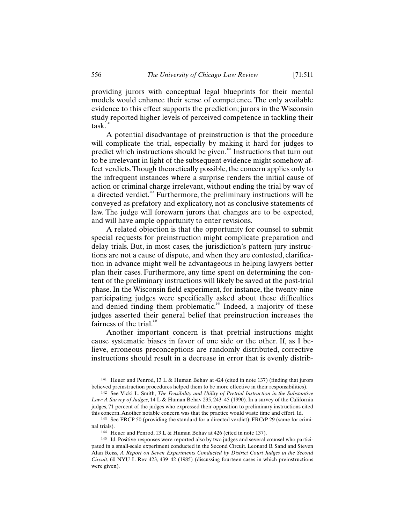providing jurors with conceptual legal blueprints for their mental models would enhance their sense of competence. The only available evidence to this effect supports the prediction; jurors in the Wisconsin study reported higher levels of perceived competence in tackling their task. $\overline{1}$ 

A potential disadvantage of preinstruction is that the procedure will complicate the trial, especially by making it hard for judges to predict which instructions should be given.<sup>142</sup> Instructions that turn out to be irrelevant in light of the subsequent evidence might somehow affect verdicts. Though theoretically possible, the concern applies only to the infrequent instances where a surprise renders the initial cause of action or criminal charge irrelevant, without ending the trial by way of a directed verdict.<sup>143</sup> Furthermore, the preliminary instructions will be conveyed as prefatory and explicatory, not as conclusive statements of law. The judge will forewarn jurors that changes are to be expected, and will have ample opportunity to enter revisions.

A related objection is that the opportunity for counsel to submit special requests for preinstruction might complicate preparation and delay trials. But, in most cases, the jurisdiction's pattern jury instructions are not a cause of dispute, and when they are contested, clarification in advance might well be advantageous in helping lawyers better plan their cases. Furthermore, any time spent on determining the content of the preliminary instructions will likely be saved at the post-trial phase. In the Wisconsin field experiment, for instance, the twenty-nine participating judges were specifically asked about these difficulties and denied finding them problematic.<sup>144</sup> Indeed, a majority of these judges asserted their general belief that preinstruction increases the fairness of the trial. $145$ 

Another important concern is that pretrial instructions might cause systematic biases in favor of one side or the other. If, as I believe, erroneous preconceptions are randomly distributed, corrective instructions should result in a decrease in error that is evenly distrib-

<sup>141</sup> Heuer and Penrod, 13 L & Human Behav at 424 (cited in note 137) (finding that jurors believed preinstruction procedures helped them to be more effective in their responsibilities).

<sup>142</sup> See Vicki L. Smith, *The Feasibility and Utility of Pretrial Instruction in the Substantive Law: A Survey of Judges*, 14 L & Human Behav 235, 243–45 (1990). In a survey of the California judges, 71 percent of the judges who expressed their opposition to preliminary instructions cited this concern. Another notable concern was that the practice would waste time and effort. Id.

<sup>143</sup> See FRCP 50 (providing the standard for a directed verdict); FRCrP 29 (same for criminal trials).

<sup>144</sup> Heuer and Penrod, 13 L & Human Behav at 426 (cited in note 137).

<sup>145</sup> Id. Positive responses were reported also by two judges and several counsel who participated in a small-scale experiment conducted in the Second Circuit. Leonard B. Sand and Steven Alan Reiss, *A Report on Seven Experiments Conducted by District Court Judges in the Second Circuit*, 60 NYU L Rev 423, 439–42 (1985) (discussing fourteen cases in which preinstructions were given).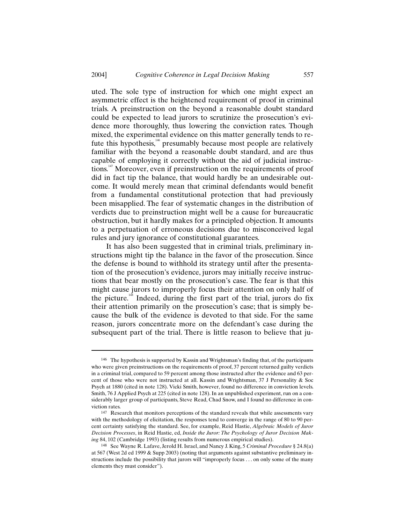uted. The sole type of instruction for which one might expect an asymmetric effect is the heightened requirement of proof in criminal trials. A preinstruction on the beyond a reasonable doubt standard could be expected to lead jurors to scrutinize the prosecution's evidence more thoroughly, thus lowering the conviction rates. Though mixed, the experimental evidence on this matter generally tends to refute this hypothesis,<sup>146</sup> presumably because most people are relatively familiar with the beyond a reasonable doubt standard, and are thus capable of employing it correctly without the aid of judicial instructions.147 Moreover, even if preinstruction on the requirements of proof did in fact tip the balance, that would hardly be an undesirable outcome. It would merely mean that criminal defendants would benefit from a fundamental constitutional protection that had previously been misapplied. The fear of systematic changes in the distribution of verdicts due to preinstruction might well be a cause for bureaucratic obstruction, but it hardly makes for a principled objection. It amounts to a perpetuation of erroneous decisions due to misconceived legal rules and jury ignorance of constitutional guarantees.

It has also been suggested that in criminal trials, preliminary instructions might tip the balance in the favor of the prosecution. Since the defense is bound to withhold its strategy until after the presentation of the prosecution's evidence, jurors may initially receive instructions that bear mostly on the prosecution's case. The fear is that this might cause jurors to improperly focus their attention on only half of the picture.<sup>148</sup> Indeed, during the first part of the trial, jurors do fix their attention primarily on the prosecution's case; that is simply because the bulk of the evidence is devoted to that side. For the same reason, jurors concentrate more on the defendant's case during the subsequent part of the trial. There is little reason to believe that ju-

<sup>146</sup> The hypothesis is supported by Kassin and Wrightsman's finding that, of the participants who were given preinstructions on the requirements of proof, 37 percent returned guilty verdicts in a criminal trial, compared to 59 percent among those instructed after the evidence and 63 percent of those who were not instructed at all. Kassin and Wrightsman, 37 J Personality & Soc Psych at 1880 (cited in note 128). Vicki Smith, however, found no difference in conviction levels. Smith, 76 J Applied Psych at 225 (cited in note 128). In an unpublished experiment, run on a considerably larger group of participants, Steve Read, Chad Snow, and I found no difference in conviction rates.

<sup>&</sup>lt;sup>147</sup> Research that monitors perceptions of the standard reveals that while assessments vary with the methodology of elicitation, the responses tend to converge in the range of 80 to 90 percent certainty satisfying the standard. See, for example, Reid Hastie, *Algebraic Models of Juror Decision Processes*, in Reid Hastie, ed, *Inside the Juror: The Psychology of Juror Decision Making* 84, 102 (Cambridge 1993) (listing results from numerous empirical studies).

<sup>148</sup> See Wayne R. Lafave, Jerold H. Israel, and Nancy J. King, 5 *Criminal Procedure* § 24.8(a) at 567 (West 2d ed 1999 & Supp 2003) (noting that arguments against substantive preliminary instructions include the possibility that jurors will "improperly focus . . . on only some of the many elements they must consider").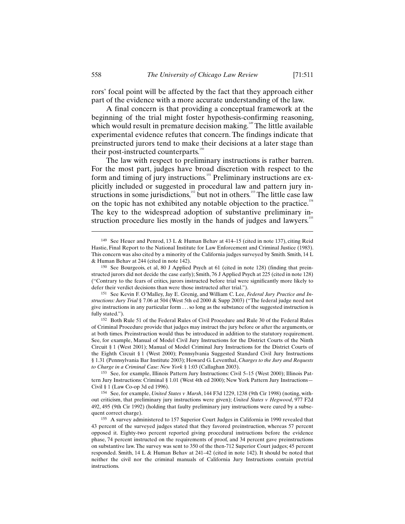rors' focal point will be affected by the fact that they approach either part of the evidence with a more accurate understanding of the law.

A final concern is that providing a conceptual framework at the beginning of the trial might foster hypothesis-confirming reasoning, which would result in premature decision making.<sup>149</sup> The little available experimental evidence refutes that concern. The findings indicate that preinstructed jurors tend to make their decisions at a later stage than their post-instructed counterparts. $\frac{1}{2}$ 

The law with respect to preliminary instructions is rather barren. For the most part, judges have broad discretion with respect to the form and timing of jury instructions.<sup>151</sup> Preliminary instructions are explicitly included or suggested in procedural law and pattern jury instructions in some jurisdictions,<sup>152</sup> but not in others.<sup>153</sup> The little case law on the topic has not exhibited any notable objection to the practice.<sup>15</sup> The key to the widespread adoption of substantive preliminary instruction procedure lies mostly in the hands of judges and lawyers. $\mathbb{S}^5$ 

<sup>149</sup> See Heuer and Penrod, 13 L & Human Behav at 414–15 (cited in note 137), citing Reid Hastie, Final Report to the National Institute for Law Enforcement and Criminal Justice (1983). This concern was also cited by a minority of the California judges surveyed by Smith. Smith, 14 L & Human Behav at 244 (cited in note 142).

<sup>150</sup> See Bourgeois, et al, 80 J Applied Psych at 61 (cited in note 128) (finding that preinstructed jurors did not decide the case early); Smith, 76 J Applied Psych at 225 (cited in note 128) ("Contrary to the fears of critics, jurors instructed before trial were significantly more likely to defer their verdict decisions than were those instructed after trial.").

<sup>151</sup> See Kevin F. O'Malley, Jay E. Grenig, and William C. Lee, *Federal Jury Practice and Instructions: Jury Trial* § 7.06 at 504 (West 5th ed 2000 & Supp 2003) ("The federal judge need not give instructions in any particular form . . . so long as the substance of the suggested instruction is fully stated.").

<sup>152</sup> Both Rule 51 of the Federal Rules of Civil Procedure and Rule 30 of the Federal Rules of Criminal Procedure provide that judges may instruct the jury before or after the arguments, or at both times. Preinstruction would thus be introduced in addition to the statutory requirement. See, for example, Manual of Model Civil Jury Instructions for the District Courts of the Ninth Circuit § 1 (West 2001); Manual of Model Criminal Jury Instructions for the District Courts of the Eighth Circuit § 1 (West 2000); Pennsylvania Suggested Standard Civil Jury Instructions § 1.31 (Pennsylvania Bar Institute 2003); Howard G. Leventhal, *Charges to the Jury and Requests to Charge in a Criminal Case: New York* § 1:03 (Callaghan 2003).

<sup>153</sup> See, for example, Illinois Pattern Jury Instructions: Civil 5–15 (West 2000); Illinois Pattern Jury Instructions: Criminal § 1.01 (West 4th ed 2000); New York Pattern Jury Instructions— Civil § 1 (Law Co-op 3d ed 1996).

<sup>154</sup> See, for example, *United States v Marsh*, 144 F3d 1229, 1238 (9th Cir 1998) (noting, without criticism, that preliminary jury instructions were given); *United States v Hegwood*, 977 F2d 492, 495 (9th Cir 1992) (holding that faulty preliminary jury instructions were cured by a subsequent correct charge).

<sup>155</sup> A survey administered to 157 Superior Court Judges in California in 1990 revealed that 43 percent of the surveyed judges stated that they favored preinstruction, whereas 57 percent opposed it. Eighty-two percent reported giving procedural instructions before the evidence phase, 74 percent instructed on the requirements of proof, and 34 percent gave preinstructions on substantive law. The survey was sent to 350 of the then-712 Superior Court judges; 45 percent responded. Smith, 14 L & Human Behav at 241–42 (cited in note 142). It should be noted that neither the civil nor the criminal manuals of California Jury Instructions contain pretrial instructions.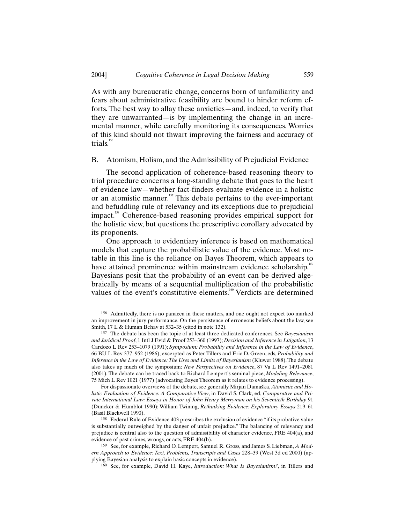As with any bureaucratic change, concerns born of unfamiliarity and fears about administrative feasibility are bound to hinder reform efforts. The best way to allay these anxieties—and, indeed, to verify that they are unwarranted—is by implementing the change in an incremental manner, while carefully monitoring its consequences. Worries of this kind should not thwart improving the fairness and accuracy of trials. $156$ 

## B. Atomism, Holism, and the Admissibility of Prejudicial Evidence

The second application of coherence-based reasoning theory to trial procedure concerns a long-standing debate that goes to the heart of evidence law—whether fact-finders evaluate evidence in a holistic or an atomistic manner.<sup>157</sup> This debate pertains to the ever-important and befuddling rule of relevancy and its exceptions due to prejudicial impact.<sup>158</sup> Coherence-based reasoning provides empirical support for the holistic view, but questions the prescriptive corollary advocated by its proponents.

One approach to evidentiary inference is based on mathematical models that capture the probabilistic value of the evidence. Most notable in this line is the reliance on Bayes Theorem, which appears to have attained prominence within mainstream evidence scholarship.<sup>15</sup> Bayesians posit that the probability of an event can be derived algebraically by means of a sequential multiplication of the probabilistic values of the event's constitutive elements.<sup>160</sup> Verdicts are determined

1

For dispassionate overviews of the debate, see generally Mirjan Damaška, *Atomistic and Holistic Evaluation of Evidence: A Comparative View*, in David S. Clark, ed, *Comparative and Private International Law: Essays in Honor of John Henry Merryman on his Seventieth Birthday* 91 (Duncker & Humblot 1990); William Twining, *Rethinking Evidence: Exploratory Essays* 219–61 (Basil Blackwell 1990).

<sup>158</sup> Federal Rule of Evidence 403 prescribes the exclusion of evidence "if its probative value is substantially outweighed by the danger of unfair prejudice." The balancing of relevancy and prejudice is central also to the question of admissibility of character evidence, FRE 404(a), and evidence of past crimes, wrongs, or acts, FRE 404(b).

<sup>156</sup> Admittedly, there is no panacea in these matters, and one ought not expect too marked an improvement in jury performance. On the persistence of erroneous beliefs about the law, see Smith, 17 L & Human Behav at 532–35 (cited in note 132).

<sup>157</sup> The debate has been the topic of at least three dedicated conferences. See *Bayesianism and Juridical Proof*, 1 Intl J Evid & Proof 253–360 (1997); *Decision and Inference in Litigation*, 13 Cardozo L Rev 253–1079 (1991); *Symposium: Probability and Inference in the Law of Evidence*, 66 BU L Rev 377–952 (1986), excerpted as Peter Tillers and Eric D. Green, eds, *Probability and Inference in the Law of Evidence: The Uses and Limits of Bayesianism* (Kluwer 1988). The debate also takes up much of the symposium: *New Perspectives on Evidence*, 87 Va L Rev 1491–2081 (2001). The debate can be traced back to Richard Lempert's seminal piece, *Modeling Relevance*, 75 Mich L Rev 1021 (1977) (advocating Bayes Theorem as it relates to evidence processing).

<sup>159</sup> See, for example, Richard O. Lempert, Samuel R. Gross, and James S. Liebman, *A Modern Approach to Evidence: Text, Problems, Transcripts and Cases* 228–39 (West 3d ed 2000) (applying Bayesian analysis to explain basic concepts in evidence).

<sup>160</sup> See, for example, David H. Kaye, *Introduction: What Is Bayesianism?*, in Tillers and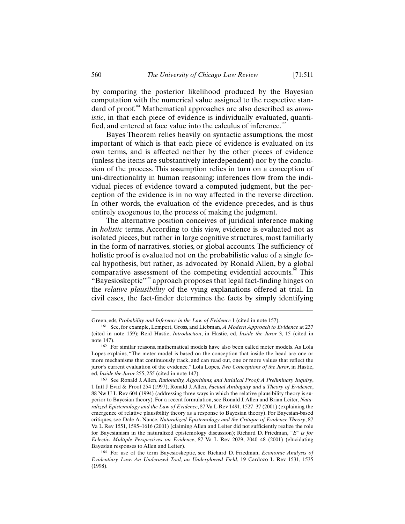by comparing the posterior likelihood produced by the Bayesian computation with the numerical value assigned to the respective standard of proof.<sup>161</sup> Mathematical approaches are also described as *atomistic*, in that each piece of evidence is individually evaluated, quantified, and entered at face value into the calculus of inference.<sup>16</sup>

Bayes Theorem relies heavily on syntactic assumptions, the most important of which is that each piece of evidence is evaluated on its own terms, and is affected neither by the other pieces of evidence (unless the items are substantively interdependent) nor by the conclusion of the process. This assumption relies in turn on a conception of uni-directionality in human reasoning: inferences flow from the individual pieces of evidence toward a computed judgment, but the perception of the evidence is in no way affected in the reverse direction. In other words, the evaluation of the evidence precedes, and is thus entirely exogenous to, the process of making the judgment.

The alternative position conceives of juridical inference making in *holistic* terms. According to this view, evidence is evaluated not as isolated pieces, but rather in large cognitive structures, most familiarly in the form of narratives, stories, or global accounts. The sufficiency of holistic proof is evaluated not on the probabilistic value of a single focal hypothesis, but rather, as advocated by Ronald Allen, by a global comparative assessment of the competing evidential accounts.<sup>163</sup> This "Bayesioskeptic"<sup>164</sup> approach proposes that legal fact-finding hinges on the *relative plausibility* of the vying explanations offered at trial. In civil cases, the fact-finder determines the facts by simply identifying

Green, eds, *Probability and Inference in the Law of Evidence* 1 (cited in note 157).

<sup>161</sup> See, for example, Lempert, Gross, and Liebman, *A Modern Approach to Evidence* at 237 (cited in note 159); Reid Hastie, *Introduction*, in Hastie, ed, *Inside the Juror* 3, 15 (cited in note 147).

<sup>162</sup> For similar reasons, mathematical models have also been called meter models. As Lola Lopes explains, "The meter model is based on the conception that inside the head are one or more mechanisms that continuously track, and can read out, one or more values that reflect the juror's current evaluation of the evidence." Lola Lopes, *Two Conceptions of the Juror*, in Hastie, ed, *Inside the Juror* 255, 255 (cited in note 147).

<sup>163</sup> See Ronald J. Allen, *Rationality, Algorithms, and Juridical Proof: A Preliminary Inquiry*, 1 Intl J Evid & Proof 254 (1997); Ronald J. Allen, *Factual Ambiguity and a Theory of Evidence*, 88 Nw U L Rev 604 (1994) (addressing three ways in which the relative plausibility theory is superior to Bayesian theory). For a recent formulation, see Ronald J. Allen and Brian Leiter, *Naturalized Epistemology and the Law of Evidence*, 87 Va L Rev 1491, 1527–37 (2001) (explaining the emergence of relative plausibility theory as a response to Bayesian theory). For Bayesian-based critiques, see Dale A. Nance, *Naturalized Epistemology and the Critique of Evidence Theory*, 87 Va L Rev 1551, 1595–1616 (2001) (claiming Allen and Leiter did not sufficiently realize the role for Bayesianism in the naturalized epistemology discussion); Richard D. Friedman, *"E" is for Eclectic: Multiple Perspectives on Evidence*, 87 Va L Rev 2029, 2040–48 (2001) (elucidating Bayesian responses to Allen and Leiter).

<sup>164</sup> For use of the term Bayesioskeptic, see Richard D. Friedman, *Economic Analysis of Evidentiary Law: An Underused Tool, an Underplowed Field*, 19 Cardozo L Rev 1531, 1535 (1998).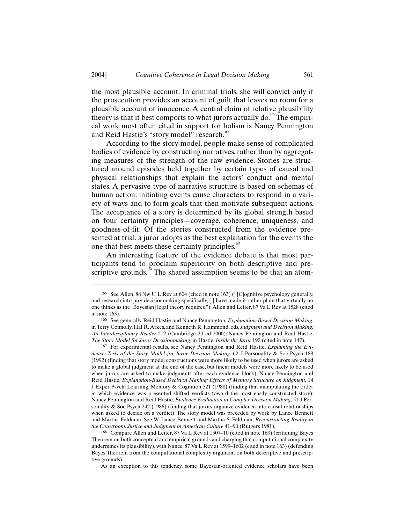the most plausible account. In criminal trials, she will convict only if the prosecution provides an account of guilt that leaves no room for a plausible account of innocence. A central claim of relative plausibility theory is that it best comports to what jurors actually do.<sup>165</sup> The empirical work most often cited in support for holism is Nancy Pennington and Reid Hastie's "story model" research.<sup>166</sup>

According to the story model, people make sense of complicated bodies of evidence by constructing narratives, rather than by aggregating measures of the strength of the raw evidence. Stories are structured around episodes held together by certain types of causal and physical relationships that explain the actors' conduct and mental states. A pervasive type of narrative structure is based on schemas of human action: initiating events cause characters to respond in a variety of ways and to form goals that then motivate subsequent actions. The acceptance of a story is determined by its global strength based on four certainty principles—coverage, coherence, uniqueness, and goodness-of-fit. Of the stories constructed from the evidence presented at trial, a juror adopts as the best explanation for the events the one that best meets these certainty principles.<sup>167</sup>

An interesting feature of the evidence debate is that most participants tend to proclaim superiority on both descriptive and prescriptive grounds.<sup>168</sup> The shared assumption seems to be that an atom-

<sup>165</sup> See Allen, 88 Nw U L Rev at 604 (cited in note 163) ("[C]ognitive psychology generally, and research into jury decisionmaking specifically, [ ] have made it rather plain that virtually no one thinks as the [Bayesian] legal theory requires."); Allen and Leiter, 87 Va L Rev at 1528 (cited in note 163).

<sup>166</sup> See generally Reid Hastie and Nancy Pennington, *Explanation-Based Decision Making*, in Terry Connolly, Hal R. Arkes, and Kenneth R. Hammond, eds, *Judgment and Decision Making: An Interdisciplinary Reader* 212 (Cambridge 2d ed 2000); Nancy Pennington and Reid Hastie, *The Story Model for Juror Decisionmaking*, in Hastie, *Inside the Juror* 192 (cited in note 147).

<sup>167</sup> For experimental results, see Nancy Pennington and Reid Hastie, *Explaining the Evidence: Tests of the Story Model for Juror Decision Making*, 62 J Personality & Soc Psych 189 (1992) (finding that story model constructions were more likely to be used when jurors are asked to make a global judgment at the end of the case, but linear models were more likely to be used when jurors are asked to make judgments after each evidence block); Nancy Pennington and Reid Hastie, *Explanation-Based Decision Making: Effects of Memory Structure on Judgment*, 14 J Exper Psych: Learning, Memory & Cognition 521 (1988) (finding that manipulating the order in which evidence was presented shifted verdicts toward the most easily constructed story); Nancy Pennington and Reid Hastie, *Evidence Evaluation in Complex Decision Making*, 51 J Personality & Soc Psych 242 (1986) (finding that jurors organize evidence into causal relationships when asked to decide on a verdict). The story model was preceded by work by Lance Bennett and Martha Feldman. See W. Lance Bennett and Martha S. Feldman, *Reconstructing Reality in the Courtroom: Justice and Judgment in American Culture* 41–90 (Rutgers 1981).

<sup>168</sup> Compare Allen and Leiter, 87 Va L Rev at 1507–10 (cited in note 163) (critiquing Bayes Theorem on both conceptual and empirical grounds and charging that computational complexity undermines its plausibility), with Nance, 87 Va L Rev at 1599–1602 (cited in note 163) (defending Bayes Theorem from the computational complexity argument on both descriptive and prescriptive grounds).

As an exception to this tendency, some Bayesian-oriented evidence scholars have been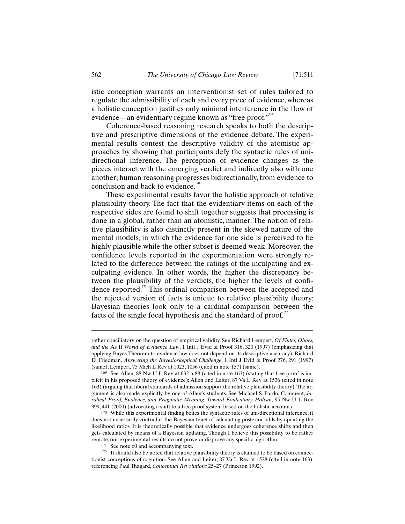istic conception warrants an interventionist set of rules tailored to regulate the admissibility of each and every piece of evidence, whereas a holistic conception justifies only minimal interference in the flow of evidence—an evidentiary regime known as "free proof."<sup>69</sup>

Coherence-based reasoning research speaks to both the descriptive and prescriptive dimensions of the evidence debate. The experimental results contest the descriptive validity of the atomistic approaches by showing that participants defy the syntactic rules of unidirectional inference. The perception of evidence changes as the pieces interact with the emerging verdict and indirectly also with one another; human reasoning progresses bidirectionally, from evidence to conclusion and back to evidence. $170$ 

These experimental results favor the holistic approach of relative plausibility theory. The fact that the evidentiary items on each of the respective sides are found to shift together suggests that processing is done in a global, rather than an atomistic, manner. The notion of relative plausibility is also distinctly present in the skewed nature of the mental models, in which the evidence for one side is perceived to be highly plausible while the other subset is deemed weak. Moreover, the confidence levels reported in the experimentation were strongly related to the difference between the ratings of the inculpating and exculpating evidence. In other words, the higher the discrepancy between the plausibility of the verdicts, the higher the levels of confidence reported. $17$ <sup>n</sup> This ordinal comparison between the accepted and the rejected version of facts is unique to relative plausibility theory; Bayesian theories look only to a cardinal comparison between the facts of the single focal hypothesis and the standard of proof. $12$ 

rather conciliatory on the question of empirical validity. See Richard Lempert, *Of Flutes, Oboes, and the* As If *World of Evidence Law*, 1 Intl J Evid & Proof 316, 320 (1997) (emphasizing that applying Bayes Theorem to evidence law does not depend on its descriptive accuracy); Richard D. Friedman, *Answering the Bayesioskeptical Challenge*, 1 Intl J Evid & Proof 276, 291 (1997) (same); Lempert, 75 Mich L Rev at 1023, 1056 (cited in note 157) (same).

<sup>169</sup> See Allen, 88 Nw U L Rev at 632 n 88 (cited in note 163) (stating that free proof is implicit in his proposed theory of evidence); Allen and Leiter, 87 Va L Rev at 1536 (cited in note 163) (arguing that liberal standards of admission support the relative plausibility theory). The argument is also made explicitly by one of Allen's students. See Michael S. Pardo, Comment, *Juridical Proof, Evidence, and Pragmatic Meaning: Toward Evidentiary Holism*, 95 Nw U L Rev 399, 441 (2000) (advocating a shift to a free proof system based on the holistic account).

<sup>170</sup> While this experimental finding belies the syntactic rules of uni-directional inference, it does not necessarily contradict the Bayesian tenet of calculating posterior odds by updating the likelihood ratios. It is theoretically possible that evidence undergoes coherence shifts and then gets calculated by means of a Bayesian updating. Though I believe this possibility to be rather remote, our experimental results do not prove or disprove any specific algorithm.

<sup>171</sup> See note 60 and accompanying text.

<sup>&</sup>lt;sup>172</sup> It should also be noted that relative plausibility theory is claimed to be based on connectionist conceptions of cognition. See Allen and Leiter, 87 Va L Rev at 1528 (cited in note 163), referencing Paul Thagard, *Conceptual Revolutions* 25–27 (Princeton 1992).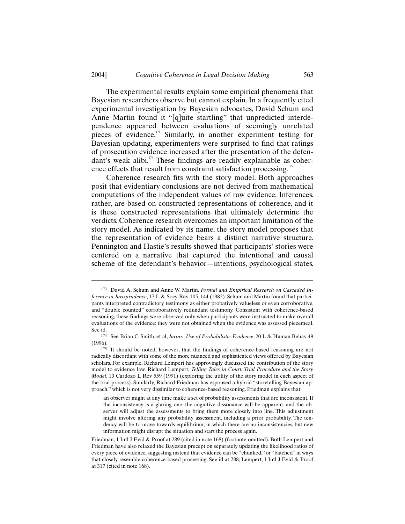The experimental results explain some empirical phenomena that Bayesian researchers observe but cannot explain. In a frequently cited experimental investigation by Bayesian advocates, David Schum and Anne Martin found it "[q]uite startling" that unpredicted interdependence appeared between evaluations of seemingly unrelated pieces of evidence.<sup>173</sup> Similarly, in another experiment testing for Bayesian updating, experimenters were surprised to find that ratings of prosecution evidence increased after the presentation of the defendant's weak alibi.<sup>174</sup> These findings are readily explainable as coherence effects that result from constraint satisfaction processing.<sup>175</sup>

Coherence research fits with the story model. Both approaches posit that evidentiary conclusions are not derived from mathematical computations of the independent values of raw evidence. Inferences, rather, are based on constructed representations of coherence, and it is these constructed representations that ultimately determine the verdicts. Coherence research overcomes an important limitation of the story model. As indicated by its name, the story model proposes that the representation of evidence bears a distinct narrative structure. Pennington and Hastie's results showed that participants' stories were centered on a narrative that captured the intentional and causal scheme of the defendant's behavior—intentions, psychological states,

<sup>173</sup> David A. Schum and Anne W. Martin, *Formal and Empirical Research on Cascaded Inference in Jurisprudence*, 17 L & Socy Rev 105, 144 (1982). Schum and Martin found that participants interpreted contradictory testimony as either probatively valueless or even corroborative, and "double counted" corroboratively redundant testimony. Consistent with coherence-based reasoning, these findings were observed only when participants were instructed to make overall evaluations of the evidence; they were not obtained when the evidence was assessed piecemeal. See id.

<sup>174</sup> See Brian C. Smith, et al, *Jurors' Use of Probabilistic Evidence*, 20 L & Human Behav 49 (1996).

<sup>&</sup>lt;sup>175</sup> It should be noted, however, that the findings of coherence-based reasoning are not radically discordant with some of the more nuanced and sophisticated views offered by Bayesian scholars. For example, Richard Lempert has approvingly discussed the contribution of the story model to evidence law. Richard Lempert, *Telling Tales in Court: Trial Procedure and the Story Model*, 13 Cardozo L Rev 559 (1991) (exploring the utility of the story model in each aspect of the trial process). Similarly, Richard Friedman has espoused a hybrid "storytelling Bayesian approach," which is not very dissimilar to coherence-based reasoning. Friedman explains that

an observer might at any time make a set of probability assessments that are inconsistent. If the inconsistency is a glaring one, the cognitive dissonance will be apparent, and the observer will adjust the assessments to bring them more closely into line. This adjustment might involve altering any probability assessment, including a prior probability. The tendency will be to move towards equilibrium, in which there are no inconsistencies, but new information might disrupt the situation and start the process again.

Friedman, 1 Intl J Evid & Proof at 289 (cited in note 168) (footnote omitted). Both Lempert and Friedman have also relaxed the Bayesian precept on separately updating the likelihood ratios of every piece of evidence, suggesting instead that evidence can be "chunked," or "batched" in ways that closely resemble coherence-based processing. See id at 288; Lempert, 1 Intl J Evid & Proof at 317 (cited in note 168).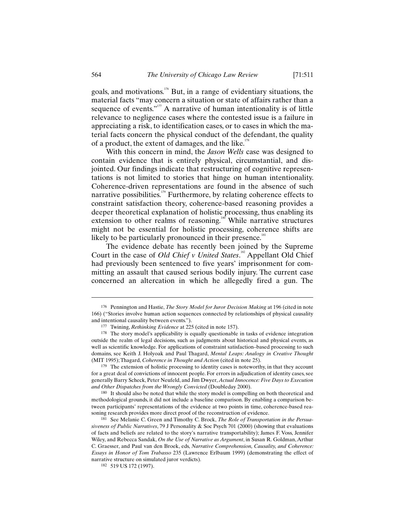goals, and motivations.<sup>176</sup> But, in a range of evidentiary situations, the material facts "may concern a situation or state of affairs rather than a sequence of events. $"''$  A narrative of human intentionality is of little relevance to negligence cases where the contested issue is a failure in appreciating a risk, to identification cases, or to cases in which the material facts concern the physical conduct of the defendant, the quality of a product, the extent of damages, and the like.<sup>178</sup>

With this concern in mind, the *Jason Wells* case was designed to contain evidence that is entirely physical, circumstantial, and disjointed. Our findings indicate that restructuring of cognitive representations is not limited to stories that hinge on human intentionality. Coherence-driven representations are found in the absence of such narrative possibilities.<sup>179</sup> Furthermore, by relating coherence effects to constraint satisfaction theory, coherence-based reasoning provides a deeper theoretical explanation of holistic processing, thus enabling its extension to other realms of reasoning.<sup>180</sup> While narrative structures might not be essential for holistic processing, coherence shifts are likely to be particularly pronounced in their presence. $\frac{181}{100}$ 

The evidence debate has recently been joined by the Supreme Court in the case of *Old Chief v United States*.<sup>182</sup> Appellant Old Chief had previously been sentenced to five years' imprisonment for committing an assault that caused serious bodily injury. The current case concerned an altercation in which he allegedly fired a gun. The

<sup>176</sup> Pennington and Hastie, *The Story Model for Juror Decision Making* at 196 (cited in note 166) ("Stories involve human action sequences connected by relationships of physical causality and intentional causality between events.").

<sup>177</sup> Twining, *Rethinking Evidence* at 225 (cited in note 157).

<sup>&</sup>lt;sup>178</sup> The story model's applicability is equally questionable in tasks of evidence integration outside the realm of legal decisions, such as judgments about historical and physical events, as well as scientific knowledge. For applications of constraint satisfaction–based processing to such domains, see Keith J. Holyoak and Paul Thagard, *Mental Leaps: Analogy in Creative Thought* (MIT 1995); Thagard, *Coherence in Thought and Action* (cited in note 25).

<sup>&</sup>lt;sup>179</sup> The extension of holistic processing to identity cases is noteworthy, in that they account for a great deal of convictions of innocent people. For errors in adjudication of identity cases, see generally Barry Scheck, Peter Neufeld, and Jim Dwyer, *Actual Innocence: Five Days to Execution and Other Dispatches from the Wrongly Convicted* (Doubleday 2000).

<sup>&</sup>lt;sup>180</sup> It should also be noted that while the story model is compelling on both theoretical and methodological grounds, it did not include a baseline comparison. By enabling a comparison between participants' representations of the evidence at two points in time, coherence-based reasoning research provides more direct proof of the reconstruction of evidence.

<sup>181</sup> See Melanie C. Green and Timothy C. Brock, *The Role of Transportation in the Persuasiveness of Public Narratives*, 79 J Personality & Soc Psych 701 (2000) (showing that evaluations of facts and beliefs are related to the story's narrative transportability); James F. Voss, Jennifer Wiley, and Rebecca Sandak, *On the Use of Narrative as Argument*, in Susan R. Goldman, Arthur C. Graesser, and Paul van den Broek, eds, *Narrative Comprehension, Causality, and Coherence: Essays in Honor of Tom Trabasso* 235 (Lawrence Erlbaum 1999) (demonstrating the effect of narrative structure on simulated juror verdicts).

<sup>182</sup> 519 US 172 (1997).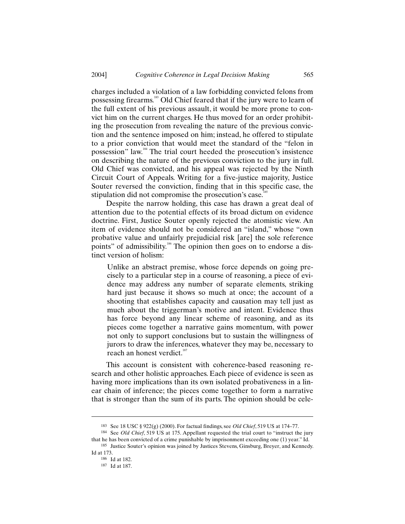charges included a violation of a law forbidding convicted felons from possessing firearms.<sup>183</sup> Old Chief feared that if the jury were to learn of the full extent of his previous assault, it would be more prone to convict him on the current charges. He thus moved for an order prohibiting the prosecution from revealing the nature of the previous conviction and the sentence imposed on him; instead, he offered to stipulate to a prior conviction that would meet the standard of the "felon in possession" law.184 The trial court heeded the prosecution's insistence on describing the nature of the previous conviction to the jury in full. Old Chief was convicted, and his appeal was rejected by the Ninth Circuit Court of Appeals. Writing for a five-justice majority, Justice Souter reversed the conviction, finding that in this specific case, the stipulation did not compromise the prosecution's case.<sup>1</sup>

Despite the narrow holding, this case has drawn a great deal of attention due to the potential effects of its broad dictum on evidence doctrine. First, Justice Souter openly rejected the atomistic view. An item of evidence should not be considered an "island," whose "own probative value and unfairly prejudicial risk [are] the sole reference points" of admissibility.<sup>186</sup> The opinion then goes on to endorse a distinct version of holism:

Unlike an abstract premise, whose force depends on going precisely to a particular step in a course of reasoning, a piece of evidence may address any number of separate elements, striking hard just because it shows so much at once; the account of a shooting that establishes capacity and causation may tell just as much about the triggerman's motive and intent. Evidence thus has force beyond any linear scheme of reasoning, and as its pieces come together a narrative gains momentum, with power not only to support conclusions but to sustain the willingness of jurors to draw the inferences, whatever they may be, necessary to reach an honest verdict.<sup>187</sup>

This account is consistent with coherence-based reasoning research and other holistic approaches. Each piece of evidence is seen as having more implications than its own isolated probativeness in a linear chain of inference; the pieces come together to form a narrative that is stronger than the sum of its parts. The opinion should be cele-

<sup>183</sup> See 18 USC § 922(g) (2000). For factual findings, see *Old Chief*, 519 US at 174–77.

<sup>184</sup> See *Old Chief*, 519 US at 175. Appellant requested the trial court to "instruct the jury that he has been convicted of a crime punishable by imprisonment exceeding one (1) year." Id.

<sup>185</sup> Justice Souter's opinion was joined by Justices Stevens, Ginsburg, Breyer, and Kennedy. Id at 173.

<sup>186</sup> Id at 182.

<sup>187</sup> Id at 187.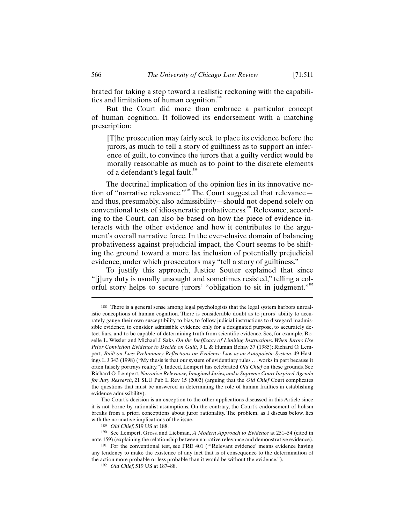brated for taking a step toward a realistic reckoning with the capabilities and limitations of human cognition.<sup>1</sup>

But the Court did more than embrace a particular concept of human cognition. It followed its endorsement with a matching prescription:

[T]he prosecution may fairly seek to place its evidence before the jurors, as much to tell a story of guiltiness as to support an inference of guilt, to convince the jurors that a guilty verdict would be morally reasonable as much as to point to the discrete elements of a defendant's legal fault.<sup>189</sup>

The doctrinal implication of the opinion lies in its innovative notion of "narrative relevance."<sup>190</sup> The Court suggested that relevance and thus, presumably, also admissibility—should not depend solely on conventional tests of idiosyncratic probativeness.191 Relevance, according to the Court, can also be based on how the piece of evidence interacts with the other evidence and how it contributes to the argument's overall narrative force. In the ever-elusive domain of balancing probativeness against prejudicial impact, the Court seems to be shifting the ground toward a more lax inclusion of potentially prejudicial evidence, under which prosecutors may "tell a story of guiltiness."

To justify this approach, Justice Souter explained that since "[j]ury duty is usually unsought and sometimes resisted," telling a colorful story helps to secure jurors' "obligation to sit in judgment."<sup>192</sup>

The Court's decision is an exception to the other applications discussed in this Article since it is not borne by rationalist assumptions. On the contrary, the Court's endorsement of holism breaks from a priori conceptions about juror rationality. The problem, as I discuss below, lies with the normative implications of the issue.

<sup>190</sup> See Lempert, Gross, and Liebman, *A Modern Approach to Evidence* at 251–54 (cited in note 159) (explaining the relationship between narrative relevance and demonstrative evidence).

<sup>191</sup> For the conventional test, see FRE 401 ("'Relevant evidence' means evidence having any tendency to make the existence of any fact that is of consequence to the determination of the action more probable or less probable than it would be without the evidence.").

<sup>188</sup> There is a general sense among legal psychologists that the legal system harbors unrealistic conceptions of human cognition. There is considerable doubt as to jurors' ability to accurately gauge their own susceptibility to bias, to follow judicial instructions to disregard inadmissible evidence, to consider admissible evidence only for a designated purpose, to accurately detect liars, and to be capable of determining truth from scientific evidence. See, for example, Roselle L. Wissler and Michael J. Saks, *On the Inefficacy of Limiting Instructions: When Jurors Use Prior Conviction Evidence to Decide on Guilt*, 9 L & Human Behav 37 (1985); Richard O. Lempert, *Built on Lies: Preliminary Reflections on Evidence Law as an Autopoietic System*, 49 Hastings L J 343 (1998) ("My thesis is that our system of evidentiary rules . . . works in part because it often falsely portrays reality."). Indeed, Lempert has celebrated *Old Chief* on these grounds. See Richard O. Lempert, *Narrative Relevance, Imagined Juries, and a Supreme Court Inspired Agenda for Jury Research*, 21 SLU Pub L Rev 15 (2002) (arguing that the *Old Chief* Court complicates the questions that must be answered in determining the role of human frailties in establishing evidence admissibility).

<sup>189</sup> *Old Chief*, 519 US at 188.

<sup>192</sup> *Old Chief*, 519 US at 187–88.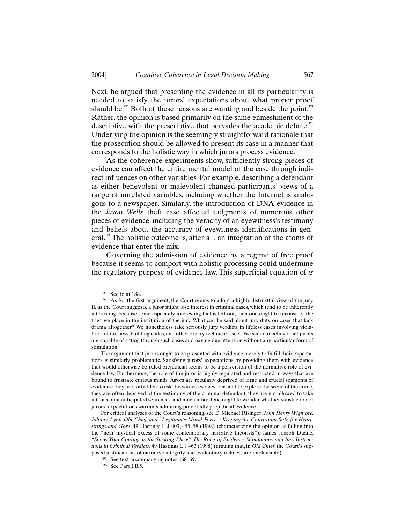Next, he argued that presenting the evidence in all its particularity is needed to satisfy the jurors' expectations about what proper proof should be.<sup>193</sup> Both of these reasons are wanting and beside the point.<sup>194</sup> Rather, the opinion is based primarily on the same enmeshment of the descriptive with the prescriptive that pervades the academic debate.<sup>195</sup> Underlying the opinion is the seemingly straightforward rationale that the prosecution should be allowed to present its case in a manner that corresponds to the holistic way in which jurors process evidence.

As the coherence experiments show, sufficiently strong pieces of evidence can affect the entire mental model of the case through indirect influences on other variables. For example, describing a defendant as either benevolent or malevolent changed participants' views of a range of unrelated variables, including whether the Internet is analogous to a newspaper. Similarly, the introduction of DNA evidence in the *Jason Wells* theft case affected judgments of numerous other pieces of evidence, including the veracity of an eyewitness's testimony and beliefs about the accuracy of eyewitness identifications in general.<sup>196</sup> The holistic outcome is, after all, an integration of the atoms of evidence that enter the mix.

Governing the admission of evidence by a regime of free proof because it seems to comport with holistic processing could undermine the regulatory purpose of evidence law. This superficial equation of *is*

<sup>193</sup> See id at 188.

<sup>194</sup> As for the first argument, the Court seems to adopt a highly distrustful view of the jury. If, as the Court suggests, a juror might lose interest in criminal cases, which tend to be inherently interesting, because some especially interesting fact is left out, then one ought to reconsider the trust we place in the institution of the jury. What can be said about jury duty on cases that lack drama altogether? We nonetheless take seriously jury verdicts in lifeless cases involving violations of tax laws, building codes, and other dreary technical issues. We seem to believe that jurors are capable of sitting through such cases and paying due attention without any particular form of stimulation.

The argument that jurors ought to be presented with evidence merely to fulfill their expectations is similarly problematic. Satisfying jurors' expectations by providing them with evidence that would otherwise be ruled prejudicial seems to be a perversion of the normative role of evidence law. Furthermore, the role of the juror is highly regulated and restricted in ways that are bound to frustrate curious minds. Jurors are regularly deprived of large and crucial segments of evidence: they are forbidden to ask the witnesses questions and to explore the scene of the crime, they are often deprived of the testimony of the criminal defendant, they are not allowed to take into account anticipated sentences, and much more. One ought to wonder whether satisfaction of jurors' expectations warrants admitting potentially prejudicial evidence.

For critical analyses of the Court's reasoning, see D. Michael Risinger, *John Henry Wigmore, Johnny Lynn Old Chief, and "Legitimate Moral Force": Keeping the Courtroom Safe for Heartstrings and Gore*, 49 Hastings L J 403, 455–58 (1998) (characterizing the opinion as falling into the "near mystical excess of some contemporary narrative theorists"); James Joseph Duane, *"Screw Your Courage to the Sticking-Place": The Roles of Evidence, Stipulations, and Jury Instructions in Criminal Verdicts*, 49 Hastings L J 463 (1998) (arguing that, in *Old Chief*, the Court's supposed justifications of narrative integrity and evidentiary richness are implausible).

<sup>195</sup> See text accompanying notes 168–69.

<sup>196</sup> See Part I.B.5.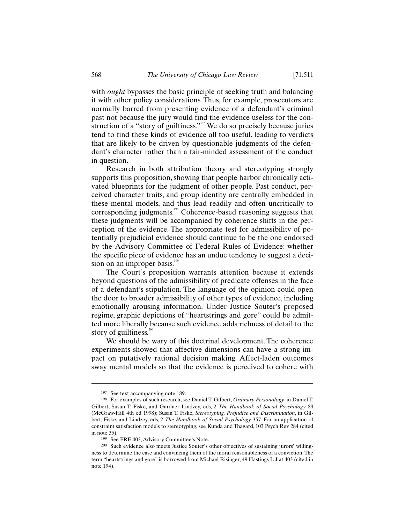with *ought* bypasses the basic principle of seeking truth and balancing it with other policy considerations. Thus, for example, prosecutors are normally barred from presenting evidence of a defendant's criminal past not because the jury would find the evidence useless for the construction of a "story of guiltiness."<sup>197</sup> We do so precisely because juries tend to find these kinds of evidence all too useful, leading to verdicts that are likely to be driven by questionable judgments of the defendant's character rather than a fair-minded assessment of the conduct in question.

Research in both attribution theory and stereotyping strongly supports this proposition, showing that people harbor chronically activated blueprints for the judgment of other people. Past conduct, perceived character traits, and group identity are centrally embedded in these mental models, and thus lead readily and often uncritically to corresponding judgments.<sup>198</sup> Coherence-based reasoning suggests that these judgments will be accompanied by coherence shifts in the perception of the evidence. The appropriate test for admissibility of potentially prejudicial evidence should continue to be the one endorsed by the Advisory Committee of Federal Rules of Evidence: whether the specific piece of evidence has an undue tendency to suggest a decision on an improper basis.<sup>199</sup>

The Court's proposition warrants attention because it extends beyond questions of the admissibility of predicate offenses in the face of a defendant's stipulation. The language of the opinion could open the door to broader admissibility of other types of evidence, including emotionally arousing information. Under Justice Souter's proposed regime, graphic depictions of "heartstrings and gore" could be admitted more liberally because such evidence adds richness of detail to the story of guiltiness. $200$ 

We should be wary of this doctrinal development. The coherence experiments showed that affective dimensions can have a strong impact on putatively rational decision making. Affect-laden outcomes sway mental models so that the evidence is perceived to cohere with

<sup>197</sup> See text accompanying note 189.

<sup>198</sup> For examples of such research, see Daniel T. Gilbert, *Ordinary Personology*, in Daniel T. Gilbert, Susan T. Fiske, and Gardner Lindzey, eds, 2 *The Handbook of Social Psychology* 89 (McGraw-Hill 4th ed 1998); Susan T. Fiske, *Stereotyping, Prejudice and Discrimination*, in Gilbert, Fiske, and Lindzey, eds, 2 *The Handbook of Social Psychology* 357. For an application of constraint satisfaction models to stereotyping, see Kunda and Thagard, 103 Psych Rev 284 (cited in note 35).

<sup>199</sup> See FRE 403, Advisory Committee's Note.

<sup>200</sup> Such evidence also meets Justice Souter's other objectives of sustaining jurors' willingness to determine the case and convincing them of the moral reasonableness of a conviction. The term "heartstrings and gore" is borrowed from Michael Risinger, 49 Hastings L J at 403 (cited in note 194).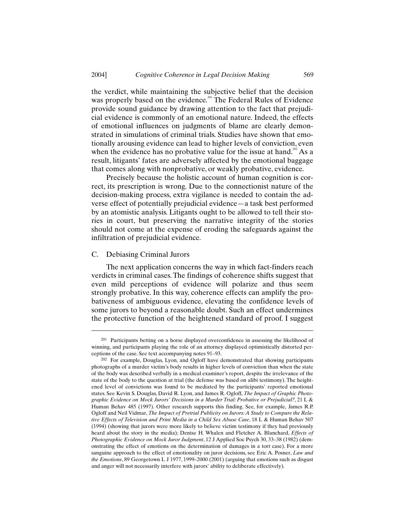the verdict, while maintaining the subjective belief that the decision was properly based on the evidence.<sup>201</sup> The Federal Rules of Evidence provide sound guidance by drawing attention to the fact that prejudicial evidence is commonly of an emotional nature. Indeed, the effects of emotional influences on judgments of blame are clearly demonstrated in simulations of criminal trials. Studies have shown that emotionally arousing evidence can lead to higher levels of conviction, even when the evidence has no probative value for the issue at hand.<sup>202</sup> As a result, litigants' fates are adversely affected by the emotional baggage that comes along with nonprobative, or weakly probative, evidence.

Precisely because the holistic account of human cognition is correct, its prescription is wrong. Due to the connectionist nature of the decision-making process, extra vigilance is needed to contain the adverse effect of potentially prejudicial evidence—a task best performed by an atomistic analysis. Litigants ought to be allowed to tell their stories in court, but preserving the narrative integrity of the stories should not come at the expense of eroding the safeguards against the infiltration of prejudicial evidence.

### C. Debiasing Criminal Jurors

1

The next application concerns the way in which fact-finders reach verdicts in criminal cases. The findings of coherence shifts suggest that even mild perceptions of evidence will polarize and thus seem strongly probative. In this way, coherence effects can amplify the probativeness of ambiguous evidence, elevating the confidence levels of some jurors to beyond a reasonable doubt. Such an effect undermines the protective function of the heightened standard of proof. I suggest

<sup>201</sup> Participants betting on a horse displayed overconfidence in assessing the likelihood of winning, and participants playing the role of an attorney displayed optimistically distorted perceptions of the case. See text accompanying notes 91–93.

<sup>202</sup> For example, Douglas, Lyon, and Ogloff have demonstrated that showing participants photographs of a murder victim's body results in higher levels of conviction than when the state of the body was described verbally in a medical examiner's report, despite the irrelevance of the state of the body to the question at trial (the defense was based on alibi testimony). The heightened level of convictions was found to be mediated by the participants' reported emotional states. See Kevin S. Douglas, David R. Lyon, and James R. Ogloff, *The Impact of Graphic Photographic Evidence on Mock Jurors' Decisions in a Murder Trial: Probative or Prejudicial?*, 21 L & Human Behav 485 (1997). Other research supports this finding. See, for example, James R.P. Ogloff and Neil Vidmar, *The Impact of Pretrial Publicity on Jurors: A Study to Compare the Relative Effects of Television and Print Media in a Child Sex Abuse Case*, 18 L & Human Behav 507 (1994) (showing that jurors were more likely to believe victim testimony if they had previously heard about the story in the media); Denise H. Whalen and Fletcher A. Blanchard, *Effects of Photographic Evidence on Mock Juror Judgment*, 12 J Applied Soc Psych 30, 33–38 (1982) (demonstrating the effect of emotions on the determination of damages in a tort case). For a more sanguine approach to the effect of emotionality on juror decisions, see Eric A. Posner, *Law and the Emotions*, 89 Georgetown L J 1977, 1999–2000 (2001) (arguing that emotions such as disgust and anger will not necessarily interfere with jurors' ability to deliberate effectively).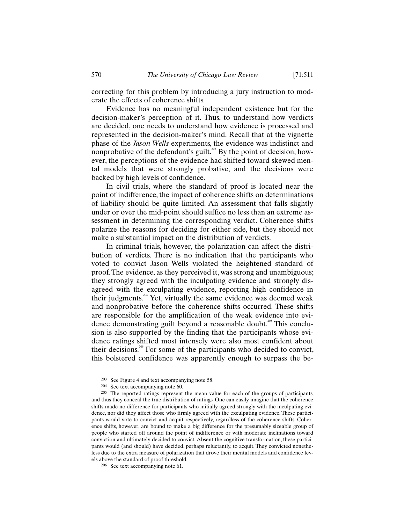correcting for this problem by introducing a jury instruction to moderate the effects of coherence shifts.

Evidence has no meaningful independent existence but for the decision-maker's perception of it. Thus, to understand how verdicts are decided, one needs to understand how evidence is processed and represented in the decision-maker's mind. Recall that at the vignette phase of the *Jason Wells* experiments, the evidence was indistinct and nonprobative of the defendant's guilt.<sup>203</sup> By the point of decision, however, the perceptions of the evidence had shifted toward skewed mental models that were strongly probative, and the decisions were backed by high levels of confidence.

In civil trials, where the standard of proof is located near the point of indifference, the impact of coherence shifts on determinations of liability should be quite limited. An assessment that falls slightly under or over the mid-point should suffice no less than an extreme assessment in determining the corresponding verdict. Coherence shifts polarize the reasons for deciding for either side, but they should not make a substantial impact on the distribution of verdicts.

In criminal trials, however, the polarization can affect the distribution of verdicts. There is no indication that the participants who voted to convict Jason Wells violated the heightened standard of proof. The evidence, as they perceived it, was strong and unambiguous; they strongly agreed with the inculpating evidence and strongly disagreed with the exculpating evidence, reporting high confidence in their judgments.<sup>204</sup> Yet, virtually the same evidence was deemed weak and nonprobative before the coherence shifts occurred. These shifts are responsible for the amplification of the weak evidence into evidence demonstrating guilt beyond a reasonable doubt.<sup>205</sup> This conclusion is also supported by the finding that the participants whose evidence ratings shifted most intensely were also most confident about their decisions.<sup>206</sup> For some of the participants who decided to convict, this bolstered confidence was apparently enough to surpass the be-

<sup>203</sup> See Figure 4 and text accompanying note 58.

<sup>204</sup> See text accompanying note 60.

<sup>205</sup> The reported ratings represent the mean value for each of the groups of participants, and thus they conceal the true distribution of ratings. One can easily imagine that the coherence shifts made no difference for participants who initially agreed strongly with the inculpating evidence, nor did they affect those who firmly agreed with the exculpating evidence. These participants would vote to convict and acquit respectively, regardless of the coherence shifts. Coherence shifts, however, are bound to make a big difference for the presumably sizeable group of people who started off around the point of indifference or with moderate inclinations toward conviction and ultimately decided to convict. Absent the cognitive transformation, these participants would (and should) have decided, perhaps reluctantly, to acquit. They convicted nonetheless due to the extra measure of polarization that drove their mental models and confidence levels above the standard of proof threshold.

<sup>206</sup> See text accompanying note 61.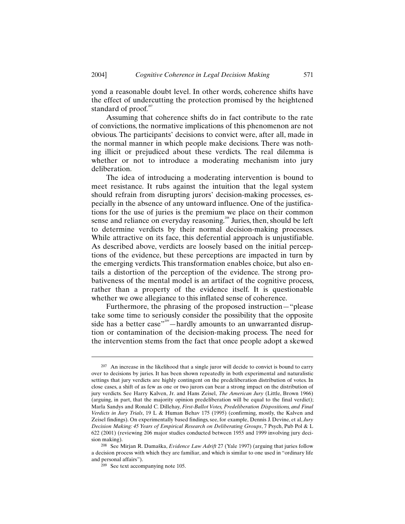yond a reasonable doubt level. In other words, coherence shifts have the effect of undercutting the protection promised by the heightened standard of proof. $207$ 

Assuming that coherence shifts do in fact contribute to the rate of convictions, the normative implications of this phenomenon are not obvious. The participants' decisions to convict were, after all, made in the normal manner in which people make decisions. There was nothing illicit or prejudiced about these verdicts. The real dilemma is whether or not to introduce a moderating mechanism into jury deliberation.

The idea of introducing a moderating intervention is bound to meet resistance. It rubs against the intuition that the legal system should refrain from disrupting jurors' decision-making processes, especially in the absence of any untoward influence. One of the justifications for the use of juries is the premium we place on their common sense and reliance on everyday reasoning.<sup>208</sup> Juries, then, should be left to determine verdicts by their normal decision-making processes. While attractive on its face, this deferential approach is unjustifiable. As described above, verdicts are loosely based on the initial perceptions of the evidence, but these perceptions are impacted in turn by the emerging verdicts. This transformation enables choice, but also entails a distortion of the perception of the evidence. The strong probativeness of the mental model is an artifact of the cognitive process, rather than a property of the evidence itself. It is questionable whether we owe allegiance to this inflated sense of coherence.

Furthermore, the phrasing of the proposed instruction—"please take some time to seriously consider the possibility that the opposite side has a better case"<sup>209</sup> $-$ hardly amounts to an unwarranted disruption or contamination of the decision-making process. The need for the intervention stems from the fact that once people adopt a skewed

<sup>207</sup> An increase in the likelihood that a single juror will decide to convict is bound to carry over to decisions by juries. It has been shown repeatedly in both experimental and naturalistic settings that jury verdicts are highly contingent on the predeliberation distribution of votes. In close cases, a shift of as few as one or two jurors can bear a strong impact on the distribution of jury verdicts. See Harry Kalven, Jr. and Hans Zeisel, *The American Jury* (Little, Brown 1966) (arguing, in part, that the majority opinion predeliberation will be equal to the final verdict); Marla Sandys and Ronald C. Dillehay, *First-Ballot Votes, Predeliberation Dispositions, and Final Verdicts in Jury Trials*, 19 L & Human Behav 175 (1995) (confirming, mostly, the Kalven and Zeisel findings). On experimentally based findings, see, for example, Dennis J. Devine, et al, *Jury Decision Making: 45 Years of Empirical Research on Deliberating Groups*, 7 Psych, Pub Pol & L 622 (2001) (reviewing 206 major studies conducted between 1955 and 1999 involving jury decision making).

<sup>208</sup> See Mirjan R. Damaška, *Evidence Law Adrift* 27 (Yale 1997) (arguing that juries follow a decision process with which they are familiar, and which is similar to one used in "ordinary life and personal affairs").

<sup>209</sup> See text accompanying note 105.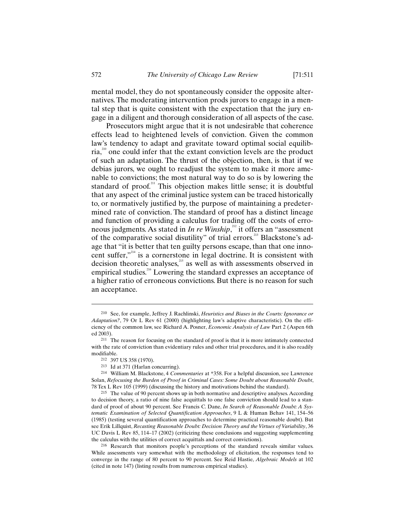mental model, they do not spontaneously consider the opposite alternatives. The moderating intervention prods jurors to engage in a mental step that is quite consistent with the expectation that the jury engage in a diligent and thorough consideration of all aspects of the case.

Prosecutors might argue that it is not undesirable that coherence effects lead to heightened levels of conviction. Given the common law's tendency to adapt and gravitate toward optimal social equilib $ria<sup>40</sup>$  one could infer that the extant conviction levels are the product of such an adaptation. The thrust of the objection, then, is that if we debias jurors, we ought to readjust the system to make it more amenable to convictions; the most natural way to do so is by lowering the standard of proof.<sup>211</sup> This objection makes little sense; it is doubtful that any aspect of the criminal justice system can be traced historically to, or normatively justified by, the purpose of maintaining a predetermined rate of conviction. The standard of proof has a distinct lineage and function of providing a calculus for trading off the costs of erroneous judgments. As stated in *In re Winship*,<sup>212</sup> it offers an "assessment of the comparative social disutility" of trial errors.<sup>213</sup> Blackstone's adage that "it is better that ten guilty persons escape, than that one innocent suffer,"<sup>214</sup> is a cornerstone in legal doctrine. It is consistent with decision theoretic analyses,<sup>215</sup> as well as with assessments observed in empirical studies.<sup>216</sup> Lowering the standard expresses an acceptance of a higher ratio of erroneous convictions. But there is no reason for such an acceptance.

1

213 Id at 371 (Harlan concurring).

<sup>210</sup> See, for example, Jeffrey J. Rachlinski, *Heuristics and Biases in the Courts: Ignorance or Adaptation?*, 79 Or L Rev 61 (2000) (highlighting law's adaptive characteristic). On the efficiency of the common law, see Richard A. Posner, *Economic Analysis of Law* Part 2 (Aspen 6th ed 2003).

<sup>211</sup> The reason for focusing on the standard of proof is that it is more intimately connected with the rate of conviction than evidentiary rules and other trial procedures, and it is also readily modifiable.

<sup>212</sup> 397 US 358 (1970).

<sup>214</sup> William M. Blackstone, 4 *Commentaries* at \*358. For a helpful discussion, see Lawrence Solan, *Refocusing the Burden of Proof in Criminal Cases: Some Doubt about Reasonable Doubt*, 78 Tex L Rev 105 (1999) (discussing the history and motivations behind the standard).

<sup>215</sup> The value of 90 percent shows up in both normative and descriptive analyses. According to decision theory, a ratio of nine false acquittals to one false conviction should lead to a standard of proof of about 90 percent. See Francis C. Dane, *In Search of Reasonable Doubt: A Systematic Examination of Selected Quantification Approaches*, 9 L & Human Behav 141, 154–56 (1985) (testing several quantification approaches to determine practical reasonable doubt). But see Erik Lillquist, *Recasting Reasonable Doubt: Decision Theory and the Virtues of Variability*, 36 UC Davis L Rev 85, 114–17 (2002) (criticizing these conclusions and suggesting supplementing the calculus with the utilities of correct acquittals and correct convictions).

<sup>216</sup> Research that monitors people's perceptions of the standard reveals similar values. While assessments vary somewhat with the methodology of elicitation, the responses tend to converge in the range of 80 percent to 90 percent. See Reid Hastie, *Algebraic Models* at 102 (cited in note 147) (listing results from numerous empirical studies).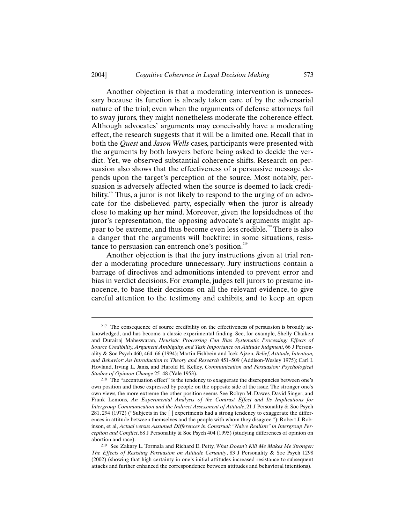Another objection is that a moderating intervention is unnecessary because its function is already taken care of by the adversarial nature of the trial; even when the arguments of defense attorneys fail to sway jurors, they might nonetheless moderate the coherence effect. Although advocates' arguments may conceivably have a moderating effect, the research suggests that it will be a limited one. Recall that in both the *Quest* and *Jason Wells* cases, participants were presented with the arguments by both lawyers before being asked to decide the verdict. Yet, we observed substantial coherence shifts. Research on persuasion also shows that the effectiveness of a persuasive message depends upon the target's perception of the source. Most notably, persuasion is adversely affected when the source is deemed to lack credibility.<sup>217</sup> Thus, a juror is not likely to respond to the urging of an advocate for the disbelieved party, especially when the juror is already close to making up her mind. Moreover, given the lopsidedness of the juror's representation, the opposing advocate's arguments might appear to be extreme, and thus become even less credible.<sup>218</sup> There is also a danger that the arguments will backfire; in some situations, resistance to persuasion can entrench one's position.<sup>219</sup>

Another objection is that the jury instructions given at trial render a moderating procedure unnecessary. Jury instructions contain a barrage of directives and admonitions intended to prevent error and bias in verdict decisions. For example, judges tell jurors to presume innocence, to base their decisions on all the relevant evidence, to give careful attention to the testimony and exhibits, and to keep an open

<sup>217</sup> The consequence of source credibility on the effectiveness of persuasion is broadly acknowledged, and has become a classic experimental finding. See, for example, Shelly Chaiken and Durairaj Maheswaran, *Heuristic Processing Can Bias Systematic Processing: Effects of Source Credibility, Argument Ambiguity, and Task Importance on Attitude Judgment*, 66 J Personality & Soc Psych 460, 464–66 (1994); Martin Fishbein and Icek Ajzen, *Belief, Attitude, Intention, and Behavior: An Introduction to Theory and Research* 451–509 (Addison-Wesley 1975); Carl I. Hovland, Irving L. Janis, and Harold H. Kelley, *Communication and Persuasion: Psychological Studies of Opinion Change* 25–48 (Yale 1953).

<sup>218</sup> The "accentuation effect" is the tendency to exaggerate the discrepancies between one's own position and those expressed by people on the opposite side of the issue. The stronger one's own views, the more extreme the other position seems. See Robyn M. Dawes, David Singer, and Frank Lemons, *An Experimental Analysis of the Contrast Effect and Its Implications for Intergroup Communication and the Indirect Assessment of Attitude*, 21 J Personality & Soc Psych 281, 294 (1972) ("Subjects in the [ ] experiments had a strong tendency to exaggerate the differences in attitude between themselves and the people with whom they disagree."); Robert J. Robinson, et al, *Actual versus Assumed Differences in Construal: "Naive Realism" in Intergroup Perception and Conflict*, 68 J Personality & Soc Psych 404 (1995) (studying differences of opinion on abortion and race).

<sup>219</sup> See Zakary L. Tormala and Richard E. Petty, *What Doesn't Kill Me Makes Me Stronger: The Effects of Resisting Persuasion on Attitude Certainty*, 83 J Personality & Soc Psych 1298 (2002) (showing that high certainty in one's initial attitudes increased resistance to subsequent attacks and further enhanced the correspondence between attitudes and behavioral intentions).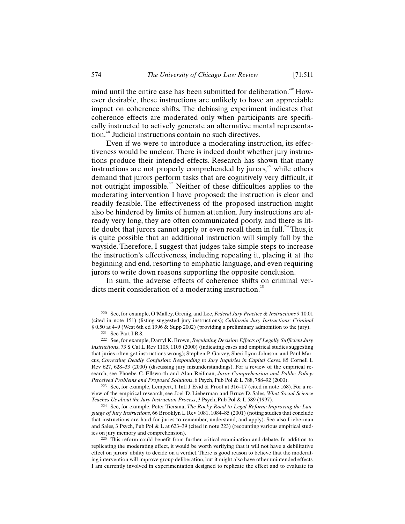mind until the entire case has been submitted for deliberation.<sup>220</sup> However desirable, these instructions are unlikely to have an appreciable impact on coherence shifts. The debiasing experiment indicates that coherence effects are moderated only when participants are specifically instructed to actively generate an alternative mental representation.<sup>221</sup> Judicial instructions contain no such directives.

Even if we were to introduce a moderating instruction, its effectiveness would be unclear. There is indeed doubt whether jury instructions produce their intended effects. Research has shown that many instructions are not properly comprehended by jurors, $\overline{a}$ <sup>22</sup> while others demand that jurors perform tasks that are cognitively very difficult, if not outright impossible.<sup>23</sup> Neither of these difficulties applies to the moderating intervention I have proposed; the instruction is clear and readily feasible. The effectiveness of the proposed instruction might also be hindered by limits of human attention. Jury instructions are already very long, they are often communicated poorly, and there is little doubt that jurors cannot apply or even recall them in full.<sup>224</sup> Thus, it is quite possible that an additional instruction will simply fall by the wayside. Therefore, I suggest that judges take simple steps to increase the instruction's effectiveness, including repeating it, placing it at the beginning and end, resorting to emphatic language, and even requiring jurors to write down reasons supporting the opposite conclusion.

In sum, the adverse effects of coherence shifts on criminal verdicts merit consideration of a moderating instruction.<sup>225</sup>

1

223 See, for example, Lempert, 1 Intl J Evid & Proof at 316–17 (cited in note 168). For a review of the empirical research, see Joel D. Lieberman and Bruce D. Sales, *What Social Science Teaches Us about the Jury Instruction Process*, 3 Psych, Pub Pol & L 589 (1997).

224 See, for example, Peter Tiersma, *The Rocky Road to Legal Reform: Improving the Language of Jury Instructions*, 66 Brooklyn L Rev 1081, 1084–85 (2001) (noting studies that conclude that instructions are hard for juries to remember, understand, and apply). See also Lieberman and Sales, 3 Psych, Pub Pol & L at 623–39 (cited in note 223) (recounting various empirical studies on jury memory and comprehension).

<sup>220</sup> See, for example, O'Malley, Grenig, and Lee, *Federal Jury Practice & Instructions* § 10.01 (cited in note 151) (listing suggested jury instructions); *California Jury Instructions: Criminal* § 0.50 at 4–9 (West 6th ed 1996 & Supp 2002) (providing a preliminary admonition to the jury).

<sup>221</sup> See Part I.B.8.

<sup>222</sup> See, for example, Darryl K. Brown, *Regulating Decision Effects of Legally Sufficient Jury Instructions*, 73 S Cal L Rev 1105, 1105 (2000) (indicating cases and empirical studies suggesting that juries often get instructions wrong); Stephen P. Garvey, Sheri Lynn Johnson, and Paul Marcus, *Correcting Deadly Confusion: Responding to Jury Inquiries in Capital Cases*, 85 Cornell L Rev 627, 628–33 (2000) (discussing jury misunderstandings). For a review of the empirical research, see Phoebe C. Ellsworth and Alan Reifman, *Juror Comprehension and Public Policy: Perceived Problems and Proposed Solutions*, 6 Psych, Pub Pol & L 788, 788–92 (2000).

<sup>225</sup> This reform could benefit from further critical examination and debate. In addition to replicating the moderating effect, it would be worth verifying that it will not have a debilitative effect on jurors' ability to decide on a verdict. There is good reason to believe that the moderating intervention will improve group deliberation, but it might also have other unintended effects. I am currently involved in experimentation designed to replicate the effect and to evaluate its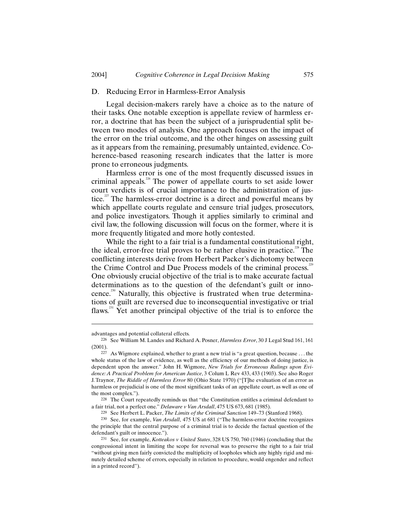### D. Reducing Error in Harmless-Error Analysis

Legal decision-makers rarely have a choice as to the nature of their tasks. One notable exception is appellate review of harmless error, a doctrine that has been the subject of a jurisprudential split between two modes of analysis. One approach focuses on the impact of the error on the trial outcome, and the other hinges on assessing guilt as it appears from the remaining, presumably untainted, evidence. Coherence-based reasoning research indicates that the latter is more prone to erroneous judgments.

Harmless error is one of the most frequently discussed issues in criminal appeals.<sup>226</sup> The power of appellate courts to set aside lower court verdicts is of crucial importance to the administration of justice.<sup>227</sup> The harmless-error doctrine is a direct and powerful means by which appellate courts regulate and censure trial judges, prosecutors, and police investigators. Though it applies similarly to criminal and civil law, the following discussion will focus on the former, where it is more frequently litigated and more hotly contested.

While the right to a fair trial is a fundamental constitutional right, the ideal, error-free trial proves to be rather elusive in practice.<sup>228</sup> The conflicting interests derive from Herbert Packer's dichotomy between the Crime Control and Due Process models of the criminal process.<sup>229</sup> One obviously crucial objective of the trial is to make accurate factual determinations as to the question of the defendant's guilt or innocence.<sup>230</sup> Naturally, this objective is frustrated when true determinations of guilt are reversed due to inconsequential investigative or trial flaws.231 Yet another principal objective of the trial is to enforce the

advantages and potential collateral effects.

<sup>226</sup> See William M. Landes and Richard A. Posner, *Harmless Error*, 30 J Legal Stud 161, 161 (2001).

<sup>&</sup>lt;sup>227</sup> As Wigmore explained, whether to grant a new trial is "a great question, because ... the whole status of the law of evidence, as well as the efficiency of our methods of doing justice, is dependent upon the answer." John H. Wigmore, *New Trials for Erroneous Rulings upon Evidence: A Practical Problem for American Justice*, 3 Colum L Rev 433, 433 (1903). See also Roger J. Traynor, *The Riddle of Harmless Error* 80 (Ohio State 1970) ("[T]he evaluation of an error as harmless or prejudicial is one of the most significant tasks of an appellate court, as well as one of the most complex.").

<sup>228</sup> The Court repeatedly reminds us that "the Constitution entitles a criminal defendant to a fair trial, not a perfect one." *Delaware v Van Arsdall*, 475 US 673, 681 (1985).

<sup>229</sup> See Herbert L. Packer, *The Limits of the Criminal Sanction* 149–73 (Stanford 1968).

<sup>230</sup> See, for example, *Van Arsdall*, 475 US at 681 ("The harmless-error doctrine recognizes the principle that the central purpose of a criminal trial is to decide the factual question of the defendant's guilt or innocence.").

<sup>231</sup> See, for example, *Kotteakos v United States*, 328 US 750, 760 (1946) (concluding that the congressional intent in limiting the scope for reversal was to preserve the right to a fair trial "without giving men fairly convicted the multiplicity of loopholes which any highly rigid and minutely detailed scheme of errors, especially in relation to procedure, would engender and reflect in a printed record").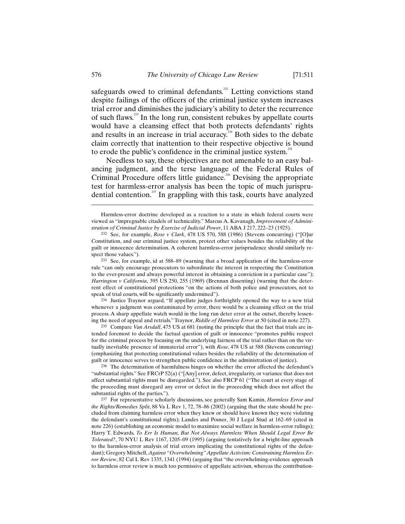safeguards owed to criminal defendants.<sup>232</sup> Letting convictions stand despite failings of the officers of the criminal justice system increases trial error and diminishes the judiciary's ability to deter the recurrence of such flaws.<sup>233</sup> In the long run, consistent rebukes by appellate courts would have a cleansing effect that both protects defendants' rights and results in an increase in trial accuracy.<sup>234</sup> Both sides to the debate claim correctly that inattention to their respective objective is bound to erode the public's confidence in the criminal justice system.<sup>23</sup>

Needless to say, these objectives are not amenable to an easy balancing judgment, and the terse language of the Federal Rules of Criminal Procedure offers little guidance.<sup>236</sup> Devising the appropriate test for harmless-error analysis has been the topic of much jurisprudential contention.<sup>237</sup> In grappling with this task, courts have analyzed

<sup>234</sup> Justice Traynor argued, "If appellate judges forthrightly opened the way to a new trial whenever a judgment was contaminated by error, there would be a cleansing effect on the trial process. A sharp appellate watch would in the long run deter error at the outset, thereby lessening the need of appeal and retrials." Traynor, *Riddle of Harmless Error* at 50 (cited in note 227).

235 Compare *Van Arsdall*, 475 US at 681 (noting the principle that the fact that trials are intended foremost to decide the factual question of guilt or innocence "promotes public respect for the criminal process by focusing on the underlying fairness of the trial rather than on the virtually inevitable presence of immaterial error"), with *Rose*, 478 US at 588 (Stevens concurring) (emphasizing that protecting constitutional values besides the reliability of the determination of guilt or innocence serves to strengthen public confidence in the administration of justice).

<sup>236</sup> The determination of harmfulness hinges on whether the error affected the defendant's "substantial rights." See FRCrP 52(a) ("[Any] error, defect, irregularity, or variance that does not affect substantial rights must be disregarded."). See also FRCP 61 ("The court at every stage of the proceeding must disregard any error or defect in the proceeding which does not affect the substantial rights of the parties.").

<sup>237</sup> For representative scholarly discussions, see generally Sam Kamin, *Harmless Error and the Rights/Remedies Split*, 88 Va L Rev 1, 72, 78–86 (2002) (arguing that the state should be precluded from claiming harmless error when they knew or should have known they were violating the defendant's constitutional rights); Landes and Posner, 30 J Legal Stud at 162–69 (cited in note 226) (establishing an economic model to maximize social welfare in harmless-error rulings); Harry T. Edwards, *To Err Is Human, But Not Always Harmless: When Should Legal Error Be Tolerated?*, 70 NYU L Rev 1167, 1205–09 (1995) (arguing tentatively for a bright-line approach to the harmless-error analysis of trial errors implicating the constitutional rights of the defendant); Gregory Mitchell, *Against "Overwhelming" Appellate Activism: Constraining Harmless Error Review*, 82 Cal L Rev 1335, 1341 (1994) (arguing that "the overwhelming-evidence approach to harmless error review is much too permissive of appellate activism, whereas the contribution-

Harmless-error doctrine developed as a reaction to a state in which federal courts were viewed as "impregnable citadels of technicality." Marcus A. Kavanagh, *Improvement of Administration of Criminal Justice by Exercise of Judicial Power*, 11 ABA J 217, 222–23 (1925).

<sup>232</sup> See, for example, *Rose v Clark*, 478 US 570, 588 (1986) (Stevens concurring) ("[O]ur Constitution, and our criminal justice system, protect other values besides the reliability of the guilt or innocence determination. A coherent harmless-error jurisprudence should similarly respect those values.").

<sup>233</sup> See, for example, id at 588–89 (warning that a broad application of the harmless-error rule "can only encourage prosecutors to subordinate the interest in respecting the Constitution to the ever-present and always powerful interest in obtaining a conviction in a particular case"); *Harrington v California*, 395 US 250, 255 (1969) (Brennan dissenting) (warning that the deterrent effect of constitutional protections "on the actions of both police and prosecutors, not to speak of trial courts, will be significantly undermined").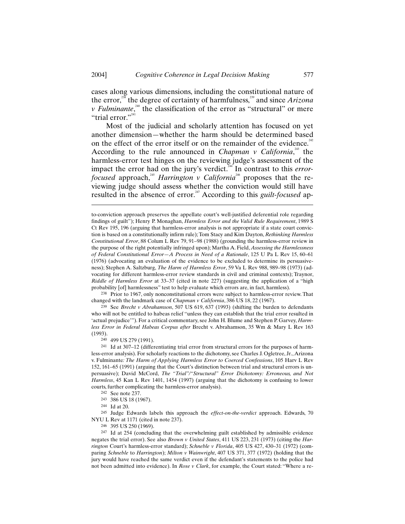cases along various dimensions, including the constitutional nature of the error,<sup>238</sup> the degree of certainty of harmfulness,<sup>239</sup> and since *Arizona v* Fulminante,<sup>240</sup> the classification of the error as "structural" or mere "trial error."<sup>241</sup>

Most of the judicial and scholarly attention has focused on yet another dimension—whether the harm should be determined based on the effect of the error itself or on the remainder of the evidence.<sup>242</sup> According to the rule announced in *Chapman v California*,<sup>243</sup> the harmless-error test hinges on the reviewing judge's assessment of the impact the error had on the jury's verdict.<sup>244</sup> In contrast to this *errorfocused* approach,<sup>245</sup> *Harrington v California*<sup>246</sup> proposes that the reviewing judge should assess whether the conviction would still have resulted in the absence of error.<sup>247</sup> According to this *guilt-focused* ap-

<sup>238</sup> Prior to 1967, only nonconstitutional errors were subject to harmless-error review. That changed with the landmark case of *Chapman v California*, 386 US 18, 22 (1967).

<sup>239</sup> See *Brecht v Abrahamson*, 507 US 619, 637 (1993) (shifting the burden to defendants who will not be entitled to habeas relief "unless they can establish that the trial error resulted in 'actual prejudice'"). For a critical commentary, see John H. Blume and Stephen P. Garvey, *Harmless Error in Federal Habeas Corpus after* Brecht v. Abrahamson, 35 Wm & Mary L Rev 163 (1993).

240 499 US 279 (1991).

1

241 Id at 307–12 (differentiating trial error from structural errors for the purposes of harmless-error analysis). For scholarly reactions to the dichotomy, see Charles J. Ogletree, Jr., Arizona v. Fulminante*: The Harm of Applying Harmless Error to Coerced Confessions*, 105 Harv L Rev 152, 161–65 (1991) (arguing that the Court's distinction between trial and structural errors is unpersuasive); David McCord, *The "Trial"/"Structural" Error Dichotomy: Erroneous, and Not Harmless*, 45 Kan L Rev 1401, 1454 (1997) (arguing that the dichotomy is confusing to lower courts, further complicating the harmless-error analysis).

<sup>245</sup> Judge Edwards labels this approach the *effect-on-the-verdict* approach. Edwards, 70 NYU L Rev at 1171 (cited in note 237).

to-conviction approach preserves the appellate court's well-justified deferential role regarding findings of guilt"); Henry P. Monaghan, *Harmless Error and the Valid Rule Requirement*, 1989 S Ct Rev 195, 196 (arguing that harmless-error analysis is not appropriate if a state court conviction is based on a constitutionally infirm rule); Tom Stacy and Kim Dayton, *Rethinking Harmless Constitutional Error*, 88 Colum L Rev 79, 91–98 (1988) (grounding the harmless-error review in the purpose of the right potentially infringed upon); Martha A. Field, *Assessing the Harmlessness of Federal Constitutional Error—A Process in Need of a Rationale*, 125 U Pa L Rev 15, 60–61 (1976) (advocating an evaluation of the evidence to be excluded to determine its persuasiveness); Stephen A. Saltzburg, *The Harm of Harmless Error*, 59 Va L Rev 988, 989–98 (1973) (advocating for different harmless-error review standards in civil and criminal contexts); Traynor, *Riddle of Harmless Error* at 33–37 (cited in note 227) (suggesting the application of a "high probability [of] harmlessness" test to help evaluate which errors are, in fact, harmless).

<sup>242</sup> See note 237.

<sup>243</sup> 386 US 18 (1967).

<sup>244</sup> Id at 20.

<sup>246</sup> 395 US 250 (1969).

<sup>247</sup> Id at 254 (concluding that the overwhelming guilt established by admissible evidence negates the trial error). See also *Brown v United States*, 411 US 223, 231 (1973) (citing the *Harrington* Court's harmless-error standard); *Schneble v Florida*, 405 US 427, 430–31 (1972) (comparing *Schneble* to *Harrington*); *Milton v Wainwright*, 407 US 371, 377 (1972) (holding that the jury would have reached the same verdict even if the defendant's statements to the police had not been admitted into evidence). In *Rose v Clark*, for example, the Court stated: "Where a re-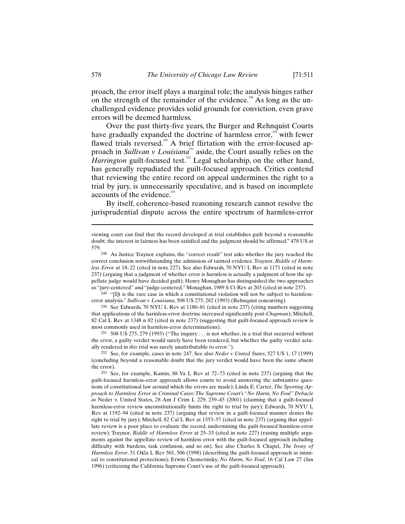proach, the error itself plays a marginal role; the analysis hinges rather on the strength of the remainder of the evidence.<sup>248</sup> As long as the unchallenged evidence provides solid grounds for conviction, even grave errors will be deemed harmless.

Over the past thirty-five years, the Burger and Rehnquist Courts have gradually expanded the doctrine of harmless error, $49$  with fewer flawed trials reversed.<sup>250</sup> A brief flirtation with the error-focused approach in *Sullivan v Louisiana*<sup>251</sup> aside, the Court usually relies on the *Harrington* guilt-focused test.<sup>252</sup> Legal scholarship, on the other hand, has generally repudiated the guilt-focused approach. Critics contend that reviewing the entire record on appeal undermines the right to a trial by jury, is unnecessarily speculative, and is based on incomplete accounts of the evidence.<sup>253</sup>

By itself, coherence-based reasoning research cannot resolve the jurisprudential dispute across the entire spectrum of harmless-error

 $^{249}$  "[I]t is the rare case in which a constitutional violation will not be subject to harmlesserror analysis." *Sullivan v Louisiana*, 508 US 275, 282 (1993) (Rehnquist concurring).

<sup>250</sup> See Edwards, 70 NYU L Rev at 1180–81 (cited in note 237) (citing numbers suggesting that applications of the harmless-error doctrine increased significantly post-*Chapman*); Mitchell, 82 Cal L Rev at 1348 n 82 (cited in note 237) (suggesting that guilt-focused approach review is most commonly used in harmless-error determinations).

 $251$  508 US 275, 279 (1993) ("The inquiry ... is not whether, in a trial that occurred without the error, a guilty verdict would surely have been rendered, but whether the guilty verdict actually rendered in *this* trial was surely unattributable to error.").

viewing court can find that the record developed at trial establishes guilt beyond a reasonable doubt, the interest in fairness has been satisfied and the judgment should be affirmed." 478 US at 579.

<sup>248</sup> As Justice Traynor explains, the "correct result" test asks whether the jury reached the correct conclusion notwithstanding the admission of tainted evidence. Traynor, *Riddle of Harmless Error* at 18–22 (cited in note 227). See also Edwards, 70 NYU L Rev at 1171 (cited in note 237) (arguing that a judgment of whether error is harmless is actually a judgment of how the appellate judge would have decided guilt). Henry Monaghan has distinguished the two approaches as "jury-centered" and "judge-centered." Monaghan, 1989 S Ct Rev at 203 (cited in note 237).

<sup>252</sup> See, for example, cases in note 247. See also *Neder v United States*, 527 US 1, 17 (1999) (concluding beyond a reasonable doubt that the jury verdict would have been the same absent the error).

<sup>253</sup> See, for example, Kamin, 88 Va L Rev at 72–73 (cited in note 237) (arguing that the guilt-focused harmless-error approach allows courts to avoid answering the substantive questions of constitutional law around which the errors are made); Linda E. Carter, *The Sporting Approach to Harmless Error in Criminal Cases: The Supreme Court's "No Harm, No Foul" Debacle in* Neder v. United States, 28 Am J Crim L 229, 239–45 (2001) (claiming that a guilt-focused harmless-error review unconstitutionally limits the right to trial by jury); Edwards, 70 NYU L Rev at 1192–94 (cited in note 237) (arguing that review in a guilt-focused manner denies the right to trial by jury); Mitchell, 82 Cal L Rev at 1353–57 (cited in note 237) (arguing that appellate review is a poor place to evaluate the record, undermining the guilt-focused harmless-error review); Traynor, *Riddle of Harmless Error* at 25–33 (cited in note 227) (raising multiple arguments against the appellate review of harmless error with the guilt-focused approach including difficulty with burdens, task confusion, and so on). See also Charles S. Chapel, *The Irony of Harmless Error*, 51 Okla L Rev 501, 506 (1998) (describing the guilt-focused approach as inimical to constitutional protections); Erwin Chemerinsky, *No Harm, No Foul*, 16 Cal Law 27 (Jan 1996) (criticizing the California Supreme Court's use of the guilt-focused approach).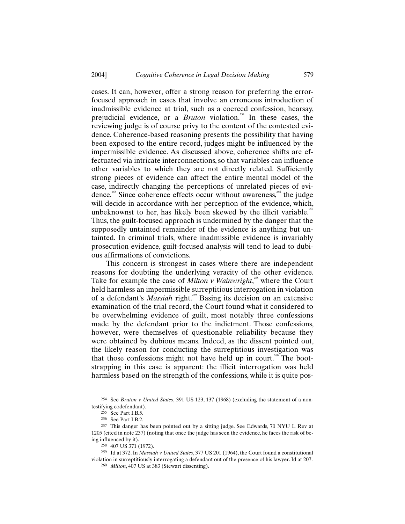cases. It can, however, offer a strong reason for preferring the errorfocused approach in cases that involve an erroneous introduction of inadmissible evidence at trial, such as a coerced confession, hearsay, prejudicial evidence, or a *Bruton* violation.<sup>254</sup> In these cases, the reviewing judge is of course privy to the content of the contested evidence. Coherence-based reasoning presents the possibility that having been exposed to the entire record, judges might be influenced by the impermissible evidence. As discussed above, coherence shifts are effectuated via intricate interconnections, so that variables can influence other variables to which they are not directly related. Sufficiently strong pieces of evidence can affect the entire mental model of the case, indirectly changing the perceptions of unrelated pieces of evidence.<sup>255</sup> Since coherence effects occur without awareness,<sup>256</sup> the judge will decide in accordance with her perception of the evidence, which, unbeknownst to her, has likely been skewed by the illicit variable.<sup>257</sup> Thus, the guilt-focused approach is undermined by the danger that the supposedly untainted remainder of the evidence is anything but untainted. In criminal trials, where inadmissible evidence is invariably prosecution evidence, guilt-focused analysis will tend to lead to dubious affirmations of convictions.

This concern is strongest in cases where there are independent reasons for doubting the underlying veracity of the other evidence. Take for example the case of *Milton v Wainwright*,<sup>258</sup> where the Court held harmless an impermissible surreptitious interrogation in violation of a defendant's *Massiah* right.<sup>259</sup> Basing its decision on an extensive examination of the trial record, the Court found what it considered to be overwhelming evidence of guilt, most notably three confessions made by the defendant prior to the indictment. Those confessions, however, were themselves of questionable reliability because they were obtained by dubious means. Indeed, as the dissent pointed out, the likely reason for conducting the surreptitious investigation was that those confessions might not have held up in court.<sup>260</sup> The bootstrapping in this case is apparent: the illicit interrogation was held harmless based on the strength of the confessions, while it is quite pos-

<sup>254</sup> See *Bruton v United States*, 391 US 123, 137 (1968) (excluding the statement of a nontestifying codefendant).

<sup>255</sup> See Part I.B.5.

<sup>256</sup> See Part I.B.2.

<sup>257</sup> This danger has been pointed out by a sitting judge. See Edwards, 70 NYU L Rev at 1205 (cited in note 237) (noting that once the judge has seen the evidence, he faces the risk of being influenced by it).

<sup>258</sup> 407 US 371 (1972).

<sup>259</sup> Id at 372. In *Massiah v United States*, 377 US 201 (1964), the Court found a constitutional violation in surreptitiously interrogating a defendant out of the presence of his lawyer. Id at 207. <sup>260</sup> *Milton*, 407 US at 383 (Stewart dissenting).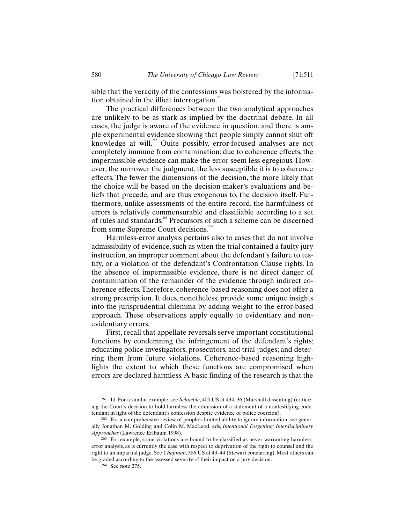sible that the veracity of the confessions was bolstered by the information obtained in the illicit interrogation.<sup>2</sup>

The practical differences between the two analytical approaches are unlikely to be as stark as implied by the doctrinal debate. In all cases, the judge is aware of the evidence in question, and there is ample experimental evidence showing that people simply cannot shut off knowledge at will.<sup>262</sup> Quite possibly, error-focused analyses are not completely immune from contamination: due to coherence effects, the impermissible evidence can make the error seem less egregious. However, the narrower the judgment, the less susceptible it is to coherence effects. The fewer the dimensions of the decision, the more likely that the choice will be based on the decision-maker's evaluations and beliefs that precede, and are thus exogenous to, the decision itself. Furthermore, unlike assessments of the entire record, the harmfulness of errors is relatively commensurable and classifiable according to a set of rules and standards.263 Precursors of such a scheme can be discerned from some Supreme Court decisions.<sup>26</sup>

Harmless-error analysis pertains also to cases that do not involve admissibility of evidence, such as when the trial contained a faulty jury instruction, an improper comment about the defendant's failure to testify, or a violation of the defendant's Confrontation Clause rights. In the absence of impermissible evidence, there is no direct danger of contamination of the remainder of the evidence through indirect coherence effects. Therefore, coherence-based reasoning does not offer a strong prescription. It does, nonetheless, provide some unique insights into the jurisprudential dilemma by adding weight to the error-based approach. These observations apply equally to evidentiary and nonevidentiary errors.

First, recall that appellate reversals serve important constitutional functions by condemning the infringement of the defendant's rights; educating police investigators, prosecutors, and trial judges; and deterring them from future violations. Coherence-based reasoning highlights the extent to which these functions are compromised when errors are declared harmless. A basic finding of the research is that the

<sup>261</sup> Id. For a similar example, see *Schneble*, 405 US at 434–36 (Marshall dissenting) (criticizing the Court's decision to hold harmless the admission of a statement of a nontestifying codefendant in light of the defendant's confession despite evidence of police coercion).

<sup>262</sup> For a comprehensive review of people's limited ability to ignore information, see generally Jonathan M. Golding and Colin M. MacLeod, eds, *Intentional Forgetting: Interdisciplinary Approaches* (Lawrence Erlbaum 1998).

<sup>263</sup> For example, some violations are bound to be classified as never warranting harmlesserror analysis, as is currently the case with respect to deprivation of the right to counsel and the right to an impartial judge. See *Chapman*, 386 US at 43–44 (Stewart concurring). Most others can be graded according to the assessed severity of their impact on a jury decision.

<sup>264</sup> See note 275.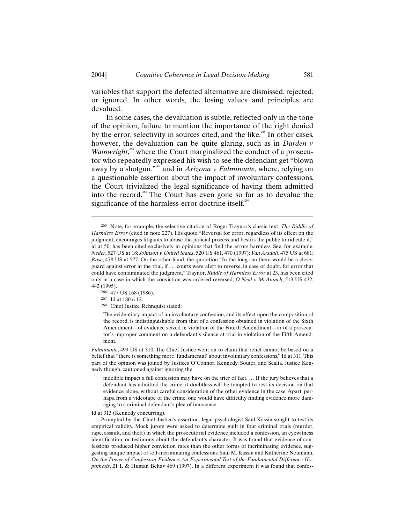variables that support the defeated alternative are dismissed, rejected, or ignored. In other words, the losing values and principles are devalued.

In some cases, the devaluation is subtle, reflected only in the tone of the opinion, failure to mention the importance of the right denied by the error, selectivity in sources cited, and the like.<sup>265</sup> In other cases, however, the devaluation can be quite glaring, such as in *Darden v*  Wainwright,<sup>266</sup> where the Court marginalized the conduct of a prosecutor who repeatedly expressed his wish to see the defendant get "blown away by a shotgun,"<sup>267</sup> and in *Arizona v Fulminante*, where, relying on a questionable assertion about the impact of involuntary confessions, the Court trivialized the legal significance of having them admitted into the record.<sup>268</sup> The Court has even gone so far as to devalue the significance of the harmless-error doctrine itself.<sup>26</sup>

<sup>266</sup> 477 US 168 (1986).

267 Id at 180 n 12.

1

The evidentiary impact of an involuntary confession, and its effect upon the composition of the record, is indistinguishable from that of a confession obtained in violation of the Sixth Amendment—of evidence seized in violation of the Fourth Amendment—or of a prosecutor's improper comment on a defendant's silence at trial in violation of the Fifth Amendment.

*Fulminante*, 499 US at 310. The Chief Justice went on to claim that relief cannot be based on a belief that "there is something more 'fundamental' about involuntary confessions." Id at 311. This part of the opinion was joined by Justices O'Connor, Kennedy, Souter, and Scalia. Justice Kennedy though, cautioned against ignoring the

indelible impact a full confession may have on the trier of fact. . . . If the jury believes that a defendant has admitted the crime, it doubtless will be tempted to rest its decision on that evidence alone, without careful consideration of the other evidence in the case. Apart, perhaps, from a videotape of the crime, one would have difficulty finding evidence more damaging to a criminal defendant's plea of innocence.

Id at 313 (Kennedy concurring).

Prompted by the Chief Justice's assertion, legal psychologist Saul Kassin sought to test its empirical validity. Mock jurors were asked to determine guilt in four criminal trials (murder, rape, assault, and theft) in which the prosecutorial evidence included a confession, an eyewitness identification, or testimony about the defendant's character. It was found that evidence of confessions produced higher conviction rates than the other forms of incriminating evidence, suggesting unique impact of self-incriminating confessions. Saul M. Kassin and Katherine Neumann, *On the Power of Confession Evidence: An Experimental Test of the Fundamental Difference Hypothesis*, 21 L & Human Behav 469 (1997). In a different experiment it was found that confes-

<sup>265</sup> Note, for example, the selective citation of Roger Traynor's classic text, *The Riddle of Harmless Error* (cited in note 227). His quote "Reversal for error, regardless of its effect on the judgment, encourages litigants to abuse the judicial process and bestirs the public to ridicule it," id at 50, has been cited exclusively in opinions that find the errors harmless. See, for example, *Neder*, 527 US at 18; *Johnson v United States*, 520 US 461, 470 (1997); *Van Arsdall*, 475 US at 681; *Rose*, 478 US at 577. On the other hand, the quotation "In the long run there would be a closer guard against error at the trial, if . . . courts were alert to reverse, in case of doubt, for error that could have contaminated the judgment," Traynor, *Riddle of Harmless Error* at 23, has been cited only in a case in which the conviction was ordered reversed, *O'Neal v McAninch*, 513 US 432, 442 (1995).

<sup>268</sup> Chief Justice Rehnquist stated: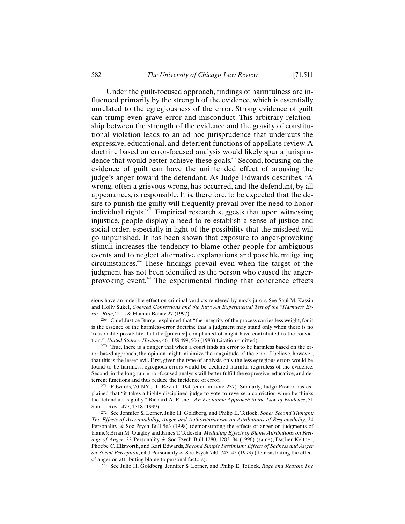Under the guilt-focused approach, findings of harmfulness are influenced primarily by the strength of the evidence, which is essentially unrelated to the egregiousness of the error. Strong evidence of guilt can trump even grave error and misconduct. This arbitrary relationship between the strength of the evidence and the gravity of constitutional violation leads to an ad hoc jurisprudence that undercuts the expressive, educational, and deterrent functions of appellate review. A doctrine based on error-focused analysis would likely spur a jurisprudence that would better achieve these goals.<sup> $270$ </sup> Second, focusing on the evidence of guilt can have the unintended effect of arousing the judge's anger toward the defendant. As Judge Edwards describes, "A wrong, often a grievous wrong, has occurred, and the defendant, by all appearances, is responsible. It is, therefore, to be expected that the desire to punish the guilty will frequently prevail over the need to honor individual rights."<sup>271</sup> Empirical research suggests that upon witnessing injustice, people display a need to re-establish a sense of justice and social order, especially in light of the possibility that the misdeed will go unpunished. It has been shown that exposure to anger-provoking stimuli increases the tendency to blame other people for ambiguous events and to neglect alternative explanations and possible mitigating circumstances.<sup> $272$ </sup> These findings prevail even when the target of the judgment has not been identified as the person who caused the angerprovoking event.<sup>273</sup> The experimental finding that coherence effects

270 True, there is a danger that when a court finds an error to be harmless based on the error-based approach, the opinion might minimize the magnitude of the error. I believe, however, that this is the lesser evil. First, given the type of analysis, only the less egregious errors would be found to be harmless; egregious errors would be declared harmful regardless of the evidence. Second, in the long run, error-focused analysis will better fulfill the expressive, educative, and deterrent functions and thus reduce the incidence of error.

271 Edwards, 70 NYU L Rev at 1194 (cited in note 237). Similarly, Judge Posner has explained that "it takes a highly disciplined judge to vote to reverse a conviction when he thinks the defendant is guilty." Richard A. Posner, *An Economic Approach to the Law of Evidence*, 51 Stan L Rev 1477, 1518 (1999).

<sup>272</sup> See Jennifer S. Lerner, Julie H. Goldberg, and Philip E. Tetlock, *Sober Second Thought: The Effects of Accountability, Anger, and Authoritarianism on Attributions of Responsibility*, 24 Personality & Soc Psych Bull 563 (1998) (demonstrating the effects of anger on judgments of blame); Brian M. Quigley and James T. Tedeschi, *Mediating Effects of Blame Attributions on Feelings of Anger*, 22 Personality & Soc Psych Bull 1280, 1283–84 (1996) (same); Dacher Keltner, Phoebe C. Ellsworth, and Kari Edwards, *Beyond Simple Pessimism: Effects of Sadness and Anger on Social Perception*, 64 J Personality & Soc Psych 740, 743–45 (1993) (demonstrating the effect of anger on attributing blame to personal factors).

273 See Julie H. Goldberg, Jennifer S. Lerner, and Philip E. Tetlock, *Rage and Reason: The* 

sions have an indelible effect on criminal verdicts rendered by mock jurors. See Saul M. Kassin and Holly Sukel, *Coerced Confessions and the Jury: An Experimental Test of the "Harmless Error" Rule*, 21 L & Human Behav 27 (1997).

<sup>269</sup> Chief Justice Burger explained that "the integrity of the process carries less weight, for it is the essence of the harmless-error doctrine that a judgment may stand only when there is no 'reasonable possibility that the [practice] complained of might have contributed to the conviction.'" *United States v Hasting*, 461 US 499, 506 (1983) (citation omitted).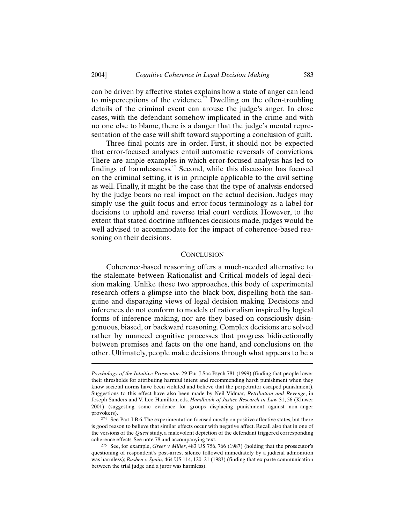can be driven by affective states explains how a state of anger can lead to misperceptions of the evidence.<sup>274</sup> Dwelling on the often-troubling details of the criminal event can arouse the judge's anger. In close cases, with the defendant somehow implicated in the crime and with no one else to blame, there is a danger that the judge's mental representation of the case will shift toward supporting a conclusion of guilt.

Three final points are in order. First, it should not be expected that error-focused analyses entail automatic reversals of convictions. There are ample examples in which error-focused analysis has led to findings of harmlessness.<sup>275</sup> Second, while this discussion has focused on the criminal setting, it is in principle applicable to the civil setting as well. Finally, it might be the case that the type of analysis endorsed by the judge bears no real impact on the actual decision. Judges may simply use the guilt-focus and error-focus terminology as a label for decisions to uphold and reverse trial court verdicts. However, to the extent that stated doctrine influences decisions made, judges would be well advised to accommodate for the impact of coherence-based reasoning on their decisions.

## **CONCLUSION**

Coherence-based reasoning offers a much-needed alternative to the stalemate between Rationalist and Critical models of legal decision making. Unlike those two approaches, this body of experimental research offers a glimpse into the black box, dispelling both the sanguine and disparaging views of legal decision making. Decisions and inferences do not conform to models of rationalism inspired by logical forms of inference making, nor are they based on consciously disingenuous, biased, or backward reasoning. Complex decisions are solved rather by nuanced cognitive processes that progress bidirectionally between premises and facts on the one hand, and conclusions on the other. Ultimately, people make decisions through what appears to be a

*Psychology of the Intuitive Prosecutor*, 29 Eur J Soc Psych 781 (1999) (finding that people lower their thresholds for attributing harmful intent and recommending harsh punishment when they know societal norms have been violated and believe that the perpetrator escaped punishment). Suggestions to this effect have also been made by Neil Vidmar, *Retribution and Revenge*, in Joseph Sanders and V. Lee Hamilton, eds, *Handbook of Justice Research in Law* 31, 56 (Kluwer 2001) (suggesting some evidence for groups displacing punishment against non–anger provokers).

<sup>274</sup> See Part I.B.6. The experimentation focused mostly on positive affective states, but there is good reason to believe that similar effects occur with negative affect. Recall also that in one of the versions of the *Quest* study, a malevolent depiction of the defendant triggered corresponding coherence effects. See note 78 and accompanying text.

<sup>275</sup> See, for example, *Greer v Miller*, 483 US 756, 766 (1987) (holding that the prosecutor's questioning of respondent's post-arrest silence followed immediately by a judicial admonition was harmless); *Rushen v Spain*, 464 US 114, 120–21 (1983) (finding that ex parte communication between the trial judge and a juror was harmless).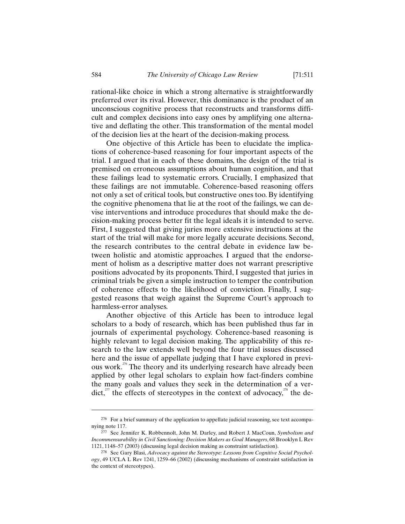rational-like choice in which a strong alternative is straightforwardly preferred over its rival. However, this dominance is the product of an unconscious cognitive process that reconstructs and transforms difficult and complex decisions into easy ones by amplifying one alternative and deflating the other. This transformation of the mental model of the decision lies at the heart of the decision-making process.

One objective of this Article has been to elucidate the implications of coherence-based reasoning for four important aspects of the trial. I argued that in each of these domains, the design of the trial is premised on erroneous assumptions about human cognition, and that these failings lead to systematic errors. Crucially, I emphasized that these failings are not immutable. Coherence-based reasoning offers not only a set of critical tools, but constructive ones too. By identifying the cognitive phenomena that lie at the root of the failings, we can devise interventions and introduce procedures that should make the decision-making process better fit the legal ideals it is intended to serve. First, I suggested that giving juries more extensive instructions at the start of the trial will make for more legally accurate decisions. Second, the research contributes to the central debate in evidence law between holistic and atomistic approaches. I argued that the endorsement of holism as a descriptive matter does not warrant prescriptive positions advocated by its proponents. Third, I suggested that juries in criminal trials be given a simple instruction to temper the contribution of coherence effects to the likelihood of conviction. Finally, I suggested reasons that weigh against the Supreme Court's approach to harmless-error analyses.

Another objective of this Article has been to introduce legal scholars to a body of research, which has been published thus far in journals of experimental psychology. Coherence-based reasoning is highly relevant to legal decision making. The applicability of this research to the law extends well beyond the four trial issues discussed here and the issue of appellate judging that I have explored in previous work.<sup>276</sup> The theory and its underlying research have already been applied by other legal scholars to explain how fact-finders combine the many goals and values they seek in the determination of a verdict,<sup>277</sup> the effects of stereotypes in the context of advocacy,<sup>278</sup> the de-

<sup>276</sup> For a brief summary of the application to appellate judicial reasoning, see text accompanying note 117.

<sup>277</sup> See Jennifer K. Robbennolt, John M. Darley, and Robert J. MacCoun, *Symbolism and Incommensurability in Civil Sanctioning: Decision Makers as Goal Managers*, 68 Brooklyn L Rev 1121, 1148–57 (2003) (discussing legal decision making as constraint satisfaction).

<sup>278</sup> See Gary Blasi, *Advocacy against the Stereotype: Lessons from Cognitive Social Psychology*, 49 UCLA L Rev 1241, 1259–66 (2002) (discussing mechanisms of constraint satisfaction in the context of stereotypes).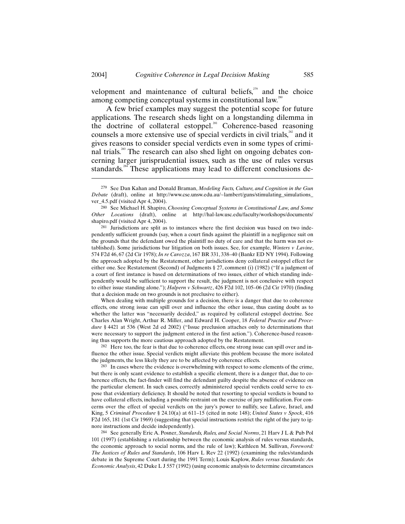$\overline{a}$ 

velopment and maintenance of cultural beliefs, $279$  and the choice among competing conceptual systems in constitutional law.<sup>28</sup>

A few brief examples may suggest the potential scope for future applications. The research sheds light on a longstanding dilemma in the doctrine of collateral estoppel.<sup>281</sup> Coherence-based reasoning counsels a more extensive use of special verdicts in civil trials, $x^2$  and it gives reasons to consider special verdicts even in some types of criminal trials.<sup>283</sup> The research can also shed light on ongoing debates concerning larger jurisprudential issues, such as the use of rules versus standards.<sup>284</sup> These applications may lead to different conclusions de-

281 Jurisdictions are split as to instances where the first decision was based on two independently sufficient grounds (say, when a court finds against the plaintiff in a negligence suit on the grounds that the defendant owed the plaintiff no duty of care and that the harm was not established). Some jurisdictions bar litigation on both issues. See, for example, *Winters v Lavine*, 574 F2d 46, 67 (2d Cir 1978); *In re Carozza*, 167 BR 331, 338–40 (Bankr ED NY 1994). Following the approach adopted by the Restatement, other jurisdictions deny collateral estoppel effect for either one. See Restatement (Second) of Judgments § 27, comment (i) (1982) ("If a judgment of a court of first instance is based on determinations of two issues, either of which standing independently would be sufficient to support the result, the judgment is not conclusive with respect to either issue standing alone."); *Halpern v Schwartz*, 426 F2d 102, 105–06 (2d Cir 1970) (finding that a decision made on two grounds is not preclusive to either).

When dealing with multiple grounds for a decision, there is a danger that due to coherence effects, one strong issue can spill over and influence the other issue, thus casting doubt as to whether the latter was "necessarily decided," as required by collateral estoppel doctrine. See Charles Alan Wright, Arthur R. Miller, and Edward H. Cooper, 18 *Federal Practice and Procedure* § 4421 at 536 (West 2d ed 2002) ("Issue preclusion attaches only to determinations that were necessary to support the judgment entered in the first action."). Coherence-based reasoning thus supports the more cautious approach adopted by the Restatement.

282 Here too, the fear is that due to coherence effects, one strong issue can spill over and influence the other issue. Special verdicts might alleviate this problem because the more isolated the judgments, the less likely they are to be affected by coherence effects.

<sup>283</sup> In cases where the evidence is overwhelming with respect to some elements of the crime, but there is only scant evidence to establish a specific element, there is a danger that, due to coherence effects, the fact-finder will find the defendant guilty despite the absence of evidence on the particular element. In such cases, correctly administered special verdicts could serve to expose that evidentiary deficiency. It should be noted that resorting to special verdicts is bound to have collateral effects, including a possible restraint on the exercise of jury nullification. For concerns over the effect of special verdicts on the jury's power to nullify, see Lafave, Israel, and King, 5 *Criminal Procedure* § 24.10(a) at 611–15 (cited in note 148); *United States v Spock*, 416 F2d 165, 181 (1st Cir 1969) (suggesting that special instructions restrict the right of the jury to ignore instructions and decide independently).

<sup>284</sup> See generally Eric A. Posner, *Standards, Rules, and Social Norms*, 21 Harv J L & Pub Pol 101 (1997) (establishing a relationship between the economic analysis of rules versus standards, the economic approach to social norms, and the rule of law); Kathleen M. Sullivan, *Foreword: The Justices of Rules and Standards*, 106 Harv L Rev 22 (1992) (examining the rules/standards debate in the Supreme Court during the 1991 Term); Louis Kaplow, *Rules versus Standards: An Economic Analysis*, 42 Duke L J 557 (1992) (using economic analysis to determine circumstances

<sup>279</sup> See Dan Kahan and Donald Braman, *Modeling Facts, Culture, and Cognition in the Gun Debate* (draft), online at http://www.cse.unsw.edu.au/~lambert/guns/stimulating\_simulations\_ ver\_4.5.pdf (visited Apr 4, 2004).

<sup>280</sup> See Michael H. Shapiro, *Choosing Conceptual Systems in Constitutional Law, and Some Other Locations* (draft), online at http://hal-law.usc.edu/faculty/workshops/documents/ shapiro.pdf (visited Apr 4, 2004).